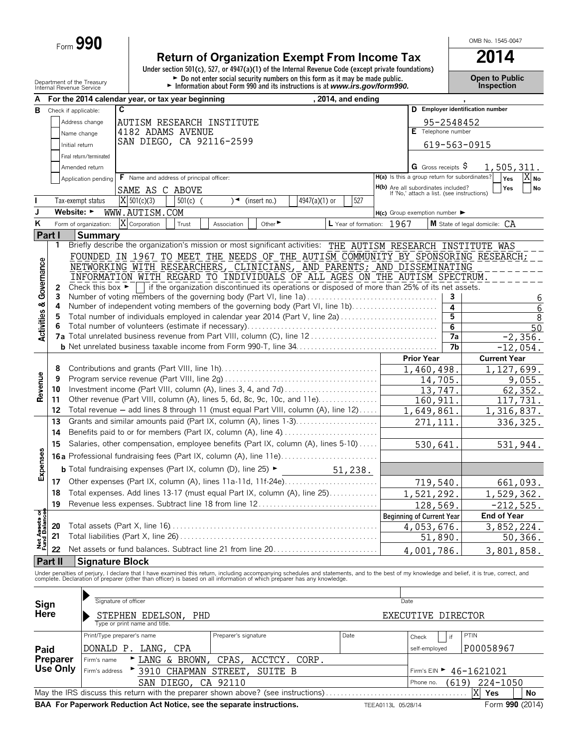Form **990**

## **Return of Organization Exempt From Income Tax 2014**

**Under section 501(c), 527, or 4947(a)(1) of the Internal Revenue Code (except private foundations)** Department of the Treasury **Depen to Public**<br>Internal Revenue Service **Connect of the Connect of the Connect of the Connect of the Internal Revenue Service Connection** 

OMB No. 1545-0047

|                                      | Internal Revenue Service       |                                      |                                                                                          | $\sim$ 1010111140011 40001 1 01111 330 4110 115 11150 0010115 15 41 WWW.11 5.90W/101111990.                                                                                                                                    |                      |                                                                                   |                  | <b>IIIPPCCINI</b>                |
|--------------------------------------|--------------------------------|--------------------------------------|------------------------------------------------------------------------------------------|--------------------------------------------------------------------------------------------------------------------------------------------------------------------------------------------------------------------------------|----------------------|-----------------------------------------------------------------------------------|------------------|----------------------------------|
| А                                    |                                |                                      | For the 2014 calendar year, or tax year beginning                                        |                                                                                                                                                                                                                                | , 2014, and ending   |                                                                                   |                  |                                  |
| в                                    | Check if applicable:           | C                                    |                                                                                          |                                                                                                                                                                                                                                |                      |                                                                                   |                  | D Employer identification number |
|                                      |                                | Address change                       | AUTISM RESEARCH INSTITUTE                                                                |                                                                                                                                                                                                                                |                      |                                                                                   | 95-2548452       |                                  |
|                                      |                                | Name change                          | 4182 ADAMS AVENUE                                                                        |                                                                                                                                                                                                                                |                      | E.                                                                                | Telephone number |                                  |
|                                      | Initial return                 |                                      | SAN DIEGO, CA 92116-2599                                                                 |                                                                                                                                                                                                                                |                      |                                                                                   | 619-563-0915     |                                  |
|                                      |                                | Final return/terminated              |                                                                                          |                                                                                                                                                                                                                                |                      |                                                                                   |                  |                                  |
|                                      |                                | Amended return                       |                                                                                          |                                                                                                                                                                                                                                |                      | G Gross receipts $\$$                                                             |                  | 1,505,311.                       |
|                                      |                                | Application pending                  | <b>F</b> Name and address of principal officer:                                          |                                                                                                                                                                                                                                |                      | H(a) Is this a group return for subordinates?                                     |                  | $X_{N0}$<br>Yes                  |
|                                      |                                |                                      |                                                                                          |                                                                                                                                                                                                                                |                      |                                                                                   |                  | Yes<br>No                        |
|                                      |                                |                                      | SAME AS C ABOVE                                                                          |                                                                                                                                                                                                                                |                      | H(b) Are all subordinates included?<br>If 'No,' attach a list. (see instructions) |                  |                                  |
| I.                                   |                                | Tax-exempt status                    | $X$ 501(c)(3)<br>$501(c)$ (                                                              | (insert no.)<br>) ◄                                                                                                                                                                                                            | 4947(a)(1) or<br>527 |                                                                                   |                  |                                  |
| J                                    | Website: $\blacktriangleright$ |                                      | WWW.AUTISM.COM                                                                           |                                                                                                                                                                                                                                |                      | $H(c)$ Group exemption number $\blacktriangleright$                               |                  |                                  |
| K                                    |                                | Form of organization:                | X Corporation<br>Trust                                                                   | Other<br>Association                                                                                                                                                                                                           | L Year of formation: | 1967                                                                              |                  | M State of legal domicile: CA    |
| Part I                               |                                | <b>Summary</b>                       |                                                                                          |                                                                                                                                                                                                                                |                      |                                                                                   |                  |                                  |
|                                      | 1                              |                                      |                                                                                          | Briefly describe the organization's mission or most significant activities: THE AUTISM RESEARCH INSTITUTE WAS                                                                                                                  |                      |                                                                                   |                  |                                  |
|                                      |                                |                                      |                                                                                          | FOUNDED IN 1967 TO MEET THE NEEDS OF THE AUTISM COMMUNITY BY SPONSORING RESEARCH;                                                                                                                                              |                      |                                                                                   |                  |                                  |
|                                      |                                |                                      |                                                                                          | NETWORKING WITH RESEARCHERS, CLINICIANS, AND PARENTS; AND DISSEMINATING                                                                                                                                                        |                      |                                                                                   |                  |                                  |
|                                      |                                |                                      |                                                                                          | INFORMATION WITH REGARD TO INDIVIDUALS OF ALL AGES ON THE AUTISM SPECTRUM.                                                                                                                                                     |                      |                                                                                   |                  |                                  |
|                                      | 2                              | Check this box $\blacktriangleright$ |                                                                                          | if the organization discontinued its operations or disposed of more than 25% of its net assets.                                                                                                                                |                      |                                                                                   |                  |                                  |
|                                      | 3<br>4                         |                                      |                                                                                          | Number of voting members of the governing body (Part VI, line 1a)<br>Number of independent voting members of the governing body (Part VI, line 1b)                                                                             |                      |                                                                                   |                  | 6                                |
|                                      | 5                              |                                      |                                                                                          | Total number of individuals employed in calendar year 2014 (Part V, line 2a)                                                                                                                                                   |                      |                                                                                   | 4<br>5           | $\overline{6}$<br>8              |
|                                      | 6                              |                                      |                                                                                          |                                                                                                                                                                                                                                |                      |                                                                                   | 6                | $\overline{50}$                  |
| <b>Activities &amp; Governance</b>   |                                |                                      |                                                                                          |                                                                                                                                                                                                                                |                      |                                                                                   | 7a               | $-2,356.$                        |
|                                      |                                |                                      |                                                                                          |                                                                                                                                                                                                                                |                      |                                                                                   | $\overline{7}b$  | $-12,054.$                       |
|                                      |                                |                                      |                                                                                          |                                                                                                                                                                                                                                |                      | <b>Prior Year</b>                                                                 |                  | <b>Current Year</b>              |
|                                      | 8                              |                                      |                                                                                          |                                                                                                                                                                                                                                |                      | 1,460,498                                                                         |                  | 1,127,699.                       |
| Revenue                              | 9                              |                                      |                                                                                          |                                                                                                                                                                                                                                |                      | 14,705.                                                                           |                  | 9,055.                           |
|                                      | 10                             |                                      |                                                                                          | Investment income (Part VIII, column (A), lines 3, 4, and 7d)                                                                                                                                                                  |                      | 13,747.                                                                           |                  | 62, 352.                         |
|                                      | 11                             |                                      |                                                                                          | Other revenue (Part VIII, column (A), lines 5, 6d, 8c, 9c, 10c, and 11e).                                                                                                                                                      |                      | 160, 911.                                                                         |                  | 117,731.                         |
|                                      | 12                             |                                      |                                                                                          | Total revenue - add lines 8 through 11 (must equal Part VIII, column (A), line 12)                                                                                                                                             |                      | 1,649,861.                                                                        |                  | 1,316,837.                       |
|                                      | 13                             |                                      |                                                                                          | Grants and similar amounts paid (Part IX, column (A), lines 1-3)                                                                                                                                                               |                      | 271, 111.                                                                         |                  | 336, 325.                        |
|                                      | 14                             |                                      |                                                                                          | Benefits paid to or for members (Part IX, column (A), line 4)                                                                                                                                                                  |                      |                                                                                   |                  |                                  |
|                                      | 15                             |                                      |                                                                                          | Salaries, other compensation, employee benefits (Part IX, column (A), lines 5-10)                                                                                                                                              |                      | 530,641.                                                                          |                  | 531,944.                         |
|                                      |                                |                                      |                                                                                          |                                                                                                                                                                                                                                |                      |                                                                                   |                  |                                  |
|                                      |                                |                                      |                                                                                          |                                                                                                                                                                                                                                |                      |                                                                                   |                  |                                  |
| Expenses                             |                                |                                      | <b>b</b> Total fundraising expenses (Part IX, column (D), line 25) $\blacktriangleright$ |                                                                                                                                                                                                                                | 51,238.              |                                                                                   |                  |                                  |
|                                      |                                |                                      |                                                                                          |                                                                                                                                                                                                                                |                      | 719,540.                                                                          |                  | 661,093.                         |
|                                      | 18                             |                                      |                                                                                          | Total expenses. Add lines 13-17 (must equal Part IX, column (A), line 25)                                                                                                                                                      |                      | 1,521,292.                                                                        |                  | 1,529,362.                       |
|                                      | 19                             |                                      |                                                                                          | Revenue less expenses. Subtract line 18 from line 12                                                                                                                                                                           |                      | 128,569.                                                                          |                  | $-212,525.$                      |
|                                      |                                |                                      |                                                                                          |                                                                                                                                                                                                                                |                      | <b>Beginning of Current Year</b>                                                  |                  | <b>End of Year</b>               |
| <b>Net Assets of</b><br>Fund Balance | 20                             |                                      |                                                                                          |                                                                                                                                                                                                                                |                      | 4,053,676.                                                                        |                  | $\overline{3,852}$ , 224.        |
|                                      | 21                             |                                      |                                                                                          |                                                                                                                                                                                                                                |                      | 51,890.                                                                           |                  | 50, 366.                         |
|                                      | 22                             |                                      |                                                                                          | Net assets or fund balances. Subtract line 21 from line 20                                                                                                                                                                     |                      | 4,001,786.                                                                        |                  | 3,801,858.                       |
|                                      | Part II                        | <b>Signature Block</b>               |                                                                                          |                                                                                                                                                                                                                                |                      |                                                                                   |                  |                                  |
|                                      |                                |                                      |                                                                                          | Under penalties of perjury, I declare that I have examined this return, including accompanying schedules and statements, and to the best of my knowledge and belief, it is true, correct, and complete. Declaration of prepare |                      |                                                                                   |                  |                                  |
|                                      |                                |                                      |                                                                                          |                                                                                                                                                                                                                                |                      |                                                                                   |                  |                                  |
|                                      |                                |                                      |                                                                                          |                                                                                                                                                                                                                                |                      |                                                                                   |                  |                                  |
| Sign                                 |                                | Signature of officer                 |                                                                                          |                                                                                                                                                                                                                                |                      | Date                                                                              |                  |                                  |
| Here                                 |                                |                                      | STEPHEN EDELSON, PHD                                                                     |                                                                                                                                                                                                                                |                      | EXECUTIVE DIRECTOR                                                                |                  |                                  |
|                                      |                                |                                      | Type or print name and title.                                                            |                                                                                                                                                                                                                                |                      |                                                                                   |                  |                                  |
|                                      |                                | Print/Type preparer's name           |                                                                                          | Preparer's signature                                                                                                                                                                                                           | Date                 | Check                                                                             | if               | PTIN                             |
| Paid                                 |                                |                                      | DONALD P. LANG, CPA                                                                      |                                                                                                                                                                                                                                |                      | self-employed                                                                     |                  | P00058967                        |
|                                      | Preparer                       | Firm's name                          | ► LANG & BROWN,                                                                          | ACCTCY.<br>CPAS,                                                                                                                                                                                                               | CORP.                |                                                                                   |                  |                                  |
|                                      | Use Only                       | Firm's address                       | S910 CHAPMAN STREET                                                                      | SUITE B                                                                                                                                                                                                                        |                      | Firm's EIN ▶                                                                      |                  | 46-1621021                       |
|                                      |                                |                                      | SAN DIEGO,                                                                               | CA 92110                                                                                                                                                                                                                       |                      | Phone no.                                                                         | (619)            | 224-1050                         |
|                                      |                                |                                      |                                                                                          | May the IRS discuss this return with the preparer shown above? (see instructions)                                                                                                                                              |                      |                                                                                   |                  | Χ<br>Yes<br>No                   |
|                                      |                                |                                      | BAA For Paperwork Reduction Act Notice, see the separate instructions.                   |                                                                                                                                                                                                                                |                      | TEEA0113L 05/28/14                                                                |                  | Form 990 (2014)                  |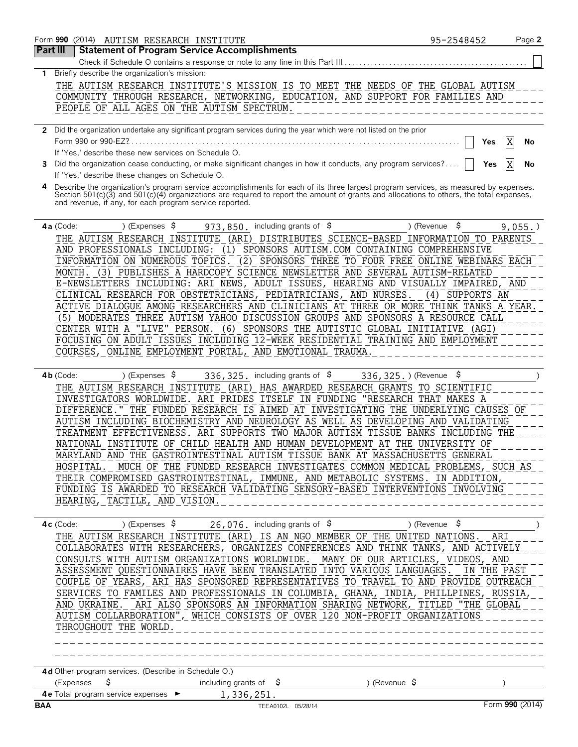|                                                                                                                      | Form 990 (2014) AUTISM RESEARCH INSTITUTE                                    | 95-2548452                                                                                                                                                              | Page 2     |
|----------------------------------------------------------------------------------------------------------------------|------------------------------------------------------------------------------|-------------------------------------------------------------------------------------------------------------------------------------------------------------------------|------------|
| Part III                                                                                                             | <b>Statement of Program Service Accomplishments</b>                          |                                                                                                                                                                         |            |
|                                                                                                                      | Check if Schedule O contains a response or note to any line in this Part III |                                                                                                                                                                         |            |
| Briefly describe the organization's mission:                                                                         |                                                                              |                                                                                                                                                                         |            |
|                                                                                                                      |                                                                              | THE AUTISM RESEARCH INSTITUTE'S MISSION IS TO MEET THE NEEDS OF THE GLOBAL AUTISM                                                                                       |            |
|                                                                                                                      |                                                                              | COMMUNITY THROUGH RESEARCH, NETWORKING, EDUCATION, AND SUPPORT FOR FAMILIES AND                                                                                         |            |
| PEOPLE OF ALL AGES ON THE AUTISM SPECTRUM.                                                                           |                                                                              |                                                                                                                                                                         |            |
|                                                                                                                      |                                                                              |                                                                                                                                                                         |            |
| 2 Did the organization undertake any significant program services during the year which were not listed on the prior |                                                                              |                                                                                                                                                                         |            |
|                                                                                                                      |                                                                              |                                                                                                                                                                         | Yes        |
| If 'Yes,' describe these new services on Schedule O.                                                                 |                                                                              |                                                                                                                                                                         |            |
| 3                                                                                                                    |                                                                              | Did the organization cease conducting, or make significant changes in how it conducts, any program services?                                                            | Yes        |
| If 'Yes,' describe these changes on Schedule O.                                                                      |                                                                              |                                                                                                                                                                         |            |
|                                                                                                                      |                                                                              | Describe the organization's program service accomplishments for each of its three largest program services, as measured by expenses.                                    |            |
| and revenue, if any, for each program service reported.                                                              |                                                                              | Section 501(c)(3) and 501(c)(4) organizations are required to report the amount of grants and allocations to others, the total expenses,                                |            |
| 4a (Code:<br>) (Expenses $\sqrt{5}$                                                                                  | 973,850. including grants of \$                                              | ) (Revenue $\sqrt{5}$                                                                                                                                                   | $9,055.$ ) |
|                                                                                                                      |                                                                              | THE AUTISM RESEARCH INSTITUTE (ARI) DISTRIBUTES SCIENCE-BASED INFORMATION TO PARENTS                                                                                    |            |
|                                                                                                                      |                                                                              | AND PROFESSIONALS INCLUDING: (1) SPONSORS AUTISM.COM CONTAINING COMPREHENSIVE                                                                                           |            |
|                                                                                                                      |                                                                              | INFORMATION ON NUMEROUS TOPICS. (2) SPONSORS THREE TO FOUR FREE ONLINE WEBINARS EACH                                                                                    |            |
|                                                                                                                      |                                                                              | MONTH. (3) PUBLISHES A HARDCOPY SCIENCE NEWSLETTER AND SEVERAL AUTISM-RELATED                                                                                           |            |
|                                                                                                                      |                                                                              | E-NEWSLETTERS INCLUDING: ARI NEWS, ADULT ISSUES, HEARING AND VISUALLY IMPAIRED, AND                                                                                     |            |
|                                                                                                                      | CLINICAL RESEARCH FOR OBSTETRICIANS, PEDIATRICIANS, AND NURSES.              | SUPPORTS AN<br>(4)                                                                                                                                                      |            |
|                                                                                                                      |                                                                              | ACTIVE DIALOGUE AMONG RESEARCHERS AND CLINICIANS AT THREE OR MORE THINK TANKS A YEAR.                                                                                   |            |
|                                                                                                                      |                                                                              | (5) MODERATES THREE AUTISM YAHOO DISCUSSION GROUPS AND SPONSORS A RESOURCE CALL                                                                                         |            |
|                                                                                                                      |                                                                              | CENTER WITH A "LIVE" PERSON. (6) SPONSORS THE AUTISTIC GLOBAL INITIATIVE (AGI)                                                                                          |            |
|                                                                                                                      |                                                                              | FOCUSING ON ADULT ISSUES INCLUDING 12-WEEK RESIDENTIAL TRAINING AND EMPLOYMENT                                                                                          |            |
|                                                                                                                      | COURSES, ONLINE EMPLOYMENT PORTAL, AND EMOTIONAL TRAUMA.                     |                                                                                                                                                                         |            |
|                                                                                                                      |                                                                              |                                                                                                                                                                         |            |
| ) (Expenses $\sqrt{5}$<br>$4b$ (Code:                                                                                | 336, 325. including grants of $\sqrt{5}$                                     | 336, 325. ) (Revenue $$$                                                                                                                                                |            |
|                                                                                                                      |                                                                              | THE AUTISM RESEARCH INSTITUTE (ARI) HAS AWARDED RESEARCH GRANTS TO SCIENTIFIC                                                                                           |            |
|                                                                                                                      |                                                                              | INVESTIGATORS WORLDWIDE. ARI PRIDES ITSELF IN FUNDING "RESEARCH THAT MAKES A                                                                                            |            |
|                                                                                                                      |                                                                              | DIFFERENCE." THE FUNDED RESEARCH IS AIMED AT INVESTIGATING THE UNDERLYING CAUSES OF                                                                                     |            |
|                                                                                                                      |                                                                              | AUTISM INCLUDING BIOCHEMISTRY AND NEUROLOGY AS WELL AS DEVELOPING AND VALIDATING                                                                                        |            |
|                                                                                                                      |                                                                              | TREATMENT EFFECTIVENESS. ARI SUPPORTS TWO MAJOR AUTISM TISSUE BANKS INCLUDING THE                                                                                       |            |
|                                                                                                                      |                                                                              |                                                                                                                                                                         |            |
|                                                                                                                      |                                                                              | NATIONAL INSTITUTE OF CHILD HEALTH AND HUMAN DEVELOPMENT AT THE UNIVERSITY OF                                                                                           |            |
|                                                                                                                      |                                                                              | MARYLAND AND THE GASTROINTESTINAL AUTISM TISSUE BANK AT MASSACHUSETTS GENERAL                                                                                           |            |
|                                                                                                                      |                                                                              |                                                                                                                                                                         |            |
|                                                                                                                      |                                                                              | HOSPITAL. MUCH OF THE FUNDED RESEARCH INVESTIGATES COMMON MEDICAL PROBLEMS, SUCH AS                                                                                     |            |
|                                                                                                                      |                                                                              | THEIR COMPROMISED GASTROINTESTINAL, IMMUNE, AND METABOLIC SYSTEMS. IN ADDITION,                                                                                         |            |
|                                                                                                                      |                                                                              | FUNDING IS AWARDED TO RESEARCH VALIDATING SENSORY-BASED INTERVENTIONS INVOLVING                                                                                         |            |
| HEARING, TACTILE, AND VISION.                                                                                        |                                                                              |                                                                                                                                                                         |            |
|                                                                                                                      |                                                                              |                                                                                                                                                                         |            |
|                                                                                                                      |                                                                              | THE AUTISM RESEARCH INSTITUTE (ARI) IS AN NGO MEMBER OF THE UNITED NATIONS. ARI                                                                                         |            |
|                                                                                                                      |                                                                              |                                                                                                                                                                         |            |
|                                                                                                                      |                                                                              | COLLABORATES WITH RESEARCHERS, ORGANIZES CONFERENCES AND THINK TANKS, AND ACTIVELY CONSULTS WITH AUTISM ORGANIZATIONS WORLDWIDE. MANY OF OUR ARTICLES, VIDEOS, AND      |            |
|                                                                                                                      |                                                                              | ASSESSMENT QUESTIONNAIRES HAVE BEEN TRANSLATED INTO VARIOUS LANGUAGES. IN THE PAST                                                                                      |            |
|                                                                                                                      |                                                                              | COUPLE OF YEARS, ARI HAS SPONSORED REPRESENTATIVES TO TRAVEL TO AND PROVIDE OUTREACH                                                                                    |            |
|                                                                                                                      |                                                                              | SERVICES TO FAMILES AND PROFESSIONALS IN COLUMBIA, GHANA, INDIA, PHILLPINES, RUSSIA,                                                                                    |            |
|                                                                                                                      |                                                                              |                                                                                                                                                                         |            |
|                                                                                                                      |                                                                              | <u>AND UKRAINE. ARI ALSO SPONSORS AN INFORMATION SHARING NETWORK, TITLED "THE GLOBAL</u><br>AUTISM COLLARBORATION", WHICH CONSISTS OF OVER 120 NON-PROFIT ORGANIZATIONS |            |
| THROUGHOUT THE WORLD.                                                                                                |                                                                              |                                                                                                                                                                         |            |
|                                                                                                                      |                                                                              |                                                                                                                                                                         |            |
|                                                                                                                      |                                                                              |                                                                                                                                                                         |            |
| 4d Other program services. (Describe in Schedule O.)                                                                 |                                                                              |                                                                                                                                                                         |            |
| \$<br>(Expenses<br>4 e Total program service expenses $\blacktriangleright$                                          | including grants of $\frac{1}{2}$<br>1,336,251.                              | ) (Revenue \$                                                                                                                                                           |            |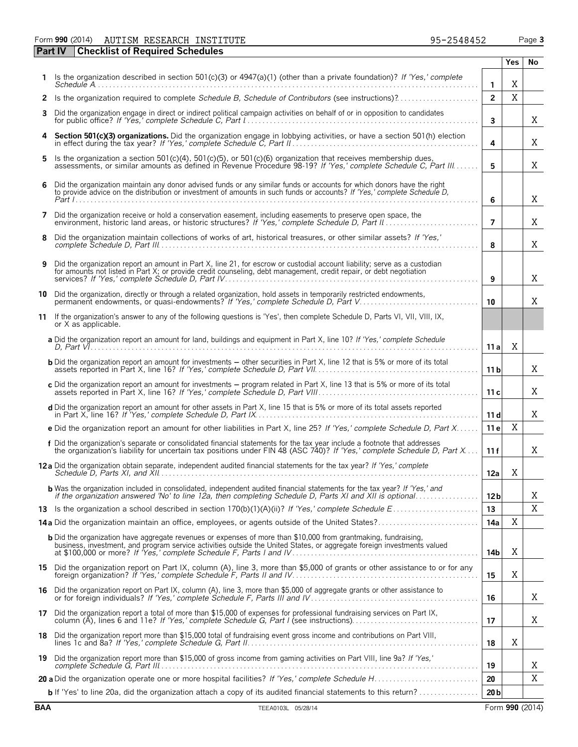|    |                                                                                                                                                                                                                                                     |                 | Yes | No |
|----|-----------------------------------------------------------------------------------------------------------------------------------------------------------------------------------------------------------------------------------------------------|-----------------|-----|----|
|    | 1 Is the organization described in section 501(c)(3) or 4947(a)(1) (other than a private foundation)? If 'Yes,' complete                                                                                                                            | 1               | X   |    |
| 2  |                                                                                                                                                                                                                                                     | $\overline{2}$  | X   |    |
| 3  | Did the organization engage in direct or indirect political campaign activities on behalf of or in opposition to candidates                                                                                                                         | 3               |     | X  |
| 4  | Section 501(c)(3) organizations. Did the organization engage in lobbying activities, or have a section 501(h) election                                                                                                                              | 4               |     | X  |
| 5  | Is the organization a section 501(c)(4), 501(c)(5), or 501(c)(6) organization that receives membership dues,<br>assessments, or similar amounts as defined in Revenue Procedure 98-19? If 'Yes,' complete Schedule C, Part III                      | 5               |     | X  |
| 6  | Did the organization maintain any donor advised funds or any similar funds or accounts for which donors have the right<br>to provide advice on the distribution or investment of amounts in such funds or accounts? If 'Yes,' complete Schedule D,  | 6               |     | X  |
| 7  | Did the organization receive or hold a conservation easement, including easements to preserve open space, the                                                                                                                                       | $\overline{7}$  |     | X  |
| 8  | Did the organization maintain collections of works of art, historical treasures, or other similar assets? If 'Yes,'                                                                                                                                 | 8               |     | X  |
| 9  | Did the organization report an amount in Part X, line 21, for escrow or custodial account liability; serve as a custodian<br>for amounts not listed in Part X; or provide credit counseling, debt management, credit repair, or debt negotiation    | 9               |     | X  |
| 10 | Did the organization, directly or through a related organization, hold assets in temporarily restricted endowments,<br>permanent endowments, or quasi-endowments? If 'Yes,' complete Schedule D, Part V                                             | 10              |     | X  |
| 11 | If the organization's answer to any of the following questions is 'Yes', then complete Schedule D, Parts VI, VII, VIII, IX,<br>or X as applicable.                                                                                                  |                 |     |    |
|    | a Did the organization report an amount for land, buildings and equipment in Part X, line 10? If 'Yes,' complete Schedule                                                                                                                           | 11 a            | X   |    |
|    | <b>b</b> Did the organization report an amount for investments – other securities in Part X, line 12 that is 5% or more of its total                                                                                                                | 11 <sub>b</sub> |     | X  |
|    | c Did the organization report an amount for investments - program related in Part X, line 13 that is 5% or more of its total                                                                                                                        | 11c             |     | X  |
|    | d Did the organization report an amount for other assets in Part X, line 15 that is 5% or more of its total assets reported                                                                                                                         | 11d             |     | X  |
|    | e Did the organization report an amount for other liabilities in Part X, line 25? If 'Yes,' complete Schedule D, Part X                                                                                                                             | 11e             | Χ   |    |
|    | f Did the organization's separate or consolidated financial statements for the tax year include a footnote that addresses<br>the organization's liability for uncertain tax positions under FIN 48 (ASC 740)? If 'Yes,' complete Schedule D, Part X | 11f             |     | X  |
|    | 12 a Did the organization obtain separate, independent audited financial statements for the tax year? If 'Yes,' complete                                                                                                                            | 12a             | X   |    |
|    | <b>b</b> Was the organization included in consolidated, independent audited financial statements for the tax year? If 'Yes,' and<br>if the organization answered 'No' to line 12a, then completing Schedule D, Parts XI and XII is optional         | 12 <sub>b</sub> |     | X  |
|    |                                                                                                                                                                                                                                                     | 13              |     | X  |
|    | 14a Did the organization maintain an office, employees, or agents outside of the United States?                                                                                                                                                     | 14a             | X   |    |
|    | <b>b</b> Did the organization have aggregate revenues or expenses of more than \$10,000 from grantmaking, fundraising,<br>business, investment, and program service activities outside the United States, or aggregate foreign investments valued   | 14b             | Χ   |    |
|    | 15 Did the organization report on Part IX, column (A), line 3, more than \$5,000 of grants or other assistance to or for any                                                                                                                        | 15              | Χ   |    |
|    | 16 Did the organization report on Part IX, column (A), line 3, more than \$5,000 of aggregate grants or other assistance to<br>or for foreign individuals? If 'Yes,' complete Schedule F, Parts III and IV                                          | 16              |     | X  |
|    | 17 Did the organization report a total of more than \$15,000 of expenses for professional fundraising services on Part IX,                                                                                                                          | 17              |     | X  |
| 18 | Did the organization report more than \$15,000 total of fundraising event gross income and contributions on Part VIII,                                                                                                                              | 18              | Χ   |    |
| 19 | Did the organization report more than \$15,000 of gross income from gaming activities on Part VIII, line 9a? If 'Yes,'                                                                                                                              | 19              |     | X  |

X X

| Form 990 (2014) | AUTISM RESEARCH<br>INSTITUTE           | 95-2548452 | $P$ age $\sim$ |
|-----------------|----------------------------------------|------------|----------------|
| <b>Part IV</b>  | <b>Checklist of Required Schedules</b> |            |                |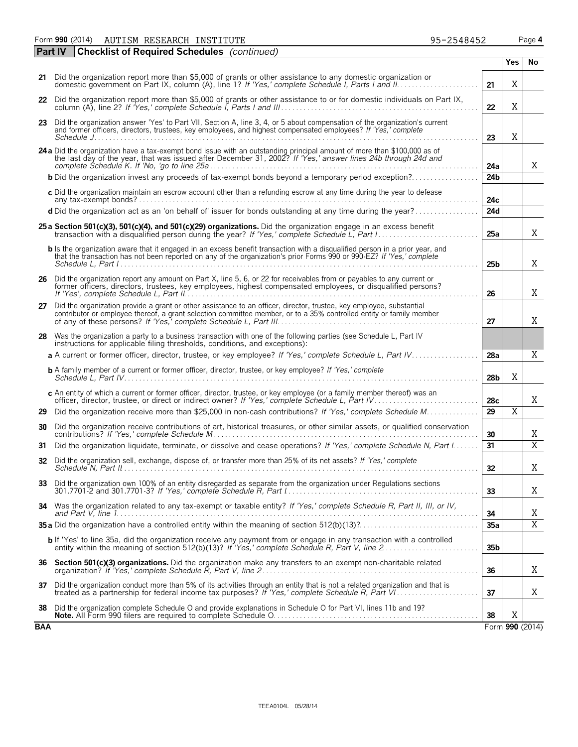Form **990** (2014) Page **4** AUTISM RESEARCH INSTITUTE 35-2548452

|            | <b>Checklist of Required Schedules</b> (continued)<br><b>Part IV</b>                                                                                                                                                                                         |                 |                |                 |
|------------|--------------------------------------------------------------------------------------------------------------------------------------------------------------------------------------------------------------------------------------------------------------|-----------------|----------------|-----------------|
|            |                                                                                                                                                                                                                                                              |                 | Yes            | No              |
|            | 21 Did the organization report more than \$5,000 of grants or other assistance to any domestic organization or<br>domestic government on Part IX, column (A), line 1? If 'Yes,' complete Schedule I, Parts I and II.                                         | 21              | Χ              |                 |
|            | 22 Did the organization report more than \$5,000 of grants or other assistance to or for domestic individuals on Part IX,                                                                                                                                    | 22              | Χ              |                 |
|            | 23 Did the organization answer 'Yes' to Part VII, Section A, line 3, 4, or 5 about compensation of the organization's current<br>and former officers, directors, trustees, key employees, and highest compensated employees? If 'Yes,' complete              | 23              | Χ              |                 |
|            |                                                                                                                                                                                                                                                              |                 |                |                 |
|            | 24 a Did the organization have a tax-exempt bond issue with an outstanding principal amount of more than \$100,000 as of<br>the last day of the year, that was issued after December 31, 2002? If 'Yes,' answer lines 24b through 24d and                    | 24a             |                | Χ               |
|            | <b>b</b> Did the organization invest any proceeds of tax-exempt bonds beyond a temporary period exception?                                                                                                                                                   | 24 <sub>b</sub> |                |                 |
|            | c Did the organization maintain an escrow account other than a refunding escrow at any time during the year to defease                                                                                                                                       | 24c             |                |                 |
|            | d Did the organization act as an 'on behalf of' issuer for bonds outstanding at any time during the year?                                                                                                                                                    | 24d             |                |                 |
|            | 25 a Section 501(c)(3), 501(c)(4), and 501(c)(29) organizations. Did the organization engage in an excess benefit                                                                                                                                            | 25a             |                | X               |
|            | <b>b</b> Is the organization aware that it engaged in an excess benefit transaction with a disqualified person in a prior year, and<br>that the transaction has not been reported on any of the organization's prior Forms 990 or 990-EZ? If 'Yes,' complete | 25 <sub>b</sub> |                | X               |
|            | 26 Did the organization report any amount on Part X, line 5, 6, or 22 for receivables from or payables to any current or<br>former officers, directors, trustees, key employees, highest compensated employees, or disqualified persons?                     | 26              |                | Χ               |
| 27         | Did the organization provide a grant or other assistance to an officer, director, trustee, key employee, substantial<br>contributor or employee thereof, a grant selection committee member, or to a 35% controlled entity or family member                  | 27              |                | Χ               |
|            | 28 Was the organization a party to a business transaction with one of the following parties (see Schedule L, Part IV<br>instructions for applicable filing thresholds, conditions, and exceptions):                                                          |                 |                |                 |
|            | a A current or former officer, director, trustee, or key employee? If 'Yes,' complete Schedule L, Part IV                                                                                                                                                    | 28a             |                | Χ               |
|            | <b>b</b> A family member of a current or former officer, director, trustee, or key employee? If 'Yes,' complete                                                                                                                                              | 28 <sub>b</sub> | Χ              |                 |
|            | c An entity of which a current or former officer, director, trustee, or key employee (or a family member thereof) was an                                                                                                                                     | 28c             |                | Χ               |
| 29         | Did the organization receive more than \$25,000 in non-cash contributions? If 'Yes,' complete Schedule M                                                                                                                                                     | $\overline{29}$ | $\overline{X}$ |                 |
| 30         | Did the organization receive contributions of art, historical treasures, or other similar assets, or qualified conservation                                                                                                                                  | 30              |                | Χ               |
| 31         | Did the organization liquidate, terminate, or dissolve and cease operations? If 'Yes,' complete Schedule N, Part I                                                                                                                                           | 31              |                | $\overline{X}$  |
|            | 32 Did the organization sell, exchange, dispose of, or transfer more than 25% of its net assets? If 'Yes,' complete                                                                                                                                          | 32              |                | Χ               |
|            | 33 Did the organization own 100% of an entity disregarded as separate from the organization under Regulations sections                                                                                                                                       | 33              |                | Χ               |
|            | 34 Was the organization related to any tax-exempt or taxable entity? If 'Yes,' complete Schedule R, Part II, III, or IV,                                                                                                                                     | 34              |                | Χ               |
|            |                                                                                                                                                                                                                                                              | 35a             |                | $\overline{X}$  |
|            | <b>b</b> If 'Yes' to line 35a, did the organization receive any payment from or engage in any transaction with a controlled                                                                                                                                  | 35b             |                |                 |
|            | 36 Section 501(c)(3) organizations. Did the organization make any transfers to an exempt non-charitable related                                                                                                                                              | 36              |                | Χ               |
| 37         | Did the organization conduct more than 5% of its activities through an entity that is not a related organization and that is                                                                                                                                 | 37              |                | Χ               |
| 38         | Did the organization complete Schedule O and provide explanations in Schedule O for Part VI, lines 11b and 19?                                                                                                                                               | 38              | Χ              |                 |
| <b>BAA</b> |                                                                                                                                                                                                                                                              |                 |                | Form 990 (2014) |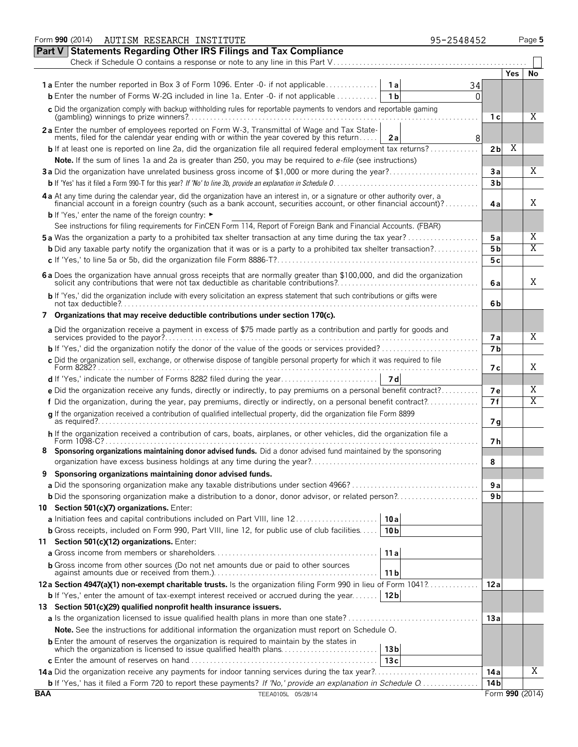|            | Form 990 (2014) AUTISM RESEARCH INSTITUTE<br>95-2548452                                                                                                                                                                                          |                 |            | Page 5                  |
|------------|--------------------------------------------------------------------------------------------------------------------------------------------------------------------------------------------------------------------------------------------------|-----------------|------------|-------------------------|
|            | <b>Statements Regarding Other IRS Filings and Tax Compliance</b><br>Part V                                                                                                                                                                       |                 |            |                         |
|            | Check if Schedule O contains a response or note to any line in this Part V                                                                                                                                                                       |                 |            |                         |
|            |                                                                                                                                                                                                                                                  |                 | <b>Yes</b> | No                      |
|            | <b>1a</b> Enter the number reported in Box 3 of Form 1096. Enter -0- if not applicable<br>1а<br>34                                                                                                                                               |                 |            |                         |
|            | <b>b</b> Enter the number of Forms W-2G included in line 1a. Enter -0- if not applicable<br>1 <sub>b</sub><br>0                                                                                                                                  |                 |            |                         |
|            | c Did the organization comply with backup withholding rules for reportable payments to vendors and reportable gaming                                                                                                                             | 1 с             |            | X                       |
|            | 2a Enter the number of employees reported on Form W-3, Transmittal of Wage and Tax State-<br>ments, filed for the calendar year ending with or within the year covered by this return<br>8<br>2a                                                 |                 |            |                         |
|            | <b>b</b> If at least one is reported on line 2a, did the organization file all required federal employment tax returns?                                                                                                                          | 2 <sub>b</sub>  | Χ          |                         |
|            | Note. If the sum of lines 1a and 2a is greater than 250, you may be required to e-file (see instructions)                                                                                                                                        |                 |            |                         |
|            | 3a Did the organization have unrelated business gross income of \$1,000 or more during the year?                                                                                                                                                 | 3a              |            | Χ                       |
|            |                                                                                                                                                                                                                                                  | 3 <sub>b</sub>  |            |                         |
|            | 4a At any time during the calendar year, did the organization have an interest in, or a signature or other authority over, a<br>financial account in a foreign country (such as a bank account, securities account, or other financial account)? | 4a              |            | Χ                       |
|            | <b>b</b> If 'Yes,' enter the name of the foreign country: ►<br>See instructions for filing requirements for FinCEN Form 114, Report of Foreign Bank and Financial Accounts. (FBAR)                                                               |                 |            |                         |
|            | <b>5a</b> Was the organization a party to a prohibited tax shelter transaction at any time during the tax year?                                                                                                                                  | 5 a             |            | Χ                       |
|            | <b>b</b> Did any taxable party notify the organization that it was or is a party to a prohibited tax shelter transaction?                                                                                                                        | 5 <sub>b</sub>  |            | Χ                       |
|            |                                                                                                                                                                                                                                                  | 5с              |            |                         |
|            |                                                                                                                                                                                                                                                  |                 |            |                         |
|            | 6 a Does the organization have annual gross receipts that are normally greater than \$100,000, and did the organization solicit any contributions that were not tax deductible as charitable contributions?                                      | 6 a             |            | Χ                       |
|            | b If 'Yes,' did the organization include with every solicitation an express statement that such contributions or gifts were                                                                                                                      | 6b              |            |                         |
|            | 7 Organizations that may receive deductible contributions under section 170(c).                                                                                                                                                                  |                 |            |                         |
|            | a Did the organization receive a payment in excess of \$75 made partly as a contribution and partly for goods and                                                                                                                                | 7 a             |            | Χ                       |
|            |                                                                                                                                                                                                                                                  | 7 <sub>b</sub>  |            |                         |
|            | c Did the organization sell, exchange, or otherwise dispose of tangible personal property for which it was required to file                                                                                                                      | 7 с             |            | Χ                       |
|            |                                                                                                                                                                                                                                                  |                 |            |                         |
|            | e Did the organization receive any funds, directly or indirectly, to pay premiums on a personal benefit contract?                                                                                                                                | 7е              |            | Χ                       |
|            | f Did the organization, during the year, pay premiums, directly or indirectly, on a personal benefit contract?                                                                                                                                   | 7f              |            | $\overline{\mathrm{X}}$ |
|            | q If the organization received a contribution of qualified intellectual property, did the organization file Form 8899                                                                                                                            | 7 <sub>q</sub>  |            |                         |
|            | h If the organization received a contribution of cars, boats, airplanes, or other vehicles, did the organization file a<br>Form 1098-C?                                                                                                          | 7 h             |            |                         |
|            | Sponsoring organizations maintaining donor advised funds. Did a donor advised fund maintained by the sponsoring                                                                                                                                  |                 |            |                         |
|            |                                                                                                                                                                                                                                                  | 8               |            |                         |
| 9          | Sponsoring organizations maintaining donor advised funds.                                                                                                                                                                                        |                 |            |                         |
|            |                                                                                                                                                                                                                                                  | 9а              |            |                         |
|            | <b>b</b> Did the sponsoring organization make a distribution to a donor, donor advisor, or related person?                                                                                                                                       | 9 <sub>b</sub>  |            |                         |
|            | 10 Section 501(c)(7) organizations. Enter:                                                                                                                                                                                                       |                 |            |                         |
|            | 10a<br>a Initiation fees and capital contributions included on Part VIII, line 12                                                                                                                                                                |                 |            |                         |
|            | <b>b</b> Gross receipts, included on Form 990, Part VIII, line 12, for public use of club facilities<br>10 <sub>b</sub>                                                                                                                          |                 |            |                         |
|            | 11 Section 501(c)(12) organizations. Enter:                                                                                                                                                                                                      |                 |            |                         |
|            | 11a                                                                                                                                                                                                                                              |                 |            |                         |
|            | <b>b</b> Gross income from other sources (Do not net amounts due or paid to other sources<br>11 <sub>b</sub>                                                                                                                                     |                 |            |                         |
|            | 12a Section 4947(a)(1) non-exempt charitable trusts. Is the organization filing Form 990 in lieu of Form 1041?                                                                                                                                   | 12a             |            |                         |
|            | <b>b</b> If 'Yes,' enter the amount of tax-exempt interest received or accrued during the year<br>12 <sub>b</sub>                                                                                                                                |                 |            |                         |
|            | 13 Section 501(c)(29) qualified nonprofit health insurance issuers.                                                                                                                                                                              |                 |            |                         |
|            |                                                                                                                                                                                                                                                  | 13a             |            |                         |
|            | Note. See the instructions for additional information the organization must report on Schedule O.                                                                                                                                                |                 |            |                         |
|            | 13 <sub>b</sub>                                                                                                                                                                                                                                  |                 |            |                         |
|            | 13c                                                                                                                                                                                                                                              |                 |            |                         |
|            | 14a Did the organization receive any payments for indoor tanning services during the tax year?                                                                                                                                                   | 14 a            |            | X                       |
| <b>BAA</b> | b If 'Yes,' has it filed a Form 720 to report these payments? If 'No,' provide an explanation in Schedule O<br>TEEA0105L 05/28/14                                                                                                                | 14 <sub>b</sub> |            | Form 990 (2014)         |
|            |                                                                                                                                                                                                                                                  |                 |            |                         |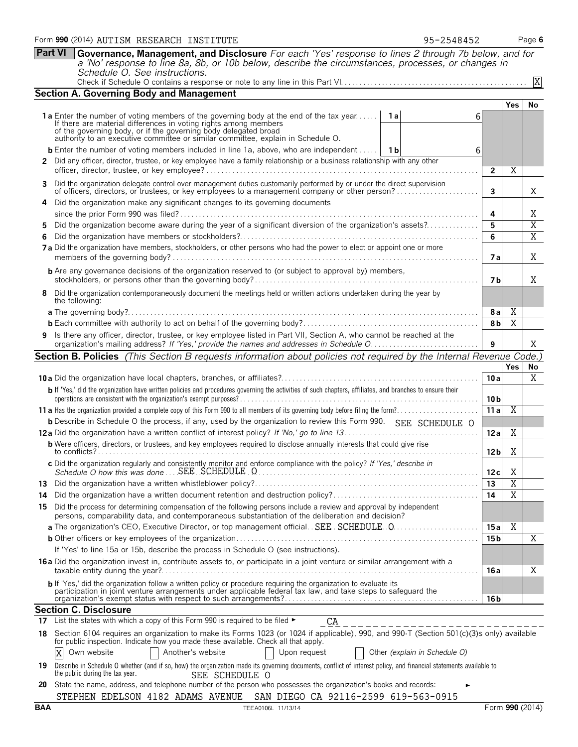|     |                                                                                                                                                                                                                                                                                                                                      |                 | 1 C.S          | IVU             |  |  |  |  |
|-----|--------------------------------------------------------------------------------------------------------------------------------------------------------------------------------------------------------------------------------------------------------------------------------------------------------------------------------------|-----------------|----------------|-----------------|--|--|--|--|
|     | <b>1a</b> Enter the number of voting members of the governing body at the end of the tax year <b>1a</b><br>6<br>If there are material differences in voting rights among members<br>of the governing body, or if the governing body delegated broad authority to an executive committee or similar committee, explain in Schedule O. |                 |                |                 |  |  |  |  |
|     | <b>b</b> Enter the number of voting members included in line 1a, above, who are independent    1b<br>6                                                                                                                                                                                                                               |                 |                |                 |  |  |  |  |
|     | 2 Did any officer, director, trustee, or key employee have a family relationship or a business relationship with any other                                                                                                                                                                                                           | $\overline{2}$  | X              |                 |  |  |  |  |
| 3.  | Did the organization delegate control over management duties customarily performed by or under the direct supervision<br>of officers, directors, or trustees, or key employees to a management company or other person?                                                                                                              |                 |                |                 |  |  |  |  |
|     | Did the organization make any significant changes to its governing documents                                                                                                                                                                                                                                                         |                 |                |                 |  |  |  |  |
|     |                                                                                                                                                                                                                                                                                                                                      | 4               |                | Χ               |  |  |  |  |
|     | Did the organization become aware during the year of a significant diversion of the organization's assets?                                                                                                                                                                                                                           | 5               |                | $\overline{X}$  |  |  |  |  |
|     |                                                                                                                                                                                                                                                                                                                                      | 6               |                | X               |  |  |  |  |
|     | 7a Did the organization have members, stockholders, or other persons who had the power to elect or appoint one or more                                                                                                                                                                                                               | 7a              |                | Χ               |  |  |  |  |
|     | <b>b</b> Are any governance decisions of the organization reserved to (or subject to approval by) members,                                                                                                                                                                                                                           | 7 <sub>b</sub>  |                | Χ               |  |  |  |  |
| 8   | Did the organization contemporaneously document the meetings held or written actions undertaken during the year by<br>the following:                                                                                                                                                                                                 |                 |                |                 |  |  |  |  |
|     |                                                                                                                                                                                                                                                                                                                                      | 8a              | X              |                 |  |  |  |  |
|     |                                                                                                                                                                                                                                                                                                                                      | 8 <sub>b</sub>  | X              |                 |  |  |  |  |
|     | 9 Is there any officer, director, trustee, or key employee listed in Part VII, Section A, who cannot be reached at the                                                                                                                                                                                                               | 9               |                | Χ               |  |  |  |  |
|     | Section B. Policies (This Section B requests information about policies not required by the Internal Revenue Code.)                                                                                                                                                                                                                  |                 |                |                 |  |  |  |  |
|     |                                                                                                                                                                                                                                                                                                                                      |                 | <b>Yes</b>     | No              |  |  |  |  |
|     | b If 'Yes,' did the organization have written policies and procedures governing the activities of such chapters, affiliates, and branches to ensure their                                                                                                                                                                            | 10a             |                | Χ               |  |  |  |  |
|     |                                                                                                                                                                                                                                                                                                                                      | 10 <sub>b</sub> |                |                 |  |  |  |  |
|     |                                                                                                                                                                                                                                                                                                                                      | 11a             | $\overline{X}$ |                 |  |  |  |  |
|     | <b>b</b> Describe in Schedule O the process, if any, used by the organization to review this Form 990. SEE SCHEDULE O                                                                                                                                                                                                                |                 |                |                 |  |  |  |  |
|     |                                                                                                                                                                                                                                                                                                                                      | 12a             | Χ              |                 |  |  |  |  |
|     | <b>b</b> Were officers, directors, or trustees, and key employees required to disclose annually interests that could give rise                                                                                                                                                                                                       |                 |                |                 |  |  |  |  |
|     |                                                                                                                                                                                                                                                                                                                                      | 12 <sub>b</sub> | Χ              |                 |  |  |  |  |
|     | c Did the organization regularly and consistently monitor and enforce compliance with the policy? If 'Yes,' describe in                                                                                                                                                                                                              | 12c             | X              |                 |  |  |  |  |
|     |                                                                                                                                                                                                                                                                                                                                      | 13              | $\overline{X}$ |                 |  |  |  |  |
| 14  |                                                                                                                                                                                                                                                                                                                                      | 14              | X              |                 |  |  |  |  |
|     | 15 Did the process for determining compensation of the following persons include a review and approval by independent<br>persons, comparability data, and contemporaneous substantiation of the deliberation and decision?                                                                                                           |                 |                |                 |  |  |  |  |
|     | a The organization's CEO, Executive Director, or top management official. . SEE . SCHEDULE. . O.                                                                                                                                                                                                                                     | 15a             | X              |                 |  |  |  |  |
|     |                                                                                                                                                                                                                                                                                                                                      | 15 b            |                | $\overline{X}$  |  |  |  |  |
|     | If 'Yes' to line 15a or 15b, describe the process in Schedule O (see instructions).                                                                                                                                                                                                                                                  |                 |                |                 |  |  |  |  |
|     | <b>16a</b> Did the organization invest in, contribute assets to, or participate in a joint venture or similar arrangement with a                                                                                                                                                                                                     | 16 a            |                | Χ               |  |  |  |  |
|     | b If 'Yes,' did the organization follow a written policy or procedure requiring the organization to evaluate its participation in joint venture arrangements under applicable federal tax law, and take steps to safeguard the                                                                                                       | 16 b            |                |                 |  |  |  |  |
|     | <b>Section C. Disclosure</b>                                                                                                                                                                                                                                                                                                         |                 |                |                 |  |  |  |  |
| 17  | List the states with which a copy of this Form 990 is required to be filed ►<br>CA<br>___________________                                                                                                                                                                                                                            |                 |                |                 |  |  |  |  |
|     | 18 Section 6104 requires an organization to make its Forms 1023 (or 1024 if applicable), 990, and 990-T (Section 501(c)(3)s only) available<br>for public inspection. Indicate how you made these available. Check all that apply.                                                                                                   |                 |                |                 |  |  |  |  |
|     | Another's website<br>X<br>Own website<br>Upon request<br>Other (explain in Schedule O)                                                                                                                                                                                                                                               |                 |                |                 |  |  |  |  |
| 19  | Describe in Schedule O whether (and if so, how) the organization made its governing documents, conflict of interest policy, and financial statements available to<br>the public during the tax year.<br>SEE SCHEDULE O                                                                                                               |                 |                |                 |  |  |  |  |
|     | State the name, address, and telephone number of the person who possesses the organization's books and records:<br>20                                                                                                                                                                                                                |                 |                |                 |  |  |  |  |
|     | STEPHEN EDELSON 4182 ADAMS AVENUE<br>SAN DIEGO CA 92116-2599 619-563-0915                                                                                                                                                                                                                                                            |                 |                |                 |  |  |  |  |
| BAA | TEEA0106L 11/13/14                                                                                                                                                                                                                                                                                                                   |                 |                | Form 990 (2014) |  |  |  |  |

**Part VI Governance, Management, and Disclosure** *For each 'Yes' response to lines 2 through 7b below, and for a 'No' response to line 8a, 8b, or 10b below, describe the circumstances, processes, or changes in*

**Section A. Governing Body and Management**

Check if Schedule O contains a response or note to any line in this Part VI. . . . . . . . . . . . . . . . . . . . . . . . . . . . . . . . . . . . . . . . . . . . . . . . . .

*Schedule O. See instructions.*

X

**Yes No**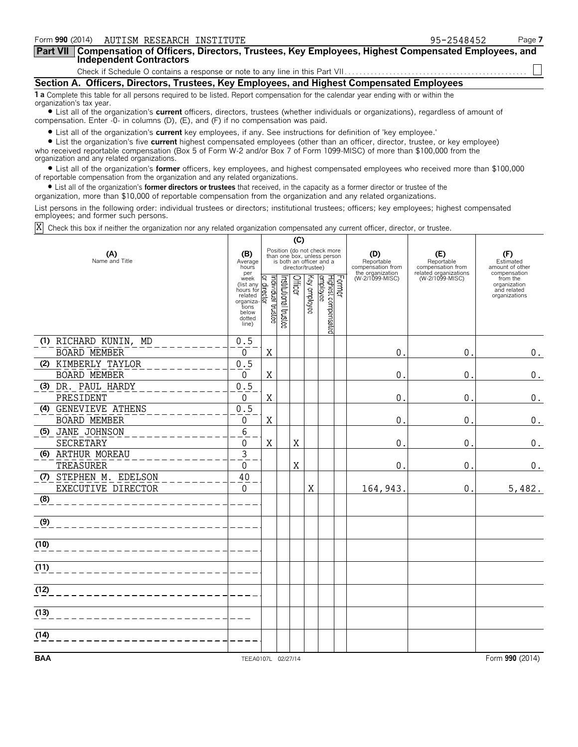| Form 990 (2014)<br>AUTISM RESEARCH INSTITUTE                                                                                                                                                                                                            | 95-2548452 | Page 7 |
|---------------------------------------------------------------------------------------------------------------------------------------------------------------------------------------------------------------------------------------------------------|------------|--------|
| Part VII   Compensation of Officers, Directors, Trustees, Key Employees, Highest Compensated Employees, and<br><b>Independent Contractors</b>                                                                                                           |            |        |
|                                                                                                                                                                                                                                                         |            |        |
| Section A. Officers, Directors, Trustees, Key Employees, and Highest Compensated Employees                                                                                                                                                              |            |        |
| 1 a Complete this table for all persons required to be listed. Report compensation for the calendar year ending with or within the<br>organization's tax year.                                                                                          |            |        |
| • List all of the organization's current officers, directors, trustees (whether individuals or organizations), regardless of amount of<br>compensation. Enter -0- in columns (D), $(E)$ , and $(F)$ if no compensation was paid.                        |            |        |
| • List all of the organization's current key employees, if any. See instructions for definition of 'key employee.'<br>A List the arganizations five assument bigheat componented employees (other than an officer, director, trunkee or less amplesees) |            |        |

? List the organization's five **current** highest compensated employees (other than an officer, director, trustee, or key employee) who received reportable compensation (Box 5 of Form W-2 and/or Box 7 of Form 1099-MISC) of more than \$100,000 from the organization and any related organizations.

? List all of the organization's **former** officers, key employees, and highest compensated employees who received more than \$100,000 of reportable compensation from the organization and any related organizations.

? List all of the organization's **former directors or trustees** that received, in the capacity as a former director or trustee of the

organization, more than \$10,000 of reportable compensation from the organization and any related organizations.

List persons in the following order: individual trustees or directors; institutional trustees; officers; key employees; highest compensated employees; and former such persons.

Check this box if neither the organization nor any related organization compensated any current officer, director, or trustee. X

|                                              |                                                                                                   |                                    |                       | (C)     |                   |                                                                                        |                                        |                                          |                                                          |
|----------------------------------------------|---------------------------------------------------------------------------------------------------|------------------------------------|-----------------------|---------|-------------------|----------------------------------------------------------------------------------------|----------------------------------------|------------------------------------------|----------------------------------------------------------|
| (A)<br>Name and Title                        |                                                                                                   |                                    |                       |         | director/trustee) | Position (do not check more<br>than one box, unless person<br>is both an officer and a | (D)<br>Reportable<br>compensation from | (E)<br>Reportable<br>compensation from   | (F)<br>Estimated<br>amount of other<br>compensation      |
|                                              | per<br>week<br>(list any<br>hours for<br>related<br>organiza<br>tions<br>below<br>dotted<br>line) | Individual trustee<br>direct<br>ត្ | Institutional trustee | Officer | Key employee      | Former<br>Highest compensated<br>employee                                              | the organization<br>(W-2/1099-MISC)    | related organizations<br>(W-2/1099-MISC) | from the<br>organization<br>and related<br>organizations |
| (1) RICHARD KUNIN, MD<br><b>BOARD MEMBER</b> | 0.5<br>$\Omega$                                                                                   | X                                  |                       |         |                   |                                                                                        | $\mathbf 0$                            | $\mathbf 0$                              | 0.                                                       |
| (2) KIMBERLY TAYLOR                          | 0.5                                                                                               |                                    |                       |         |                   |                                                                                        |                                        |                                          |                                                          |
| <b>BOARD MEMBER</b>                          | 0                                                                                                 | X                                  |                       |         |                   |                                                                                        | $\mathbf 0$                            | $\mathbf 0$                              | $0$ .                                                    |
| $(3)$ DR. PAUL HARDY<br>PRESIDENT            | 0.5<br>0                                                                                          | $\rm X$                            |                       |         |                   |                                                                                        | $\mathbf 0$                            | $\mathbf 0$                              | $0$ .                                                    |
| (4) GENEVIEVE ATHENS<br>BOARD MEMBER         | 0.5<br>0                                                                                          | Χ                                  |                       |         |                   |                                                                                        | 0                                      | $\pmb{0}$                                | 0.                                                       |
| (5) JANE JOHNSON<br>SECRETARY                | 6<br>$\Omega$                                                                                     | X                                  |                       | X       |                   |                                                                                        | 0                                      | 0                                        | 0.                                                       |
| (6) ARTHUR MOREAU<br>TREASURER               | 3<br>$\Omega$                                                                                     |                                    |                       | X       |                   |                                                                                        | 0                                      | $\mathbf 0$                              | $0$ .                                                    |
| (7) STEPHEN M. EDELSON<br>EXECUTIVE DIRECTOR | 40<br>$\mathbf 0$                                                                                 |                                    |                       |         | X                 |                                                                                        | 164, 943.                              | $\Omega$ .                               | 5,482.                                                   |
| (8)                                          |                                                                                                   |                                    |                       |         |                   |                                                                                        |                                        |                                          |                                                          |
| (9)                                          |                                                                                                   |                                    |                       |         |                   |                                                                                        |                                        |                                          |                                                          |
| (10)                                         |                                                                                                   |                                    |                       |         |                   |                                                                                        |                                        |                                          |                                                          |
| (11)                                         |                                                                                                   |                                    |                       |         |                   |                                                                                        |                                        |                                          |                                                          |
| (12)                                         |                                                                                                   |                                    |                       |         |                   |                                                                                        |                                        |                                          |                                                          |
| (13)                                         |                                                                                                   |                                    |                       |         |                   |                                                                                        |                                        |                                          |                                                          |
| (14)                                         |                                                                                                   |                                    |                       |         |                   |                                                                                        |                                        |                                          |                                                          |
| <b>BAA</b>                                   | TEEA0107L 02/27/14                                                                                |                                    |                       |         |                   |                                                                                        |                                        |                                          | Form 990 (2014)                                          |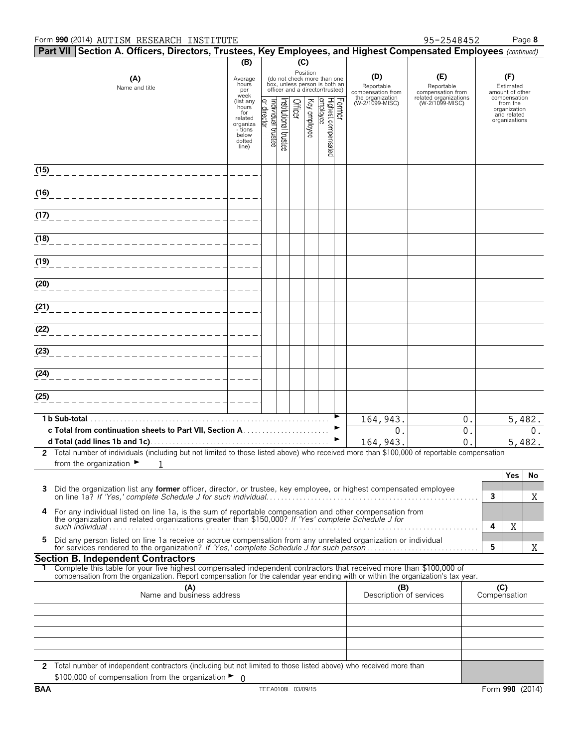#### Form **990** (2014) Page **8** AUTISM RESEARCH INSTITUTE 95-2548452

| Part VII Section A. Officers, Directors, Trustees, Key Employees, and Highest Compensated Employees (continued)                                                                                                                                              |                                                                                                 |                               |                      |         |                                                                                                                                                              |                                 |                                 |                                     |                                          |                     |                                                                          |        |
|--------------------------------------------------------------------------------------------------------------------------------------------------------------------------------------------------------------------------------------------------------------|-------------------------------------------------------------------------------------------------|-------------------------------|----------------------|---------|--------------------------------------------------------------------------------------------------------------------------------------------------------------|---------------------------------|---------------------------------|-------------------------------------|------------------------------------------|---------------------|--------------------------------------------------------------------------|--------|
|                                                                                                                                                                                                                                                              | (B)                                                                                             |                               |                      | (C)     |                                                                                                                                                              |                                 |                                 |                                     |                                          |                     |                                                                          |        |
| (A)<br>Name and title                                                                                                                                                                                                                                        | Average<br>hours<br>per                                                                         |                               |                      |         | Position<br>(D)<br>(E)<br>(do not check more than one<br>box, unless person is both an<br>Reportable<br>compensation from<br>officer and a director/trustee) |                                 | Reportable<br>compensation from |                                     | (F)<br>Estimated<br>amount of other      |                     |                                                                          |        |
|                                                                                                                                                                                                                                                              | week<br>(list any<br>hours<br>for<br>related<br>organiza<br>- tions<br>below<br>dotted<br>line) | ndividual trustee<br>director | hstitutional trustee | Officer | Key employee                                                                                                                                                 | employee<br>Highest compensated | Former                          | the organization<br>(W-2/1099-MISC) | related organizations<br>(W-2/1099-MISC) |                     | compensation<br>from the<br>organization<br>and related<br>organizations |        |
| (15)                                                                                                                                                                                                                                                         |                                                                                                 |                               |                      |         |                                                                                                                                                              |                                 |                                 |                                     |                                          |                     |                                                                          |        |
| (16)                                                                                                                                                                                                                                                         |                                                                                                 |                               |                      |         |                                                                                                                                                              |                                 |                                 |                                     |                                          |                     |                                                                          |        |
| (17)                                                                                                                                                                                                                                                         |                                                                                                 |                               |                      |         |                                                                                                                                                              |                                 |                                 |                                     |                                          |                     |                                                                          |        |
| (18)                                                                                                                                                                                                                                                         |                                                                                                 |                               |                      |         |                                                                                                                                                              |                                 |                                 |                                     |                                          |                     |                                                                          |        |
| (19)                                                                                                                                                                                                                                                         |                                                                                                 |                               |                      |         |                                                                                                                                                              |                                 |                                 |                                     |                                          |                     |                                                                          |        |
| (20)                                                                                                                                                                                                                                                         |                                                                                                 |                               |                      |         |                                                                                                                                                              |                                 |                                 |                                     |                                          |                     |                                                                          |        |
| (21)                                                                                                                                                                                                                                                         |                                                                                                 |                               |                      |         |                                                                                                                                                              |                                 |                                 |                                     |                                          |                     |                                                                          |        |
| (22)                                                                                                                                                                                                                                                         |                                                                                                 |                               |                      |         |                                                                                                                                                              |                                 |                                 |                                     |                                          |                     |                                                                          |        |
| (23)                                                                                                                                                                                                                                                         |                                                                                                 |                               |                      |         |                                                                                                                                                              |                                 |                                 |                                     |                                          |                     |                                                                          |        |
| (24)                                                                                                                                                                                                                                                         |                                                                                                 |                               |                      |         |                                                                                                                                                              |                                 |                                 |                                     |                                          |                     |                                                                          |        |
| (25)                                                                                                                                                                                                                                                         |                                                                                                 |                               |                      |         |                                                                                                                                                              |                                 |                                 |                                     |                                          |                     |                                                                          |        |
| 1 b Sub-total.                                                                                                                                                                                                                                               |                                                                                                 |                               |                      |         |                                                                                                                                                              |                                 | ►                               | 164, 943.                           | 0.                                       |                     |                                                                          | 5,482. |
|                                                                                                                                                                                                                                                              |                                                                                                 |                               |                      |         |                                                                                                                                                              |                                 |                                 | 0.                                  | 0                                        |                     |                                                                          | $0$ .  |
| 2 Total number of individuals (including but not limited to those listed above) who received more than \$100,000 of reportable compensation                                                                                                                  |                                                                                                 |                               |                      |         |                                                                                                                                                              |                                 |                                 | 164,943                             | 0                                        |                     |                                                                          | 5,482. |
| from the organization $\blacktriangleright$<br>1                                                                                                                                                                                                             |                                                                                                 |                               |                      |         |                                                                                                                                                              |                                 |                                 |                                     |                                          |                     |                                                                          |        |
| Did the organization list any <b>former</b> officer, director, or trustee, key employee, or highest compensated employee                                                                                                                                     |                                                                                                 |                               |                      |         |                                                                                                                                                              |                                 |                                 |                                     |                                          | 3                   | Yes                                                                      | No     |
| 4<br>For any individual listed on line 1a, is the sum of reportable compensation and other compensation from<br>the organization and related organizations greater than \$150,000? If 'Yes' complete Schedule J for                                          |                                                                                                 |                               |                      |         |                                                                                                                                                              |                                 |                                 |                                     |                                          |                     |                                                                          | Χ      |
| Did any person listed on line 1a receive or accrue compensation from any unrelated organization or individual<br>5.                                                                                                                                          |                                                                                                 |                               |                      |         |                                                                                                                                                              |                                 |                                 |                                     |                                          | 4                   | Χ                                                                        |        |
| <b>Section B. Independent Contractors</b>                                                                                                                                                                                                                    |                                                                                                 |                               |                      |         |                                                                                                                                                              |                                 |                                 |                                     |                                          | 5                   |                                                                          | Χ      |
| Complete this table for your five highest compensated independent contractors that received more than \$100,000 of<br>Τ.<br>compensation from the organization. Report compensation for the calendar year ending with or within the organization's tax year. |                                                                                                 |                               |                      |         |                                                                                                                                                              |                                 |                                 |                                     |                                          |                     |                                                                          |        |
| (A)<br>Name and business address                                                                                                                                                                                                                             |                                                                                                 |                               |                      |         |                                                                                                                                                              |                                 |                                 | (B)<br>Description of services      |                                          | (C)<br>Compensation |                                                                          |        |
|                                                                                                                                                                                                                                                              |                                                                                                 |                               |                      |         |                                                                                                                                                              |                                 |                                 |                                     |                                          |                     |                                                                          |        |
|                                                                                                                                                                                                                                                              |                                                                                                 |                               |                      |         |                                                                                                                                                              |                                 |                                 |                                     |                                          |                     |                                                                          |        |
|                                                                                                                                                                                                                                                              |                                                                                                 |                               |                      |         |                                                                                                                                                              |                                 |                                 |                                     |                                          |                     |                                                                          |        |
|                                                                                                                                                                                                                                                              |                                                                                                 |                               |                      |         |                                                                                                                                                              |                                 |                                 |                                     |                                          |                     |                                                                          |        |
| 2 Total number of independent contractors (including but not limited to those listed above) who received more than<br>\$100,000 of compensation from the organization $\blacktriangleright$ 0                                                                |                                                                                                 |                               |                      |         |                                                                                                                                                              |                                 |                                 |                                     |                                          |                     |                                                                          |        |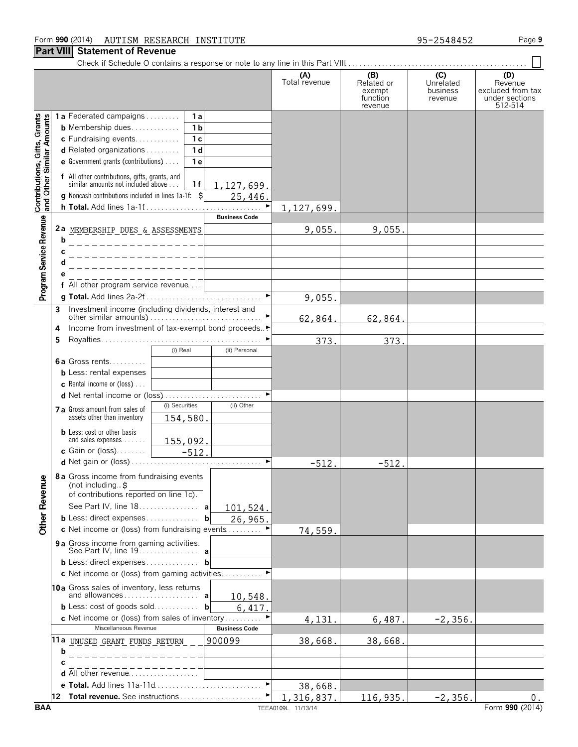|                                                           |        |                                                                                                                                                                                                                    | (A)<br>Total revenue | (B)<br>Related or<br>exempt<br>function<br>revenue | (C)<br>Unrelated<br>business<br>revenue | (D)<br>Revenue<br>excluded from tax<br>under sections<br>512-514 |
|-----------------------------------------------------------|--------|--------------------------------------------------------------------------------------------------------------------------------------------------------------------------------------------------------------------|----------------------|----------------------------------------------------|-----------------------------------------|------------------------------------------------------------------|
| Contributions, Gifts, Grants<br>and Other Similar Amounts |        | 1a Federated campaigns<br>1a<br>1 <sub>b</sub><br><b>b</b> Membership dues<br>1c<br>c Fundraising events<br>1 <sub>d</sub><br><b>d</b> Related organizations $\ldots$<br>e Government grants (contributions)<br>1e |                      |                                                    |                                         |                                                                  |
|                                                           |        | f All other contributions, gifts, grants, and<br>similar amounts not included above<br>1f<br>1,127,699.<br><b>q</b> Noncash contributions included in lines 1a-1f: \$<br>25,446.                                   |                      |                                                    |                                         |                                                                  |
|                                                           |        | $\blacktriangleright$                                                                                                                                                                                              | 1,127,699.           |                                                    |                                         |                                                                  |
| Program Service Revenue                                   | b      | <b>Business Code</b><br>2a MEMBERSHIP DUES & ASSESSMENTS                                                                                                                                                           | 9,055.               | 9,055.                                             |                                         |                                                                  |
|                                                           |        |                                                                                                                                                                                                                    |                      |                                                    |                                         |                                                                  |
|                                                           |        | f All other program service revenue                                                                                                                                                                                |                      |                                                    |                                         |                                                                  |
|                                                           |        | $\blacktriangleright$                                                                                                                                                                                              | 9,055.               |                                                    |                                         |                                                                  |
|                                                           | 3<br>4 | Investment income (including dividends, interest and<br>Income from investment of tax-exempt bond proceeds▶                                                                                                        | 62,864.              | 62,864.                                            |                                         |                                                                  |
|                                                           | 5      | (i) Real<br>(ii) Personal                                                                                                                                                                                          | 373.                 | 373.                                               |                                         |                                                                  |
|                                                           |        | <b>6a</b> Gross rents<br><b>b</b> Less: rental expenses<br><b>c</b> Rental income or (loss) $\ldots$                                                                                                               |                      |                                                    |                                         |                                                                  |
|                                                           |        | (i) Securities<br>(ii) Other                                                                                                                                                                                       |                      |                                                    |                                         |                                                                  |
|                                                           |        | 7 a Gross amount from sales of<br>assets other than inventory<br>154,580.                                                                                                                                          |                      |                                                    |                                         |                                                                  |
|                                                           |        | <b>b</b> Less: cost or other basis<br>and sales expenses<br>155,092.<br>c Gain or (loss) <br>$-512.$                                                                                                               |                      |                                                    |                                         |                                                                  |
|                                                           |        | $\blacktriangleright$                                                                                                                                                                                              | $-512.$              | $-512.$                                            |                                         |                                                                  |
| <b>Other Revenu</b>                                       |        | 8 a Gross income from fundraising events<br>(not including $\sharp$<br>of contributions reported on line 1c).<br>See Part IV, line 18. a<br>101,524.<br><b>b</b> Less: direct expenses<br>b<br>26,965.             |                      |                                                    |                                         |                                                                  |
|                                                           |        | c Net income or (loss) from fundraising events $\dots\dots\dots$                                                                                                                                                   | 74,559.              |                                                    |                                         |                                                                  |
|                                                           |        | 9 a Gross income from gaming activities.<br>See Part IV, line 19. <b>a</b><br><b>b</b> Less: direct expenses <b>b</b><br>c Net income or (loss) from gaming activities                                             |                      |                                                    |                                         |                                                                  |
|                                                           |        | 10a Gross sales of inventory, less returns<br>and allowances<br>10,548.<br>а<br><b>b</b> Less: cost of goods sold <b>b</b><br>6,417                                                                                |                      |                                                    |                                         |                                                                  |
|                                                           |        | c Net income or (loss) from sales of inventory<br>Miscellaneous Revenue<br><b>Business Code</b>                                                                                                                    | 4,131                | 6,487.                                             | $-2,356.$                               |                                                                  |
|                                                           |        | 11a UNUSED GRANT FUNDS RETURN<br>900099                                                                                                                                                                            | 38,668.              | 38,668.                                            |                                         |                                                                  |
|                                                           | b      |                                                                                                                                                                                                                    |                      |                                                    |                                         |                                                                  |
|                                                           |        | d All other revenue                                                                                                                                                                                                |                      |                                                    |                                         |                                                                  |
|                                                           |        | e Total. Add lines 11a-11d                                                                                                                                                                                         | 38,668.              |                                                    |                                         |                                                                  |
|                                                           |        | 12 Total revenue. See instructions                                                                                                                                                                                 | 1,316,837.           | 116,935.                                           | $-2,356$                                | $0$ .                                                            |
| <b>BAA</b>                                                |        |                                                                                                                                                                                                                    | TEEA0109L 11/13/14   |                                                    |                                         | Form 990 (2014)                                                  |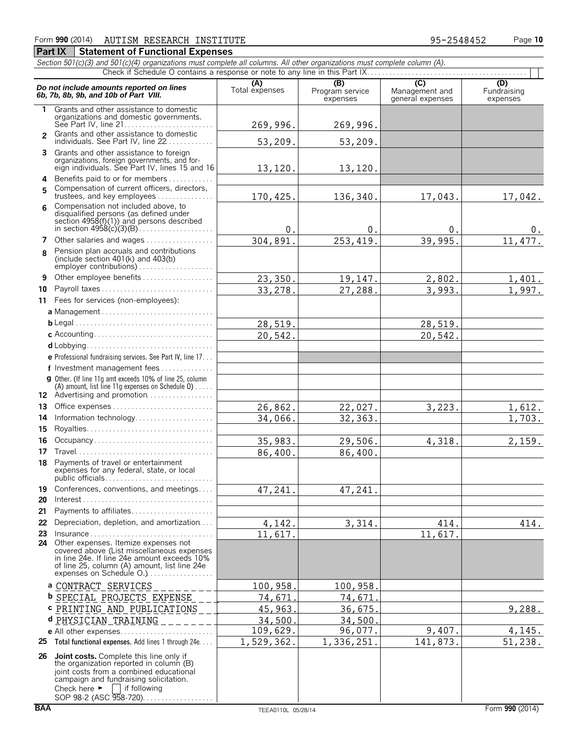|               | Section 501(c)(3) and 501(c)(4) organizations must complete all columns. All other organizations must complete column (A).                                                                                                         |                       |                                    |                                                      |                                |  |  |  |  |  |  |
|---------------|------------------------------------------------------------------------------------------------------------------------------------------------------------------------------------------------------------------------------------|-----------------------|------------------------------------|------------------------------------------------------|--------------------------------|--|--|--|--|--|--|
|               |                                                                                                                                                                                                                                    |                       |                                    |                                                      |                                |  |  |  |  |  |  |
|               | Do not include amounts reported on lines<br>6b, 7b, 8b, 9b, and 10b of Part VIII.                                                                                                                                                  | (A)<br>Total expenses | (B)<br>Program service<br>expenses | $\overline{C}$<br>Management and<br>general expenses | (D)<br>Fundraising<br>expenses |  |  |  |  |  |  |
| 1.            | Grants and other assistance to domestic<br>organizations and domestic governments.                                                                                                                                                 | 269,996.              | 269,996.                           |                                                      |                                |  |  |  |  |  |  |
| $\mathcal{P}$ | Grants and other assistance to domestic<br>individuals. See Part IV, line 22                                                                                                                                                       | 53,209.               | 53,209.                            |                                                      |                                |  |  |  |  |  |  |
|               | 3 Grants and other assistance to foreign<br>organizations, foreign governments, and for-<br>eign individuals. See Part IV, lines 15 and 16                                                                                         | 13,120.               | 13,120.                            |                                                      |                                |  |  |  |  |  |  |
| 4<br>5        | Benefits paid to or for members<br>Compensation of current officers, directors,<br>trustees, and key employees                                                                                                                     | 170, 425.             | 136,340.                           | 17,043.                                              | 17,042.                        |  |  |  |  |  |  |
| 6             | Compensation not included above, to<br>disqualified persons (as defined under<br>section $4958(f)(1)$ and persons described                                                                                                        | 0.                    | 0.                                 | 0.                                                   | 0.                             |  |  |  |  |  |  |
| 7             | Other salaries and wages                                                                                                                                                                                                           | 304,891.              | 253, 419.                          | 39,995.                                              | 11, 477.                       |  |  |  |  |  |  |
| 8             | Pension plan accruals and contributions<br>(include section $401(k)$ and $403(b)$ )<br>employer contributions)                                                                                                                     |                       |                                    |                                                      |                                |  |  |  |  |  |  |
| 9             | Other employee benefits                                                                                                                                                                                                            | 23, 350.              | 19,147.                            | 2,802.                                               | 1,401.                         |  |  |  |  |  |  |
| 10            | Payroll taxes                                                                                                                                                                                                                      | 33,278.               | 27,288.                            | 3,993.                                               | 1,997.                         |  |  |  |  |  |  |
|               | 11 Fees for services (non-employees):                                                                                                                                                                                              |                       |                                    |                                                      |                                |  |  |  |  |  |  |
|               |                                                                                                                                                                                                                                    |                       |                                    |                                                      |                                |  |  |  |  |  |  |
|               |                                                                                                                                                                                                                                    | 28,519.               |                                    | 28,519.                                              |                                |  |  |  |  |  |  |
|               |                                                                                                                                                                                                                                    | 20,542.               |                                    | 20,542.                                              |                                |  |  |  |  |  |  |
|               |                                                                                                                                                                                                                                    |                       |                                    |                                                      |                                |  |  |  |  |  |  |
|               | e Professional fundraising services. See Part IV, line 17                                                                                                                                                                          |                       |                                    |                                                      |                                |  |  |  |  |  |  |
|               | f Investment management fees                                                                                                                                                                                                       |                       |                                    |                                                      |                                |  |  |  |  |  |  |
|               | <b>g</b> Other. (If line 11g amt exceeds 10% of line 25, column<br>(A) amount, list line 11g expenses on Schedule $0$ )<br>12 Advertising and promotion                                                                            |                       |                                    |                                                      |                                |  |  |  |  |  |  |
| 13            |                                                                                                                                                                                                                                    | 26,862.               | 22,027.                            | 3,223.                                               | 1,612.                         |  |  |  |  |  |  |
| 14            | Information technology                                                                                                                                                                                                             | 34,066.               | 32, 363.                           |                                                      | 1,703.                         |  |  |  |  |  |  |
| 15            |                                                                                                                                                                                                                                    |                       |                                    |                                                      |                                |  |  |  |  |  |  |
| 16            | Occupancy                                                                                                                                                                                                                          | 35,983.               | $\overline{2}9,506.$               | 4,318.                                               | 2,159.                         |  |  |  |  |  |  |
| 17            |                                                                                                                                                                                                                                    | 86,400.               | 86,400.                            |                                                      |                                |  |  |  |  |  |  |
| 18            | Payments of travel or entertainment<br>expenses for any federal, state, or local<br>public officials                                                                                                                               |                       |                                    |                                                      |                                |  |  |  |  |  |  |
| 19            | Conferences, conventions, and meetings                                                                                                                                                                                             | 47,241.               | 47,241.                            |                                                      |                                |  |  |  |  |  |  |
| 20            |                                                                                                                                                                                                                                    |                       |                                    |                                                      |                                |  |  |  |  |  |  |
| 21            | Payments to affiliates                                                                                                                                                                                                             |                       |                                    |                                                      |                                |  |  |  |  |  |  |
| 22            | Depreciation, depletion, and amortization                                                                                                                                                                                          | 4,142.                | 3,314.                             | 414.                                                 | 414.                           |  |  |  |  |  |  |
| 23<br>24      | Insurance<br>Other expenses. Itemize expenses not<br>covered above (List miscellaneous expenses<br>in line 24e. If line 24e amount exceeds 10%                                                                                     | 11,617.               |                                    | 11,617.                                              |                                |  |  |  |  |  |  |
|               | of line 25, column (A) amount, list line 24e<br>expenses on Schedule O.)                                                                                                                                                           |                       |                                    |                                                      |                                |  |  |  |  |  |  |
|               | a CONTRACT SERVICES                                                                                                                                                                                                                | 100,958.              | 100,958.                           |                                                      |                                |  |  |  |  |  |  |
|               | <b>b</b> SPECIAL PROJECTS EXPENSE                                                                                                                                                                                                  | 74,671                | 74,671                             |                                                      |                                |  |  |  |  |  |  |
|               | <b>c</b> PRINTING AND PUBLICATIONS                                                                                                                                                                                                 | 45,963.               | 36,675.                            |                                                      | 9,288.                         |  |  |  |  |  |  |
|               | d PHYSICIAN TRAINING                                                                                                                                                                                                               | 34,500                | 34,500.                            |                                                      |                                |  |  |  |  |  |  |
|               |                                                                                                                                                                                                                                    | 109,629.              | 96,077.                            | 9,407.                                               | 4,145.                         |  |  |  |  |  |  |
| 25            | Total functional expenses. Add lines 1 through 24e                                                                                                                                                                                 | 1,529,362.            | 1,336,251.                         | 141,873.                                             | 51,238.                        |  |  |  |  |  |  |
| 26            | <b>Joint costs.</b> Complete this line only if<br>the organization reported in column (B)<br>joint costs from a combined educational<br>campaign and fundraising solicitation.<br>Check here $\blacktriangleright$<br>if following |                       |                                    |                                                      |                                |  |  |  |  |  |  |

SOP 98-2 (ASC 958-720). . . . . . . . . . . . . . . . .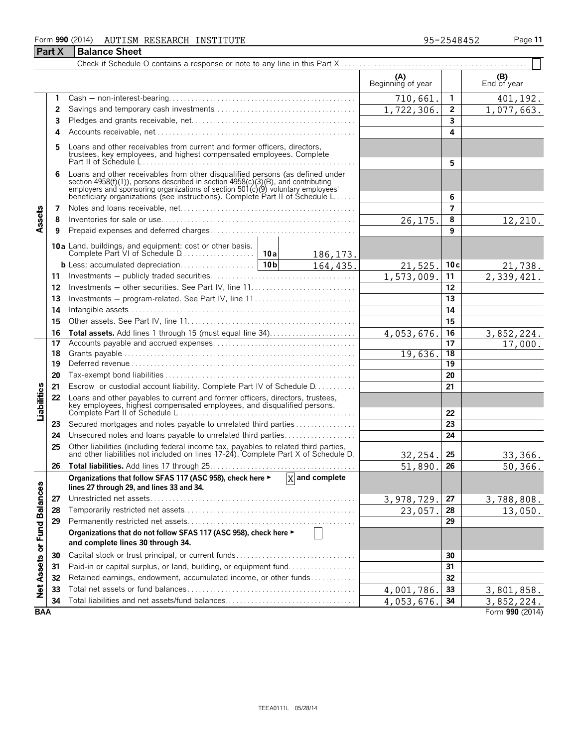#### Form **990** (2014) Page **11** AUTISM RESEARCH INSTITUTE 95-2548452 **Part X Balance Sheet**

|                             |              |                                                                                                                                                                                                                                                                                                                       | (A)<br>Beginning of year   |                | (B)<br>End of year |
|-----------------------------|--------------|-----------------------------------------------------------------------------------------------------------------------------------------------------------------------------------------------------------------------------------------------------------------------------------------------------------------------|----------------------------|----------------|--------------------|
|                             | 1            |                                                                                                                                                                                                                                                                                                                       | 710,661.                   | $\mathbf{1}$   | 401,192.           |
|                             | $\mathbf{2}$ |                                                                                                                                                                                                                                                                                                                       | $\overline{1, 722, 306}$ . | $\mathbf{2}$   | 1,077,663.         |
|                             | 3            |                                                                                                                                                                                                                                                                                                                       |                            | 3              |                    |
|                             | 4            |                                                                                                                                                                                                                                                                                                                       |                            | 4              |                    |
|                             | 5            | Loans and other receivables from current and former officers, directors,<br>trustees, key employees, and highest compensated employees. Complete                                                                                                                                                                      |                            | 5              |                    |
|                             | 6            | Loans and other receivables from other disqualified persons (as defined under<br>section 4958(f)(1)), persons described in section 4958(c)(3)(B), and contributing<br>employers and sponsoring organizations of section 501(c)(9) voluntary employees'<br>beneficiary organizations (see instructions). Complete Part |                            | 6              |                    |
|                             | 7            |                                                                                                                                                                                                                                                                                                                       |                            | $\overline{ }$ |                    |
| Assets                      | 8            |                                                                                                                                                                                                                                                                                                                       | 26,175.                    | 8              | 12, 210.           |
|                             | 9            |                                                                                                                                                                                                                                                                                                                       |                            | 9              |                    |
|                             |              | 186,173.                                                                                                                                                                                                                                                                                                              |                            |                |                    |
|                             |              | 164,435.                                                                                                                                                                                                                                                                                                              | 21,525.                    | 10c            | 21,738.            |
|                             | 11           |                                                                                                                                                                                                                                                                                                                       | 1,573,009.                 | 11             | 2,339,421.         |
|                             | 12           |                                                                                                                                                                                                                                                                                                                       |                            | 12             |                    |
|                             | 13           | Investments - program-related. See Part IV, line 11                                                                                                                                                                                                                                                                   |                            | 13             |                    |
|                             | 14           |                                                                                                                                                                                                                                                                                                                       |                            | 14             |                    |
|                             | 15           |                                                                                                                                                                                                                                                                                                                       |                            | 15             |                    |
|                             | 16           | Total assets. Add lines 1 through 15 (must equal line 34)                                                                                                                                                                                                                                                             | 4,053,676.                 | 16             | 3,852,224.         |
|                             | 17           |                                                                                                                                                                                                                                                                                                                       |                            | 17             | 17,000.            |
|                             | 18           |                                                                                                                                                                                                                                                                                                                       | 19,636.                    | 18             |                    |
|                             | 19           |                                                                                                                                                                                                                                                                                                                       |                            | 19             |                    |
|                             | 20           |                                                                                                                                                                                                                                                                                                                       |                            | 20             |                    |
|                             | 21<br>22     | Escrow or custodial account liability. Complete Part IV of Schedule D.<br>Loans and other payables to current and former officers, directors, trustees,                                                                                                                                                               |                            | 21             |                    |
| Liabilities                 |              | key employees, highest compensated employees, and disqualified persons.<br>Complete Part II of Schedule L                                                                                                                                                                                                             |                            | 22             |                    |
|                             | 23           | Secured mortgages and notes payable to unrelated third parties                                                                                                                                                                                                                                                        |                            | 23             |                    |
|                             | 24           | Unsecured notes and loans payable to unrelated third parties                                                                                                                                                                                                                                                          |                            | 24             |                    |
|                             | 25           | Other liabilities (including federal income tax, payables to related third parties, and other liabilities not included on lines 17-24). Complete Part X of Schedule D.                                                                                                                                                | 32,254.                    | 25             | 33,366.            |
|                             | 26           |                                                                                                                                                                                                                                                                                                                       | 51,890.                    | 26             | 50,366.            |
|                             |              | Organizations that follow SFAS 117 (ASC 958), check here $\blacktriangleright$ $\boxed{X}$ and complete<br>lines 27 through 29, and lines 33 and 34.                                                                                                                                                                  |                            |                |                    |
|                             | 27           |                                                                                                                                                                                                                                                                                                                       | 3,978,729.                 | 27             | 3,788,808.         |
|                             | 28           |                                                                                                                                                                                                                                                                                                                       | 23,057.                    | 28             | 13,050.            |
|                             | 29           |                                                                                                                                                                                                                                                                                                                       |                            | 29             |                    |
| Net Assets or Fund Balances |              | Organizations that do not follow SFAS 117 (ASC 958), check here ►<br>and complete lines 30 through 34.                                                                                                                                                                                                                |                            |                |                    |
|                             | 30           | Capital stock or trust principal, or current funds                                                                                                                                                                                                                                                                    |                            | 30             |                    |
|                             | 31           | Paid-in or capital surplus, or land, building, or equipment fund                                                                                                                                                                                                                                                      |                            | 31             |                    |
|                             | 32           | Retained earnings, endowment, accumulated income, or other funds                                                                                                                                                                                                                                                      |                            | 32             |                    |
|                             | 33           |                                                                                                                                                                                                                                                                                                                       | 4,001,786.                 | 33             | 3,801,858.         |
|                             | 34           | Total liabilities and net assets/fund balances                                                                                                                                                                                                                                                                        | 4,053,676.                 | 34             | 3,852,224.         |
| <b>BAA</b>                  |              |                                                                                                                                                                                                                                                                                                                       |                            |                | Form 990 (2014)    |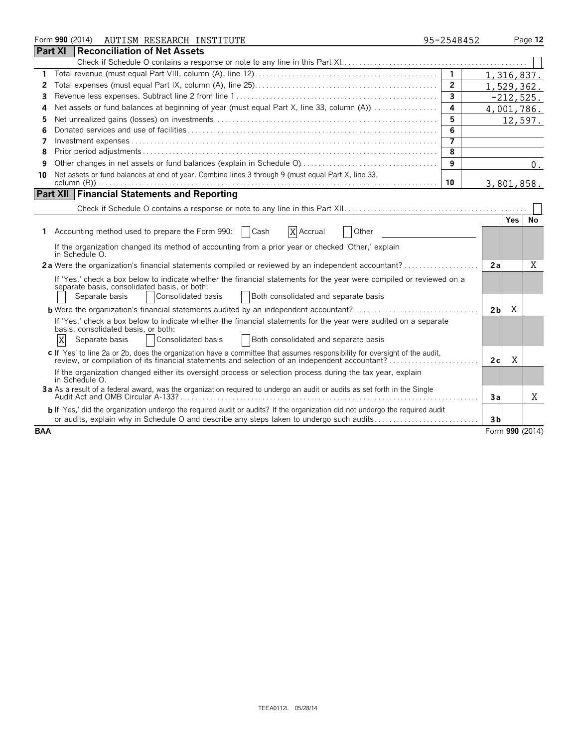|            | Form 990 (2014)<br>AUTISM RESEARCH INSTITUTE                                                                                                                                                                                  | 95-2548452     |                |                 | Page 12 |
|------------|-------------------------------------------------------------------------------------------------------------------------------------------------------------------------------------------------------------------------------|----------------|----------------|-----------------|---------|
|            | <b>Part XI Reconciliation of Net Assets</b>                                                                                                                                                                                   |                |                |                 |         |
|            |                                                                                                                                                                                                                               |                |                |                 |         |
| 1          |                                                                                                                                                                                                                               | $\mathbf{1}$   |                | 1,316,837.      |         |
| 2          |                                                                                                                                                                                                                               | $\overline{2}$ |                | 1,529,362.      |         |
| 3          |                                                                                                                                                                                                                               | $\overline{3}$ |                | $-212,525.$     |         |
| 4          | Net assets or fund balances at beginning of year (must equal Part X, line 33, column (A))                                                                                                                                     | 4              |                | 4,001,786.      |         |
| 5          |                                                                                                                                                                                                                               | 5              |                | 12,597.         |         |
| 6          |                                                                                                                                                                                                                               | $\overline{6}$ |                |                 |         |
| 7          |                                                                                                                                                                                                                               | $\overline{7}$ |                |                 |         |
| 8          |                                                                                                                                                                                                                               | $\overline{8}$ |                |                 |         |
| 9          |                                                                                                                                                                                                                               | 9              |                |                 | 0.      |
| 10         | Net assets or fund balances at end of year. Combine lines 3 through 9 (must equal Part X, line 33,                                                                                                                            |                |                |                 |         |
|            |                                                                                                                                                                                                                               | 10             |                | 3,801,858.      |         |
|            | <b>Part XII Financial Statements and Reporting</b>                                                                                                                                                                            |                |                |                 |         |
|            |                                                                                                                                                                                                                               |                |                |                 |         |
|            |                                                                                                                                                                                                                               |                |                | <b>Yes</b>      | No      |
| 1.         | Cash<br>X Accrual<br>Accounting method used to prepare the Form 990:<br>Other                                                                                                                                                 |                |                |                 |         |
|            | If the organization changed its method of accounting from a prior year or checked 'Other,' explain                                                                                                                            |                |                |                 |         |
|            | in Schedule O.                                                                                                                                                                                                                |                |                |                 |         |
|            |                                                                                                                                                                                                                               |                | 2a             |                 | X       |
|            | If 'Yes,' check a box below to indicate whether the financial statements for the year were compiled or reviewed on a                                                                                                          |                |                |                 |         |
|            | separate basis, consolidated basis, or both:                                                                                                                                                                                  |                |                |                 |         |
|            | Consolidated basis<br>Both consolidated and separate basis<br>Separate basis                                                                                                                                                  |                |                |                 |         |
|            |                                                                                                                                                                                                                               |                | 2 <sub>b</sub> | Χ               |         |
|            | If 'Yes,' check a box below to indicate whether the financial statements for the year were audited on a separate<br>basis, consolidated basis, or both:                                                                       |                |                |                 |         |
|            | X<br>Consolidated basis<br>Both consolidated and separate basis<br>Separate basis                                                                                                                                             |                |                |                 |         |
|            |                                                                                                                                                                                                                               |                |                |                 |         |
|            | c If 'Yes' to line 2a or 2b, does the organization have a committee that assumes responsibility for oversight of the audit,<br>review, or compilation of its financial statements and selection of an independent accountant? |                | 2c             | Χ               |         |
|            | If the organization changed either its oversight process or selection process during the tax year, explain                                                                                                                    |                |                |                 |         |
|            | in Schedule O.                                                                                                                                                                                                                |                |                |                 |         |
|            | 3a As a result of a federal award, was the organization required to undergo an audit or audits as set forth in the Single                                                                                                     |                | 3a             |                 | X       |
|            |                                                                                                                                                                                                                               |                |                |                 |         |
|            | b If 'Yes,' did the organization undergo the required audit or audits? If the organization did not undergo the required audit<br>or audits, explain why in Schedule O and describe any steps taken to undergo such audits     |                | 3 <sub>b</sub> |                 |         |
| <b>BAA</b> |                                                                                                                                                                                                                               |                |                | Form 990 (2014) |         |
|            |                                                                                                                                                                                                                               |                |                |                 |         |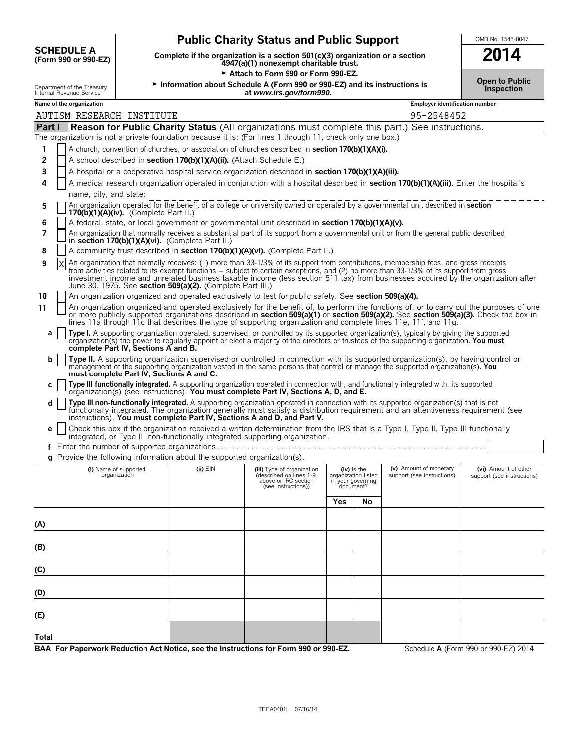| <b>Public Charity Status and Public Support</b> | OMB No. 1545-0047 |
|-------------------------------------------------|-------------------|
|                                                 |                   |

**SCHEDULE A**<br>(Form 990 or 990-EZ)

**Complete if the organization is a section 501(c)(3) organization or a section 2014 2014** 

Attach to Form 990 or Form 990-EZ.

|  | OMB No. 1545-0047 |
|--|-------------------|
|  |                   |

|  | <b>Open to Public</b> |
|--|-----------------------|
|  | <b>Inspection</b>     |

| Department of the Treasury<br>Internal Revenue Service |                          |                                          |                                                                            | Information about Schedule A (Form 990 or 990-EZ) and its instructions is<br>at www.irs.gov/form990.                                                                                                                                                                                                                                                                                                                 |                                                                      |    |                                                      | <b>Open to Public</b><br>Inspection                |
|--------------------------------------------------------|--------------------------|------------------------------------------|----------------------------------------------------------------------------|----------------------------------------------------------------------------------------------------------------------------------------------------------------------------------------------------------------------------------------------------------------------------------------------------------------------------------------------------------------------------------------------------------------------|----------------------------------------------------------------------|----|------------------------------------------------------|----------------------------------------------------|
|                                                        | Name of the organization |                                          |                                                                            |                                                                                                                                                                                                                                                                                                                                                                                                                      |                                                                      |    | <b>Employer identification number</b>                |                                                    |
|                                                        |                          | AUTISM RESEARCH INSTITUTE                |                                                                            |                                                                                                                                                                                                                                                                                                                                                                                                                      |                                                                      |    | 95-2548452                                           |                                                    |
| Part I                                                 |                          |                                          |                                                                            | <b>Reason for Public Charity Status</b> (All organizations must complete this part.) See instructions.                                                                                                                                                                                                                                                                                                               |                                                                      |    |                                                      |                                                    |
|                                                        |                          |                                          |                                                                            | The organization is not a private foundation because it is: (For lines 1 through 11, check only one box.)                                                                                                                                                                                                                                                                                                            |                                                                      |    |                                                      |                                                    |
| 1                                                      |                          |                                          |                                                                            | A church, convention of churches, or association of churches described in section 170(b)(1)(A)(i).                                                                                                                                                                                                                                                                                                                   |                                                                      |    |                                                      |                                                    |
| 2                                                      |                          |                                          | A school described in section 170(b)(1)(A)(ii). (Attach Schedule E.)       |                                                                                                                                                                                                                                                                                                                                                                                                                      |                                                                      |    |                                                      |                                                    |
| 3                                                      |                          |                                          |                                                                            | A hospital or a cooperative hospital service organization described in section 170(b)(1)(A)(iii).                                                                                                                                                                                                                                                                                                                    |                                                                      |    |                                                      |                                                    |
| 4                                                      |                          |                                          |                                                                            | A medical research organization operated in conjunction with a hospital described in section 170(b)(1)(A)(iii). Enter the hospital's                                                                                                                                                                                                                                                                                 |                                                                      |    |                                                      |                                                    |
|                                                        | name, city, and state:   |                                          |                                                                            |                                                                                                                                                                                                                                                                                                                                                                                                                      |                                                                      |    |                                                      |                                                    |
| 5                                                      |                          | $170(b)(1)(A)(iv)$ . (Complete Part II.) |                                                                            | An organization operated for the benefit of a college or university owned or operated by a governmental unit described in section                                                                                                                                                                                                                                                                                    |                                                                      |    |                                                      |                                                    |
| 6<br>7                                                 |                          |                                          |                                                                            | A federal, state, or local government or governmental unit described in section 170(b)(1)(A)(v).                                                                                                                                                                                                                                                                                                                     |                                                                      |    |                                                      |                                                    |
|                                                        |                          |                                          | in section 170(b)(1)(A)(vi). (Complete Part II.)                           | An organization that normally receives a substantial part of its support from a governmental unit or from the general public described                                                                                                                                                                                                                                                                               |                                                                      |    |                                                      |                                                    |
| 8                                                      |                          |                                          |                                                                            | A community trust described in section 170(b)(1)(A)(vi). (Complete Part II.)                                                                                                                                                                                                                                                                                                                                         |                                                                      |    |                                                      |                                                    |
| X<br>9                                                 |                          |                                          | June 30, 1975. See section 509(a)(2). (Complete Part III.)                 | An organization that normally receives: (1) more than 33-1/3% of its support from contributions, membership fees, and gross receipts<br>from activities related to its exempt functions – subject to certain exceptions, and (2) no more than 33-1/3% of its support from gross<br>investment income and unrelated business taxable income (less section 511 tax) from businesses acquired by the organization after |                                                                      |    |                                                      |                                                    |
| 10                                                     |                          |                                          |                                                                            | An organization organized and operated exclusively to test for public safety. See section 509(a)(4).                                                                                                                                                                                                                                                                                                                 |                                                                      |    |                                                      |                                                    |
| 11                                                     |                          |                                          |                                                                            | An organization organized and operated exclusively for the benefit of, to perform the functions of, or to carry out the purposes of one<br>or more publicly supported organizations described in section 509(a)(1) or section 509(a)(2). See section 509(a)(3). Check the box in<br>lines 11a through 11d that describes the type of supporting organization and complete lines 11e, 11f, and 11g.                   |                                                                      |    |                                                      |                                                    |
| a                                                      |                          | complete Part IV, Sections A and B.      |                                                                            | Type I. A supporting organization operated, supervised, or controlled by its supported organization(s), typically by giving the supported<br>organization(s) the power to regularly appoint or elect a majority of the directors or trustees of the supporting organization. You must                                                                                                                                |                                                                      |    |                                                      |                                                    |
| b                                                      |                          | must complete Part IV, Sections A and C. |                                                                            | Type II. A supporting organization supervised or controlled in connection with its supported organization(s), by having control or<br>management of the supporting organization vested in the same persons that control or manage the supported organization(s). You                                                                                                                                                 |                                                                      |    |                                                      |                                                    |
| C                                                      |                          |                                          |                                                                            | Type III functionally integrated. A supporting organization operated in connection with, and functionally integrated with, its supported<br>organization(s) (see instructions). You must complete Part IV, Sections A, D, and E.                                                                                                                                                                                     |                                                                      |    |                                                      |                                                    |
| d                                                      |                          |                                          |                                                                            | Type III non-functionally integrated. A supporting organization operated in connection with its supported organization(s) that is not<br>functionally integrated. The organization generally must satisfy a distribution requirement and an attentiveness requirement (see instructions). You must complete Part IV, Sections A and D, and Part V.                                                                   |                                                                      |    |                                                      |                                                    |
| e                                                      |                          |                                          |                                                                            | Check this box if the organization received a written determination from the IRS that is a Type I, Type II, Type III functionally<br>integrated, or Type III non-functionally integrated supporting organization.                                                                                                                                                                                                    |                                                                      |    |                                                      |                                                    |
|                                                        |                          |                                          | Enter the number of supported organizations                                |                                                                                                                                                                                                                                                                                                                                                                                                                      |                                                                      |    |                                                      |                                                    |
|                                                        |                          |                                          | $q$ Provide the following information about the supported organization(s). |                                                                                                                                                                                                                                                                                                                                                                                                                      |                                                                      |    |                                                      |                                                    |
|                                                        |                          | (i) Name of supported<br>organization    | $(ii)$ $EIN$                                                               | (iii) Type of organization<br>described on lines 1-9<br>above or IRC section<br>(see instructions))                                                                                                                                                                                                                                                                                                                  | (iv) is the<br>organization listed<br>in your governing<br>document? |    | (v) Amount of monetary<br>support (see instructions) | (vi) Amount of other<br>support (see instructions) |
|                                                        |                          |                                          |                                                                            |                                                                                                                                                                                                                                                                                                                                                                                                                      | Yes                                                                  | No |                                                      |                                                    |
|                                                        |                          |                                          |                                                                            |                                                                                                                                                                                                                                                                                                                                                                                                                      |                                                                      |    |                                                      |                                                    |
| (A)                                                    |                          |                                          |                                                                            |                                                                                                                                                                                                                                                                                                                                                                                                                      |                                                                      |    |                                                      |                                                    |
| (B)                                                    |                          |                                          |                                                                            |                                                                                                                                                                                                                                                                                                                                                                                                                      |                                                                      |    |                                                      |                                                    |
| $\underline{(C)}$                                      |                          |                                          |                                                                            |                                                                                                                                                                                                                                                                                                                                                                                                                      |                                                                      |    |                                                      |                                                    |
| (D)                                                    |                          |                                          |                                                                            |                                                                                                                                                                                                                                                                                                                                                                                                                      |                                                                      |    |                                                      |                                                    |
| (E)                                                    |                          |                                          |                                                                            |                                                                                                                                                                                                                                                                                                                                                                                                                      |                                                                      |    |                                                      |                                                    |
| <b>Total</b>                                           |                          |                                          |                                                                            |                                                                                                                                                                                                                                                                                                                                                                                                                      |                                                                      |    |                                                      |                                                    |
|                                                        |                          |                                          |                                                                            | BAA For Paperwork Reduction Act Notice, see the Instructions for Form 990 or 990-EZ.                                                                                                                                                                                                                                                                                                                                 |                                                                      |    |                                                      | Schedule A (Form 990 or 990-EZ) 2014               |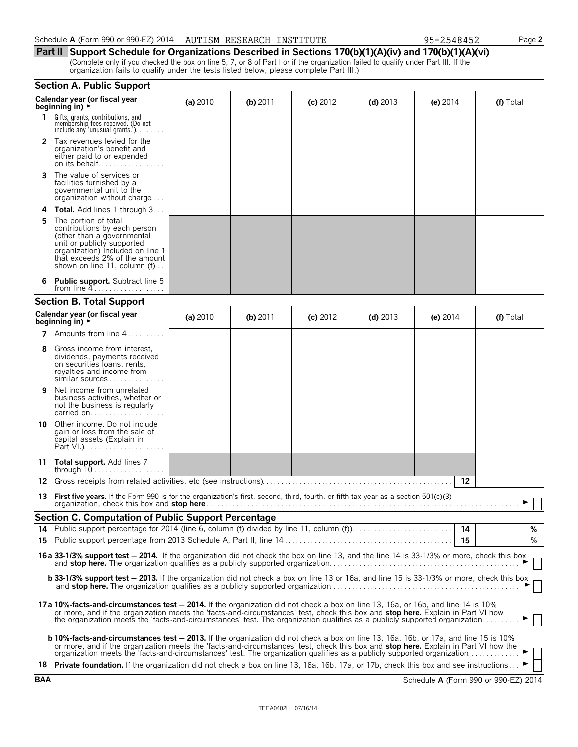#### Schedule **A** (Form 990 or 990-EZ) 2014 AUTISM RESEARCH INSTITUTE 95-2548452 Page 2

**Part II Support Schedule for Organizations Described in Sections 170(b)(1)(A)(iv) and 170(b)(1)(A)(vi)** (Complete only if you checked the box on line 5, 7, or 8 of Part I or if the organization failed to qualify under Part III. If the organization fails to qualify under the tests listed below, please complete Part III.)

|     | <b>Section A. Public Support</b>                                                                                                                                                                                                                                                                                                                                                                  |          |            |            |            |            |           |
|-----|---------------------------------------------------------------------------------------------------------------------------------------------------------------------------------------------------------------------------------------------------------------------------------------------------------------------------------------------------------------------------------------------------|----------|------------|------------|------------|------------|-----------|
|     | Calendar year (or fiscal year<br>beginning in) $\rightarrow$                                                                                                                                                                                                                                                                                                                                      | (a) 2010 | (b) $2011$ | $(c)$ 2012 | (d) $2013$ | (e) $2014$ | (f) Total |
| 1   | Gifts, grants, contributions, and<br>membership fees received. (Do not<br>include any 'unusual grants.'). $\ldots$                                                                                                                                                                                                                                                                                |          |            |            |            |            |           |
|     | <b>2</b> Tax revenues levied for the<br>organization's benefit and<br>either paid to or expended<br>on its behalf                                                                                                                                                                                                                                                                                 |          |            |            |            |            |           |
| 3.  | The value of services or<br>facilities furnished by a<br>governmental unit to the<br>organization without charge                                                                                                                                                                                                                                                                                  |          |            |            |            |            |           |
|     | <b>4 Total.</b> Add lines 1 through 3                                                                                                                                                                                                                                                                                                                                                             |          |            |            |            |            |           |
| 5   | The portion of total<br>contributions by each person<br>(other than a governmental<br>unit or publicly supported<br>organization) included on line 1<br>that exceeds 2% of the amount<br>shown on line 11, column $(f)$                                                                                                                                                                           |          |            |            |            |            |           |
|     | <b>Public support.</b> Subtract line 5<br>from line $4$                                                                                                                                                                                                                                                                                                                                           |          |            |            |            |            |           |
|     | <b>Section B. Total Support</b>                                                                                                                                                                                                                                                                                                                                                                   |          |            |            |            |            |           |
|     | Calendar year (or fiscal year<br>beginning in) $\rightarrow$                                                                                                                                                                                                                                                                                                                                      | (a) 2010 | (b) $2011$ | $(c)$ 2012 | (d) $2013$ | (e) $2014$ | (f) Total |
|     | <b>7</b> Amounts from line $4$                                                                                                                                                                                                                                                                                                                                                                    |          |            |            |            |            |           |
| 8   | Gross income from interest,<br>dividends, payments received<br>on securities loans, rents,<br>royalties and income from<br>similar sources                                                                                                                                                                                                                                                        |          |            |            |            |            |           |
| 9   | Net income from unrelated<br>business activities, whether or<br>not the business is regularly<br>carried on                                                                                                                                                                                                                                                                                       |          |            |            |            |            |           |
| 10  | Other income. Do not include<br>gain or loss from the sale of<br>capital assets (Explain in                                                                                                                                                                                                                                                                                                       |          |            |            |            |            |           |
|     | 11 Total support. Add lines 7<br>through $10$                                                                                                                                                                                                                                                                                                                                                     |          |            |            |            |            |           |
| 12. |                                                                                                                                                                                                                                                                                                                                                                                                   |          |            |            |            | 12         |           |
| 13  | <b>First five years.</b> If the Form 990 is for the organization's first, second, third, fourth, or fifth tax year as a section 501 $(c)(3)$<br>organization, check this box and stop here.                                                                                                                                                                                                       |          |            |            |            |            |           |
|     | <b>Section C. Computation of Public Support Percentage</b>                                                                                                                                                                                                                                                                                                                                        |          |            |            |            |            |           |
|     |                                                                                                                                                                                                                                                                                                                                                                                                   |          |            |            |            |            | %         |
|     |                                                                                                                                                                                                                                                                                                                                                                                                   |          |            |            |            | 15         | %         |
|     | 16a 33-1/3% support test - 2014. If the organization did not check the box on line 13, and the line 14 is 33-1/3% or more, check this box                                                                                                                                                                                                                                                         |          |            |            |            |            |           |
|     | <b>b 33-1/3% support test - 2013.</b> If the organization did not check a box on line 13 or 16a, and line 15 is 33-1/3% or more, check this box                                                                                                                                                                                                                                                   |          |            |            |            |            |           |
|     | 17a 10%-facts-and-circumstances test - 2014. If the organization did not check a box on line 13, 16a, or 16b, and line 14 is 10%<br>or more, and if the organization meets the 'facts-and-circumstances' test, check this box and stop here. Explain in Part VI how<br>the organization meets the 'facts-and-circumstances' test. The organization qualifies as a publicly supported organization |          |            |            |            |            |           |
|     | <b>b 10%-facts-and-circumstances test – 2013.</b> If the organization did not check a box on line 13, 16a, 16b, or 17a, and line 15 is 10%<br>or more, and if the organization meets the 'facts-and-circumstances' test, check this box and stop here. Explain in Part VI how the organization meets the 'facts-and-circumstances' test. The organization qualifies as a pub                      |          |            |            |            |            |           |
|     | 18 Private foundation. If the organization did not check a box on line 13, 16a, 16b, 17a, or 17b, check this box and see instructions                                                                                                                                                                                                                                                             |          |            |            |            |            |           |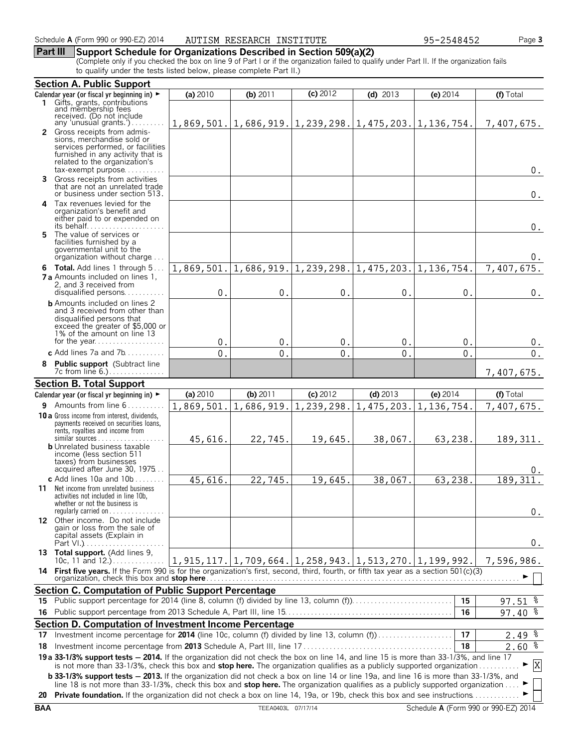## **Part III Support Schedule for Organizations Described in Section 509(a)(2)**

(Complete only if you checked the box on line 9 of Part I or if the organization failed to qualify under Part II. If the organization fails to qualify under the tests listed below, please complete Part II.)

|    | <b>Section A. Public Support</b>                                                                                                                                                                                                                                  |                                                                                                  |            |                       |                                                                |                           |                    |
|----|-------------------------------------------------------------------------------------------------------------------------------------------------------------------------------------------------------------------------------------------------------------------|--------------------------------------------------------------------------------------------------|------------|-----------------------|----------------------------------------------------------------|---------------------------|--------------------|
|    | Calendar year (or fiscal yr beginning in) ►                                                                                                                                                                                                                       | (a) 2010                                                                                         | (b) 2011   | $(c)$ 2012            | (d) $2013$                                                     | (e) 2014                  | (f) Total          |
|    | 1 Gifts, grants, contributions<br>and membership fees                                                                                                                                                                                                             |                                                                                                  |            |                       |                                                                |                           |                    |
|    | received. (Do not include                                                                                                                                                                                                                                         |                                                                                                  |            |                       |                                                                |                           |                    |
|    | any 'unusual grants.')                                                                                                                                                                                                                                            |                                                                                                  |            |                       | 1,869,501.   1,686,919.   1,239,298.   1,475,203.   1,136,754. |                           | 7,407,675.         |
|    | 2 Gross receipts from admis-<br>sions, merchandise sold or                                                                                                                                                                                                        |                                                                                                  |            |                       |                                                                |                           |                    |
|    | services performed, or facilities                                                                                                                                                                                                                                 |                                                                                                  |            |                       |                                                                |                           |                    |
|    | furnished in any activity that is<br>related to the organization's                                                                                                                                                                                                |                                                                                                  |            |                       |                                                                |                           |                    |
|    | tax-exempt purpose                                                                                                                                                                                                                                                |                                                                                                  |            |                       |                                                                |                           | $0$ .              |
|    | Gross receipts from activities                                                                                                                                                                                                                                    |                                                                                                  |            |                       |                                                                |                           |                    |
|    | that are not an unrelated trade<br>or business under section 513.                                                                                                                                                                                                 |                                                                                                  |            |                       |                                                                |                           |                    |
| 4  | Tax revenues levied for the                                                                                                                                                                                                                                       |                                                                                                  |            |                       |                                                                |                           | $0$ .              |
|    | organization's benefit and                                                                                                                                                                                                                                        |                                                                                                  |            |                       |                                                                |                           |                    |
|    | either paid to or expended on                                                                                                                                                                                                                                     |                                                                                                  |            |                       |                                                                |                           |                    |
| 5. | The value of services or                                                                                                                                                                                                                                          |                                                                                                  |            |                       |                                                                |                           | $0$ .              |
|    | facilities furnished by a                                                                                                                                                                                                                                         |                                                                                                  |            |                       |                                                                |                           |                    |
|    | governmental unit to the                                                                                                                                                                                                                                          |                                                                                                  |            |                       |                                                                |                           |                    |
|    | organization without charge                                                                                                                                                                                                                                       |                                                                                                  |            |                       |                                                                |                           | 0.                 |
|    | 6 Total. Add lines 1 through 5<br><b>7 a</b> Amounts included on lines 1.                                                                                                                                                                                         | 1,869,501.                                                                                       |            | 1,686,919. 1,239,298. | 1,475,203.                                                     | 1,136,754.                | 7,407,675.         |
|    | 2. and 3 received from                                                                                                                                                                                                                                            |                                                                                                  |            |                       |                                                                |                           |                    |
|    | disqualified persons                                                                                                                                                                                                                                              | 0.                                                                                               | 0.         | 0.                    | 0.                                                             | 0.                        | $0$ .              |
|    | <b>b</b> Amounts included on lines 2                                                                                                                                                                                                                              |                                                                                                  |            |                       |                                                                |                           |                    |
|    | and 3 received from other than<br>disqualified persons that                                                                                                                                                                                                       |                                                                                                  |            |                       |                                                                |                           |                    |
|    | exceed the greater of \$5,000 or                                                                                                                                                                                                                                  |                                                                                                  |            |                       |                                                                |                           |                    |
|    | 1% of the amount on line 13                                                                                                                                                                                                                                       | 0.                                                                                               | 0.         | 0.                    | 0.                                                             | $\mathbf 0$ .             |                    |
|    | c Add lines 7a and 7b                                                                                                                                                                                                                                             | $\overline{0}$ .                                                                                 | 0.         | $\mathbf 0$ .         | 0.                                                             | $\mathbf{0}$              | $0$ .<br>$0$ .     |
| 8  | Public support (Subtract line                                                                                                                                                                                                                                     |                                                                                                  |            |                       |                                                                |                           |                    |
|    | 7c from line 6.)                                                                                                                                                                                                                                                  |                                                                                                  |            |                       |                                                                |                           | 7,407,675.         |
|    | <b>Section B. Total Support</b>                                                                                                                                                                                                                                   |                                                                                                  |            |                       |                                                                |                           |                    |
|    | Calendar year (or fiscal yr beginning in) ►                                                                                                                                                                                                                       | (a) 2010                                                                                         | (b) $2011$ | $(c)$ 2012            | $(d)$ 2013                                                     | $(e)$ 2014                | (f) Total          |
|    | 9 Amounts from line 6                                                                                                                                                                                                                                             | 1,869,501.                                                                                       |            | 1,686,919. 1,239,298. |                                                                | $1,475,203.$ 1, 136, 754. | 7,407,675.         |
|    | 10 a Gross income from interest, dividends,                                                                                                                                                                                                                       |                                                                                                  |            |                       |                                                                |                           |                    |
|    | payments received on securities loans,<br>rents, royalties and income from                                                                                                                                                                                        |                                                                                                  |            |                       |                                                                |                           |                    |
|    | $similar$ sources $\ldots \ldots \ldots \ldots$                                                                                                                                                                                                                   | 45,616.                                                                                          | 22,745.    | 19,645.               | 38,067.                                                        | 63,238.                   | 189,311.           |
|    | <b>b</b> Unrelated business taxable                                                                                                                                                                                                                               |                                                                                                  |            |                       |                                                                |                           |                    |
|    | income (less section 511<br>taxes) from businesses                                                                                                                                                                                                                |                                                                                                  |            |                       |                                                                |                           |                    |
|    | acquired after June 30, 1975                                                                                                                                                                                                                                      |                                                                                                  |            |                       |                                                                |                           |                    |
|    | c Add lines $10a$ and $10b$                                                                                                                                                                                                                                       | 45,616.                                                                                          | 22,745.    | 19,645.               | 38,067.                                                        | 63,238.                   | 189,311            |
| 11 | Net income from unrelated business                                                                                                                                                                                                                                |                                                                                                  |            |                       |                                                                |                           |                    |
|    | activities not included in line 10b,<br>whether or not the business is                                                                                                                                                                                            |                                                                                                  |            |                       |                                                                |                           |                    |
|    | regularly carried on $\dots\dots\dots\dots\dots$                                                                                                                                                                                                                  |                                                                                                  |            |                       |                                                                |                           | 0.                 |
|    | 12 Other income. Do not include<br>gain or loss from the sale of                                                                                                                                                                                                  |                                                                                                  |            |                       |                                                                |                           |                    |
|    | capital assets (Explain in                                                                                                                                                                                                                                        |                                                                                                  |            |                       |                                                                |                           |                    |
|    |                                                                                                                                                                                                                                                                   |                                                                                                  |            |                       |                                                                |                           | 0.                 |
|    | 13 Total support. (Add lines 9,<br>10c, 11 and $12.$ )                                                                                                                                                                                                            | $\vert 1, 915, 117. \vert 1, 709, 664. \vert 1, 258, 943. \vert 1, 513, 270. \vert 1, 199, 992.$ |            |                       |                                                                |                           | 7,596,986.         |
| 14 | First five years. If the Form 990 is for the organization's first, second, third, fourth, or fifth tax year as a section 501(c)(3)                                                                                                                                |                                                                                                  |            |                       |                                                                |                           |                    |
|    |                                                                                                                                                                                                                                                                   |                                                                                                  |            |                       |                                                                |                           |                    |
|    | <b>Section C. Computation of Public Support Percentage</b>                                                                                                                                                                                                        |                                                                                                  |            |                       |                                                                |                           |                    |
|    |                                                                                                                                                                                                                                                                   |                                                                                                  |            |                       |                                                                | 15                        | $97.51$ $%$        |
| 16 |                                                                                                                                                                                                                                                                   |                                                                                                  |            |                       |                                                                | 16                        | $97.40$ $%$        |
|    | Section D. Computation of Investment Income Percentage                                                                                                                                                                                                            |                                                                                                  |            |                       |                                                                |                           |                    |
| 17 | Investment income percentage for 2014 (line 10c, column (f) divided by line 13, column (f))                                                                                                                                                                       |                                                                                                  |            |                       |                                                                | 17                        | $2.49*$            |
| 18 |                                                                                                                                                                                                                                                                   |                                                                                                  |            |                       |                                                                | 18                        | $2.60 \frac{2}{6}$ |
|    | 19 a 33-1/3% support tests - 2014. If the organization did not check the box on line 14, and line 15 is more than 33-1/3%, and line 17<br>is not more than 33-1/3%, check this box and stop here. The organization qualifies as a publicly supported organization |                                                                                                  |            |                       |                                                                |                           |                    |
|    | <b>b 33-1/3% support tests - 2013.</b> If the organization did not check a box on line 14 or line 19a, and line 16 is more than 33-1/3%, and                                                                                                                      |                                                                                                  |            |                       |                                                                |                           | X                  |
|    | line 18 is not more than 33-1/3%, check this box and stop here. The organization qualifies as a publicly supported organization                                                                                                                                   |                                                                                                  |            |                       |                                                                |                           |                    |
|    | 20 Private foundation. If the organization did not check a box on line 14, 19a, or 19b, check this box and see instructions                                                                                                                                       |                                                                                                  |            |                       |                                                                |                           |                    |
|    |                                                                                                                                                                                                                                                                   |                                                                                                  |            |                       |                                                                |                           |                    |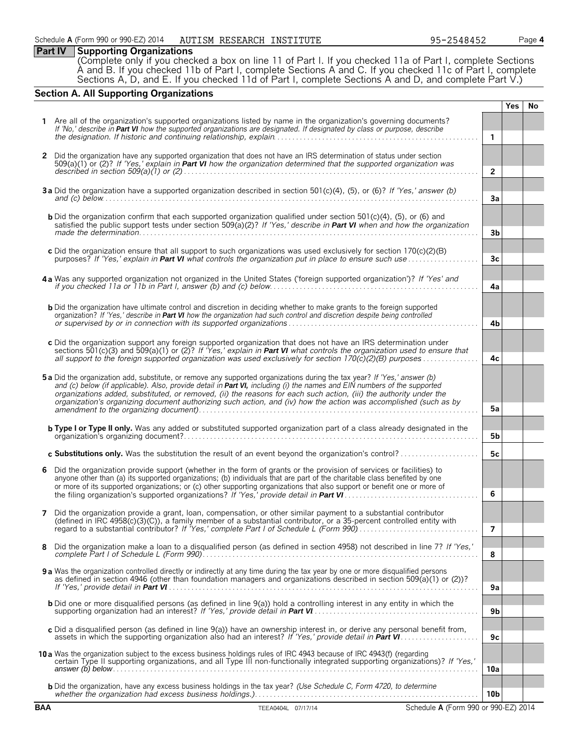**Part IV Supporting Organizations** (Complete only if you checked a box on line 11 of Part I. If you checked 11a of Part I, complete Sections A and B. If you checked 11b of Part I, complete Sections A and C. If you checked 11c of Part I, complete Sections A, D, and E. If you checked 11d of Part I, complete Sections A and D, and complete Part V.)

## **Section A. All Supporting Organizations**

|            |                                                                                                                                                                                                                                                       |                 | <b>Yes</b> | No |
|------------|-------------------------------------------------------------------------------------------------------------------------------------------------------------------------------------------------------------------------------------------------------|-----------------|------------|----|
|            | Are all of the organization's supported organizations listed by name in the organization's governing documents?                                                                                                                                       |                 |            |    |
|            | If 'No,' describe in Part VI how the supported organizations are designated. If designated by class or purpose, describe                                                                                                                              |                 |            |    |
|            |                                                                                                                                                                                                                                                       | $\mathbf{1}$    |            |    |
|            | 2 Did the organization have any supported organization that does not have an IRS determination of status under section                                                                                                                                |                 |            |    |
|            | 509(a)(1) or (2)? If 'Yes,' explain in Part VI how the organization determined that the supported organization was                                                                                                                                    |                 |            |    |
|            |                                                                                                                                                                                                                                                       | $\overline{2}$  |            |    |
|            | <b>3a</b> Did the organization have a supported organization described in section $501(c)(4)$ , (5), or (6)? If 'Yes,' answer (b)                                                                                                                     |                 |            |    |
|            |                                                                                                                                                                                                                                                       | 3a              |            |    |
|            | <b>b</b> Did the organization confirm that each supported organization qualified under section $501(c)(4)$ , $(5)$ , or $(6)$ and                                                                                                                     |                 |            |    |
|            | satisfied the public support tests under section 509(a)(2)? If 'Yes,' describe in Part VI when and how the organization                                                                                                                               |                 |            |    |
|            |                                                                                                                                                                                                                                                       | 3b              |            |    |
|            | c Did the organization ensure that all support to such organizations was used exclusively for section 170(c)(2)(B)                                                                                                                                    |                 |            |    |
|            | purposes? If 'Yes,' explain in <b>Part VI</b> what controls the organization put in place to ensure such use                                                                                                                                          | 3 <sub>c</sub>  |            |    |
|            |                                                                                                                                                                                                                                                       |                 |            |    |
|            | 4a Was any supported organization not organized in the United States ('foreign supported organization')? If 'Yes' and                                                                                                                                 |                 |            |    |
|            |                                                                                                                                                                                                                                                       | 4a              |            |    |
|            | <b>b</b> Did the organization have ultimate control and discretion in deciding whether to make grants to the foreign supported                                                                                                                        |                 |            |    |
|            | organization? If 'Yes,' describe in Part VI how the organization had such control and discretion despite being controlled                                                                                                                             |                 |            |    |
|            |                                                                                                                                                                                                                                                       | 4b              |            |    |
|            | c Did the organization support any foreign supported organization that does not have an IRS determination under                                                                                                                                       |                 |            |    |
|            | sections 501(c)(3) and 509(a)(1) or (2)? If 'Yes,' explain in <b>Part VI</b> what controls the organization used to ensure that                                                                                                                       |                 |            |    |
|            | all support to the foreign supported organization was used exclusively for section $170(c)(2)(B)$ purposes                                                                                                                                            | 4c              |            |    |
|            | 5a Did the organization add, substitute, or remove any supported organizations during the tax year? If 'Yes,' answer (b)                                                                                                                              |                 |            |    |
|            | and (c) below (if applicable). Also, provide detail in Part VI, including (i) the names and EIN numbers of the supported                                                                                                                              |                 |            |    |
|            | organizations added, substituted, or removed, (ii) the reasons for each such action, (iii) the authority under the<br>organization's organizing document authorizing such action, and (iv) how the action was accomplished (such as by                |                 |            |    |
|            |                                                                                                                                                                                                                                                       | 5a              |            |    |
|            |                                                                                                                                                                                                                                                       |                 |            |    |
|            | <b>b Type I or Type II only.</b> Was any added or substituted supported organization part of a class already designated in the                                                                                                                        | 5b              |            |    |
|            |                                                                                                                                                                                                                                                       |                 |            |    |
|            | c Substitutions only. Was the substitution the result of an event beyond the organization's control?                                                                                                                                                  | 5c              |            |    |
| 6          | Did the organization provide support (whether in the form of grants or the provision of services or facilities) to                                                                                                                                    |                 |            |    |
|            | anyone other than (a) its supported organizations; (b) individuals that are part of the charitable class benefited by one                                                                                                                             |                 |            |    |
|            | or more of its supported organizations; or (c) other supporting organizations that also support or benefit one or more of                                                                                                                             | 6               |            |    |
|            |                                                                                                                                                                                                                                                       |                 |            |    |
| 7          | Did the organization provide a grant, loan, compensation, or other similar payment to a substantial contributor                                                                                                                                       |                 |            |    |
|            | (defined in IRC 4958(c)(3)(C)), a family member of a substantial contributor, or a 35-percent controlled entity with<br>regard to a substantial contributor? If 'Yes,' complete Part I of Schedule L (Form 990)                                       | 7               |            |    |
|            |                                                                                                                                                                                                                                                       |                 |            |    |
| 8          | Did the organization make a loan to a disqualified person (as defined in section 4958) not described in line 7? If 'Yes,'                                                                                                                             | 8               |            |    |
|            |                                                                                                                                                                                                                                                       |                 |            |    |
|            | 9a Was the organization controlled directly or indirectly at any time during the tax year by one or more disqualified persons<br>as defined in section 4946 (other than foundation managers and organizations described in section 509(a)(1) or (2))? |                 |            |    |
|            |                                                                                                                                                                                                                                                       | 9a              |            |    |
|            |                                                                                                                                                                                                                                                       |                 |            |    |
|            | <b>b</b> Did one or more disqualified persons (as defined in line 9(a)) hold a controlling interest in any entity in which the                                                                                                                        | 9b              |            |    |
|            |                                                                                                                                                                                                                                                       |                 |            |    |
|            | c Did a disqualified person (as defined in line 9(a)) have an ownership interest in, or derive any personal benefit from,<br>assets in which the supporting organization also had an interest? If 'Yes,' provide detail in Part VI                    | 9c              |            |    |
|            |                                                                                                                                                                                                                                                       |                 |            |    |
|            | 10 a Was the organization subject to the excess business holdings rules of IRC 4943 because of IRC 4943(f) (regarding<br>certain Type II supporting organizations, and all Type III non-functionally integrated supporting organizations)? If 'Yes,'  |                 |            |    |
|            |                                                                                                                                                                                                                                                       | 10a             |            |    |
|            |                                                                                                                                                                                                                                                       |                 |            |    |
|            | b Did the organization, have any excess business holdings in the tax year? (Use Schedule C, Form 4720, to determine                                                                                                                                   | 10 <sub>b</sub> |            |    |
| <b>BAA</b> | TEEA0404L 07/17/14<br>Schedule A (Form 990 or 990-EZ) 2014                                                                                                                                                                                            |                 |            |    |
|            |                                                                                                                                                                                                                                                       |                 |            |    |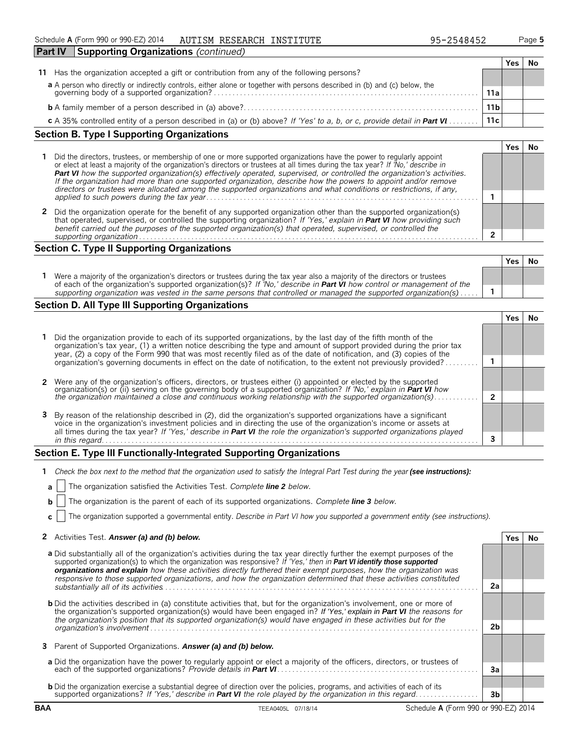| <b>Part IV</b><br>Supporting Organizations (continued)                                                                                                                |                 |     |  |
|-----------------------------------------------------------------------------------------------------------------------------------------------------------------------|-----------------|-----|--|
|                                                                                                                                                                       |                 | res |  |
| Has the organization accepted a gift or contribution from any of the following persons?<br>11                                                                         |                 |     |  |
|                                                                                                                                                                       |                 |     |  |
| a A person who directly or indirectly controls, either alone or together with persons described in (b) and (c) below, the governing body of a supported organization? |                 | 11a |  |
|                                                                                                                                                                       | 11 <sub>b</sub> |     |  |
| c A 35% controlled entity of a person described in (a) or (b) above? If 'Yes' to a, b, or c, provide detail in Part VI                                                | 11c             |     |  |
|                                                                                                                                                                       |                 |     |  |

## **Section B. Type I Supporting Organizations**

|   | Did the directors, trustees, or membership of one or more supported organizations have the power to regularly appoint<br>or elect at least a majority of the organization's directors or trustees at all times during the tax year? If 'No,' describe in<br>Part VI how the supported organization(s) effectively operated, supervised, or controlled the organization's activities.<br>If the organization had more than one supported organization, describe how the powers to appoint and/or remove<br>directors or trustees were allocated among the supported organizations and what conditions or restrictions, if any, |  |  |
|---|-------------------------------------------------------------------------------------------------------------------------------------------------------------------------------------------------------------------------------------------------------------------------------------------------------------------------------------------------------------------------------------------------------------------------------------------------------------------------------------------------------------------------------------------------------------------------------------------------------------------------------|--|--|
|   |                                                                                                                                                                                                                                                                                                                                                                                                                                                                                                                                                                                                                               |  |  |
| 2 | Did the organization operate for the benefit of any supported organization other than the supported organization(s)<br>that operated, supervised, or controlled the supporting organization? If 'Yes,' explain in Part VI how providing such<br>benefit carried out the purposes of the supported organization(s) that operated, supervised, or controlled the                                                                                                                                                                                                                                                                |  |  |
|   | supporting organization                                                                                                                                                                                                                                                                                                                                                                                                                                                                                                                                                                                                       |  |  |

### **Section C. Type II Supporting Organizations**

|                                                                                                                                                                                                                                                               | Yes | Νc |
|---------------------------------------------------------------------------------------------------------------------------------------------------------------------------------------------------------------------------------------------------------------|-----|----|
| Were a majority of the organization's directors or trustees during the tax year also a majority of the directors or trustees<br>of each of the organization's supported organization(s)? If 'No,' describe in <b>Part VI</b> how control or management of the |     |    |
| supporting organization was vested in the same persons that controlled or managed the supported organization(s)                                                                                                                                               |     |    |

## **Section D. All Type III Supporting Organizations**

| 1 Did the organization provide to each of its supported organizations, by the last day of the fifth month of the<br>organization's tax year, (1) a written notice describing the type and amount of support provided during the prior tax<br>year, (2) a copy of the Form 990 that was most recently filed as of the date of notification, and (3) copies of the     |  |  |  |  |  |
|----------------------------------------------------------------------------------------------------------------------------------------------------------------------------------------------------------------------------------------------------------------------------------------------------------------------------------------------------------------------|--|--|--|--|--|
| organization's governing documents in effect on the date of notification, to the extent not previously provided?                                                                                                                                                                                                                                                     |  |  |  |  |  |
|                                                                                                                                                                                                                                                                                                                                                                      |  |  |  |  |  |
| 2 Were any of the organization's officers, directors, or trustees either (i) appointed or elected by the supported<br>organization(s) or (ii) serving on the governing body of a supported organization? If No, explain in Part VI how                                                                                                                               |  |  |  |  |  |
| the organization maintained a close and continuous working relationship with the supported organization(s)                                                                                                                                                                                                                                                           |  |  |  |  |  |
| 3 By reason of the relationship described in (2), did the organization's supported organizations have a significant<br>voice in the organization's investment policies and in directing the use of the organization's income or assets at<br>all times during the tax year? If 'Yes,' describe in Part VI the role the organization's supported organizations played |  |  |  |  |  |
| in this regard.                                                                                                                                                                                                                                                                                                                                                      |  |  |  |  |  |

### **Section E. Type III Functionally-Integrated Supporting Organizations**

| 1 Check the box next to the method that the organization used to satisfy the Integral Part Test during the year (see instructions): |  |  |
|-------------------------------------------------------------------------------------------------------------------------------------|--|--|
|                                                                                                                                     |  |  |

|  |  | <b>a</b>     The organization satisfied the Activities Test. Complete line 2 below. |  |  |  |  |  |  |
|--|--|-------------------------------------------------------------------------------------|--|--|--|--|--|--|
|--|--|-------------------------------------------------------------------------------------|--|--|--|--|--|--|

**b** The organization is the parent of each of its supported organizations. *Complete line 3 below.*

**c** The organization supported a governmental entity. *Describe in Part VI how you supported a government entity (see instructions).*

| 2 Activities Test. Answer (a) and (b) below. |  | Yes No |  |
|----------------------------------------------|--|--------|--|
|----------------------------------------------|--|--------|--|

| a Did substantially all of the organization's activities during the tax year directly further the exempt purposes of the<br>supported organization(s) to which the organization was responsive? If 'Yes,' then in Part VI identify those supported<br>organizations and explain how these activities directly furthered their exempt purposes, how the organization was<br>responsive to those supported organizations, and how the organization determined that these activities constituted |                |  |
|-----------------------------------------------------------------------------------------------------------------------------------------------------------------------------------------------------------------------------------------------------------------------------------------------------------------------------------------------------------------------------------------------------------------------------------------------------------------------------------------------|----------------|--|
|                                                                                                                                                                                                                                                                                                                                                                                                                                                                                               | 2a             |  |
| <b>b</b> Did the activities described in (a) constitute activities that, but for the organization's involvement, one or more of<br>the organization's supported organization(s) would have been engaged in? If 'Yes,' explain in <b>Part VI</b> the reasons for<br>the organization's position that its supported organization(s) would have engaged in these activities but for the                                                                                                          |                |  |
|                                                                                                                                                                                                                                                                                                                                                                                                                                                                                               | 2 <sub>b</sub> |  |
| <b>3</b> Parent of Supported Organizations. Answer (a) and (b) below.                                                                                                                                                                                                                                                                                                                                                                                                                         |                |  |
| a Did the organization have the power to regularly appoint or elect a majority of the officers, directors, or trustees of                                                                                                                                                                                                                                                                                                                                                                     | Зa             |  |
| <b>b</b> Did the organization exercise a substantial degree of direction over the policies, programs, and activities of each of its                                                                                                                                                                                                                                                                                                                                                           |                |  |
| supported organizations? If 'Yes,' describe in <b>Part VI</b> the role played by the organization in this regard                                                                                                                                                                                                                                                                                                                                                                              | 3b             |  |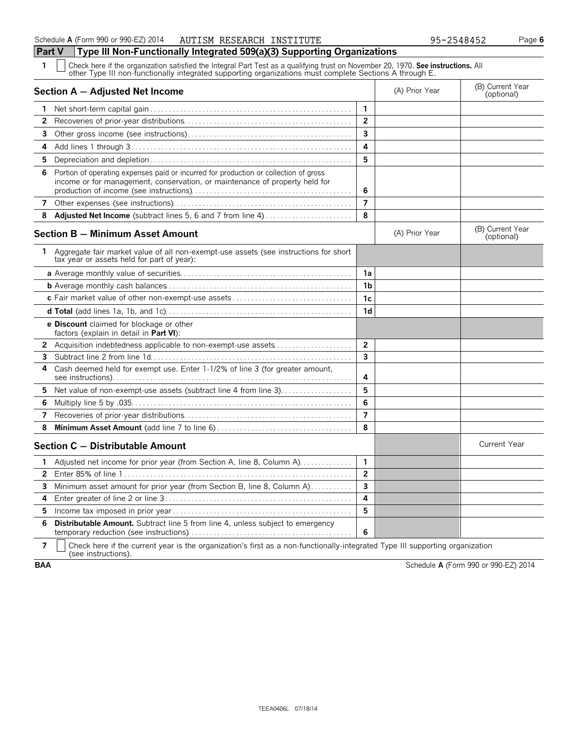**1** Check here if the organization satisfied the Integral Part Test as a qualifying trust on November 20, 1970. **See instructions.** All other Type III non-functionally integrated supporting organizations must complete Sections A through E.

|                | Section A - Adjusted Net Income                                                                                                                                     |                         | (A) Prior Year | (B) Current Year<br>(optional) |
|----------------|---------------------------------------------------------------------------------------------------------------------------------------------------------------------|-------------------------|----------------|--------------------------------|
| 1              |                                                                                                                                                                     | $\mathbf{1}$            |                |                                |
| 2              |                                                                                                                                                                     | $\overline{2}$          |                |                                |
| 3              |                                                                                                                                                                     | 3                       |                |                                |
| 4              |                                                                                                                                                                     | 4                       |                |                                |
| 5.             |                                                                                                                                                                     | 5                       |                |                                |
| 6              | Portion of operating expenses paid or incurred for production or collection of gross<br>income or for management, conservation, or maintenance of property held for | 6                       |                |                                |
| $\overline{7}$ |                                                                                                                                                                     | $\overline{7}$          |                |                                |
| 8              | Adjusted Net Income (subtract lines 5, 6 and 7 from line 4)                                                                                                         | 8                       |                |                                |
|                | <b>Section B - Minimum Asset Amount</b>                                                                                                                             |                         | (A) Prior Year | (B) Current Year<br>(optional) |
| 1.             | Aggregate fair market value of all non-exempt-use assets (see instructions for short<br>tax year or assets held for part of year):                                  |                         |                |                                |
|                |                                                                                                                                                                     | 1a                      |                |                                |
|                |                                                                                                                                                                     | 1 <sub>b</sub>          |                |                                |
|                |                                                                                                                                                                     | 1c                      |                |                                |
|                |                                                                                                                                                                     | 1d                      |                |                                |
|                | <b>e Discount</b> claimed for blockage or other<br>factors (explain in detail in <b>Part VI</b> ):                                                                  |                         |                |                                |
| 2              | Acquisition indebtedness applicable to non-exempt-use assets                                                                                                        | $\overline{2}$          |                |                                |
| 3              |                                                                                                                                                                     | $\overline{\mathbf{3}}$ |                |                                |
| 4              | Cash deemed held for exempt use. Enter 1-1/2% of line 3 (for greater amount,                                                                                        | 4                       |                |                                |
| 5              | Net value of non-exempt-use assets (subtract line 4 from line 3)                                                                                                    | 5                       |                |                                |
| 6              |                                                                                                                                                                     | 6                       |                |                                |
| 7              |                                                                                                                                                                     | $\overline{7}$          |                |                                |
| 8              |                                                                                                                                                                     | 8                       |                |                                |
|                | Section C - Distributable Amount                                                                                                                                    |                         |                | <b>Current Year</b>            |
| 1              | Adjusted net income for prior year (from Section A, line 8, Column A)                                                                                               | $\mathbf{1}$            |                |                                |
| $\overline{2}$ |                                                                                                                                                                     | $\overline{2}$          |                |                                |
| 3              | Minimum asset amount for prior year (from Section B, line 8, Column A)                                                                                              | $\overline{\mathbf{3}}$ |                |                                |
| 4              |                                                                                                                                                                     | 4                       |                |                                |
| 5              |                                                                                                                                                                     | 5                       |                |                                |
| 6              | Distributable Amount. Subtract line 5 from line 4, unless subject to emergency                                                                                      | 6                       |                |                                |

**7**  $\mid$  Check here if the current year is the organization's first as a non-functionally-integrated Type III supporting organization (see instructions).

**BAA** Schedule **A** (Form 990 or 990-EZ) 2014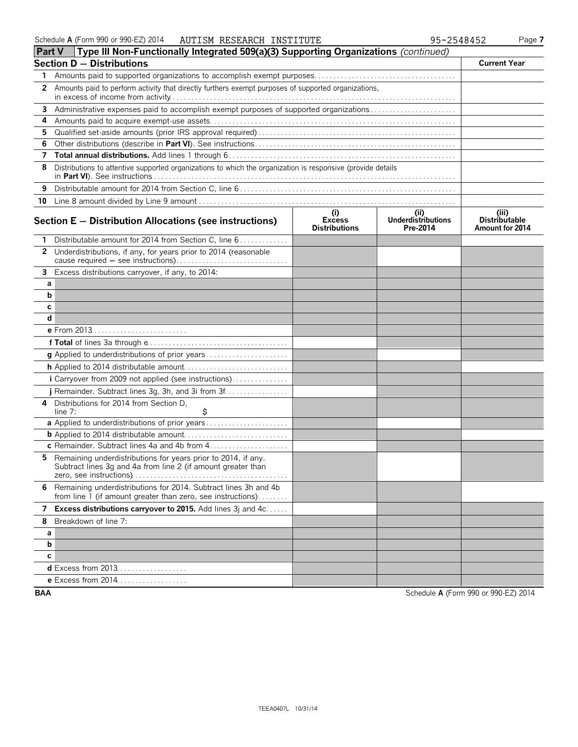| <b>Part V</b> | Type III Non-Functionally Integrated 509(a)(3) Supporting Organizations (continued)                                              |                                       |                                              |                                                  |
|---------------|----------------------------------------------------------------------------------------------------------------------------------|---------------------------------------|----------------------------------------------|--------------------------------------------------|
|               | <b>Section D - Distributions</b>                                                                                                 |                                       |                                              | <b>Current Year</b>                              |
| 1             |                                                                                                                                  |                                       |                                              |                                                  |
| $\mathbf{2}$  | Amounts paid to perform activity that directly furthers exempt purposes of supported organizations,                              |                                       |                                              |                                                  |
|               |                                                                                                                                  |                                       |                                              |                                                  |
| 4             |                                                                                                                                  |                                       |                                              |                                                  |
| 5             |                                                                                                                                  |                                       |                                              |                                                  |
| 6             |                                                                                                                                  |                                       |                                              |                                                  |
| 7             |                                                                                                                                  |                                       |                                              |                                                  |
| 8             | Distributions to attentive supported organizations to which the organization is responsive (provide details                      |                                       |                                              |                                                  |
| 9             |                                                                                                                                  |                                       |                                              |                                                  |
|               |                                                                                                                                  |                                       |                                              |                                                  |
|               | Section $E -$ Distribution Allocations (see instructions)                                                                        | (i)<br>Excess<br><b>Distributions</b> | (i)<br><b>Underdistributions</b><br>Pre-2014 | (iii)<br><b>Distributable</b><br>Amount for 2014 |
|               | Distributable amount for 2014 from Section C, line 6                                                                             |                                       |                                              |                                                  |
| $\mathbf{2}$  | Underdistributions, if any, for years prior to 2014 (reasonable                                                                  |                                       |                                              |                                                  |
|               | 3 Excess distributions carryover, if any, to 2014:                                                                               |                                       |                                              |                                                  |
| а             |                                                                                                                                  |                                       |                                              |                                                  |
| b             |                                                                                                                                  |                                       |                                              |                                                  |
| с             |                                                                                                                                  |                                       |                                              |                                                  |
| d             |                                                                                                                                  |                                       |                                              |                                                  |
|               | e From 2013                                                                                                                      |                                       |                                              |                                                  |
|               |                                                                                                                                  |                                       |                                              |                                                  |
|               |                                                                                                                                  |                                       |                                              |                                                  |
|               |                                                                                                                                  |                                       |                                              |                                                  |
|               | i Carryover from 2009 not applied (see instructions)                                                                             |                                       |                                              |                                                  |
|               | j Remainder. Subtract lines 3g, 3h, and 3i from 3f                                                                               |                                       |                                              |                                                  |
| 4             | Distributions for 2014 from Section D,<br>\$<br>line 7:                                                                          |                                       |                                              |                                                  |
|               | a Applied to underdistributions of prior years                                                                                   |                                       |                                              |                                                  |
|               |                                                                                                                                  |                                       |                                              |                                                  |
|               | c Remainder. Subtract lines 4a and 4b from 4                                                                                     |                                       |                                              |                                                  |
| 5.            | Remaining underdistributions for years prior to 2014, if any.<br>Subtract lines 3g and 4a from line 2 (if amount greater than    |                                       |                                              |                                                  |
|               | 6 Remaining underdistributions for 2014. Subtract lines 3h and 4b<br>from line 1 (if amount greater than zero, see instructions) |                                       |                                              |                                                  |
| $7^{\circ}$   | Excess distributions carryover to 2015. Add lines 3j and 4c                                                                      |                                       |                                              |                                                  |
| 8             | Breakdown of line 7:                                                                                                             |                                       |                                              |                                                  |
| а             |                                                                                                                                  |                                       |                                              |                                                  |
| b             |                                                                                                                                  |                                       |                                              |                                                  |
| C             |                                                                                                                                  |                                       |                                              |                                                  |
|               | $d$ Excess from 2013                                                                                                             |                                       |                                              |                                                  |
|               |                                                                                                                                  |                                       |                                              |                                                  |

**BAA** Schedule **A** (Form 990 or 990-EZ) 2014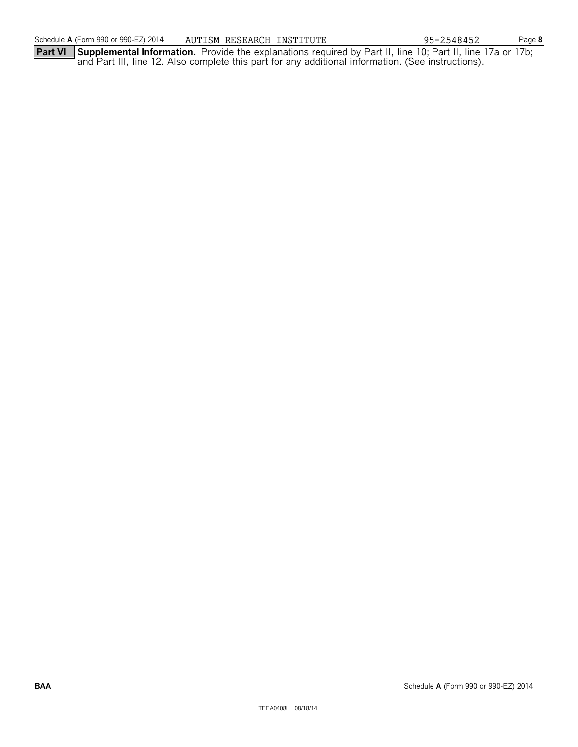**Part VI Supplemental Information.** Provide the explanations required by Part II, line 10; Part II, line 17a or 17b; and Part III, line 12. Also complete this part for any additional information. (See instructions).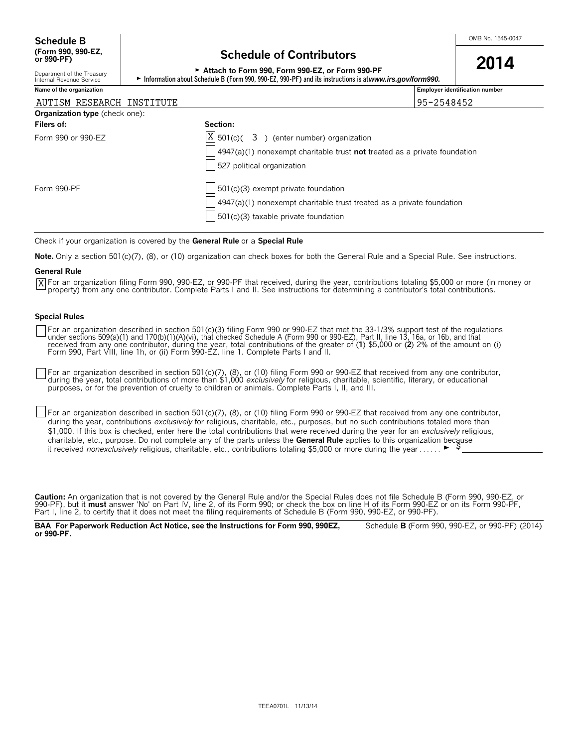Departme<br>Internal F

## **Schedule of Contributors**

<sup>G</sup>**Attach to Form 990, Form 990-EZ, or Form 990-PF 2014**

4947(a)(1) nonexempt charitable trust **not** treated as a private foundation

| Department of the Treasury<br>Internal Revenue Service | Information about Schedule B (Form 990, 990-EZ, 990-PF) and its instructions is at www.irs.gov/form990. |                                       |  |
|--------------------------------------------------------|---------------------------------------------------------------------------------------------------------|---------------------------------------|--|
| Name of the organization                               |                                                                                                         | <b>Employer identification number</b> |  |
| AUTISM RESEARCH INSTITUTE                              |                                                                                                         | 95-2548452                            |  |
| <b>Organization type</b> (check one):                  |                                                                                                         |                                       |  |
| Filers of:                                             | Section:                                                                                                |                                       |  |
| Form 990 or 990-EZ                                     | $ X $ 501(c)( 3) (enter number) organization                                                            |                                       |  |

527 political organization

Form 990-PF **Form 990-PF** 501(c)(3) exempt private foundation

4947(a)(1) nonexempt charitable trust treated as a private foundation

501(c)(3) taxable private foundation

Check if your organization is covered by the **General Rule** or a **Special Rule**

**Note.** Only a section 501(c)(7), (8), or (10) organization can check boxes for both the General Rule and a Special Rule. See instructions.

#### **General Rule**

For an organization filing Form 990, 990-EZ, or 990-PF that received, during the year, contributions totaling \$5,000 or more (in money or Xproperty) from any one contributor. Complete Parts I and II. See instructions for determining a contributor's total contributions.

#### **Special Rules**

For an organization described in section 501(c)(3) filing Form 990 or 990-EZ that met the 33-1/3% support test of the regulations<br>under sections 509(a)(1) and 170(b)(1)(A)(vi), that checked Schedule A (Form 990 or 990-EZ),

For an organization described in section 501(c)(7), (8), or (10) filing Form 990 or 990-EZ that received from any one contributor, during the year, total contributions of more than \$1,000 *exclusively* for religious, charitable, scientific, literary, or educational purposes, or for the prevention of cruelty to children or animals. Complete Parts I, II, and III.

For an organization described in section 501(c)(7), (8), or (10) filing Form 990 or 990-EZ that received from any one contributor, during the year, contributions *exclusively* for religious, charitable, etc., purposes, but no such contributions totaled more than \$1,000. If this box is checked, enter here the total contributions that were received during the year for an *exclusively* religious, charitable, etc., purpose. Do not complete any of the parts unless the **General Rule** applies to this organization because it received *nonexclusively* religious, charitable, etc., contributions totaling \$5,000 or more during the year . . . . .  $\blacktriangleright$ 

**Caution:** An organization that is not covered by the General Rule and/or the Special Rules does not file Schedule B (Form 990, 990-EZ, or 990-PF), but it **must** answer 'No' on Part IV, line 2, of its Form 990; or check the box on line H of its Form 990-EZ or on its Form 990-PF, Part I, line 2, to certify that it does not meet the filing requirements of Schedule B (Form 990, 990-EZ, or 990-PF).

**BAA For Paperwork Reduction Act Notice, see the Instructions for Form 990, 990EZ,** Schedule **B** (Form 990, 990-EZ, or 990-PF) (2014) **or 990-PF.**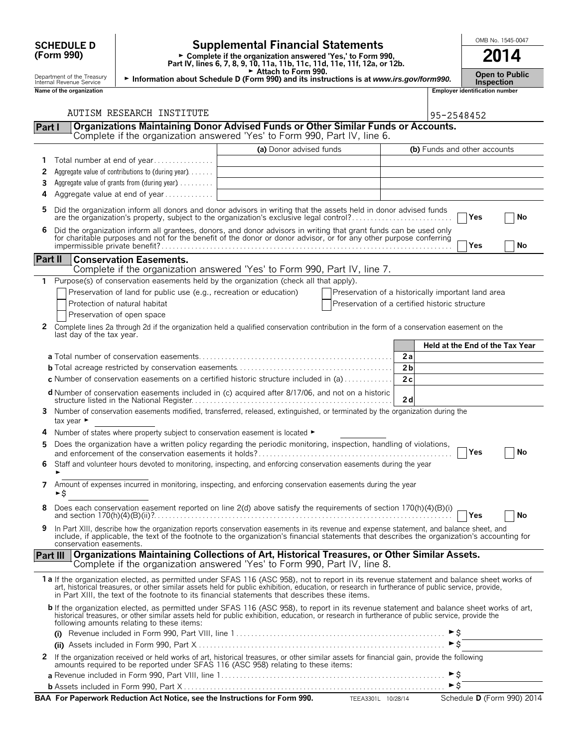## **(Form 990)**

## **SCHEDULE D**  $\begin{bmatrix} 0 \end{bmatrix}$  **Supplemental Financial Statements**  $\begin{bmatrix} 0 \end{bmatrix}$   $\begin{bmatrix} 0 \end{bmatrix}$   $\begin{bmatrix} 0 \end{bmatrix}$

**Part IV, lines 6, 7, 8, 9, 10, 11a, 11b, 11c, 11d, 11e, 11f, 12a, or 12b.**<br>
Part IV, lines 6, 7, 8, 9, 10, 11a, 11b, 11c, 11d, 11e, 11f, 12a, or 12b.

G **Attach to Form 990.** Department of the Treasury **Open to Public** <sup>G</sup> **Information about Schedule D (Form 990) and its instructions is at** *www.irs.gov/form990.* Internal Revenue Service **Inspection**

|                 | Name of the organization                                                                                                                                                                                                                                                                                                                                                                       |                         |                                                |                      | <b>Employer identification number</b>              |    |
|-----------------|------------------------------------------------------------------------------------------------------------------------------------------------------------------------------------------------------------------------------------------------------------------------------------------------------------------------------------------------------------------------------------------------|-------------------------|------------------------------------------------|----------------------|----------------------------------------------------|----|
|                 | AUTISM RESEARCH INSTITUTE                                                                                                                                                                                                                                                                                                                                                                      |                         |                                                |                      | 95-2548452                                         |    |
| Part I          | Organizations Maintaining Donor Advised Funds or Other Similar Funds or Accounts.                                                                                                                                                                                                                                                                                                              |                         |                                                |                      |                                                    |    |
|                 | Complete if the organization answered 'Yes' to Form 990, Part IV, line 6.                                                                                                                                                                                                                                                                                                                      |                         |                                                |                      |                                                    |    |
|                 |                                                                                                                                                                                                                                                                                                                                                                                                | (a) Donor advised funds |                                                |                      | (b) Funds and other accounts                       |    |
| 1               | Total number at end of year                                                                                                                                                                                                                                                                                                                                                                    |                         |                                                |                      |                                                    |    |
| 2               | Aggregate value of contributions to (during year).                                                                                                                                                                                                                                                                                                                                             |                         |                                                |                      |                                                    |    |
| 3               | Aggregate value of grants from (during year)                                                                                                                                                                                                                                                                                                                                                   |                         |                                                |                      |                                                    |    |
| 4               | Aggregate value at end of year                                                                                                                                                                                                                                                                                                                                                                 |                         |                                                |                      |                                                    |    |
| 5               | Did the organization inform all donors and donor advisors in writing that the assets held in donor advised funds<br>are the organization's property, subject to the organization's exclusive legal control?                                                                                                                                                                                    |                         |                                                |                      | Yes                                                | No |
| 6               | Did the organization inform all grantees, donors, and donor advisors in writing that grant funds can be used only for charitable purposes and not for the benefit of the donor or donor advisor, or for any other purpose conf                                                                                                                                                                 |                         |                                                |                      | Yes                                                | No |
| Part II         | <b>Conservation Easements.</b><br>Complete if the organization answered 'Yes' to Form 990, Part IV, line 7.                                                                                                                                                                                                                                                                                    |                         |                                                |                      |                                                    |    |
|                 | Purpose(s) of conservation easements held by the organization (check all that apply).                                                                                                                                                                                                                                                                                                          |                         |                                                |                      |                                                    |    |
|                 | Preservation of land for public use (e.g., recreation or education)                                                                                                                                                                                                                                                                                                                            |                         |                                                |                      | Preservation of a historically important land area |    |
|                 | Protection of natural habitat                                                                                                                                                                                                                                                                                                                                                                  |                         | Preservation of a certified historic structure |                      |                                                    |    |
|                 | Preservation of open space                                                                                                                                                                                                                                                                                                                                                                     |                         |                                                |                      |                                                    |    |
| 2               | Complete lines 2a through 2d if the organization held a qualified conservation contribution in the form of a conservation easement on the<br>last day of the tax year.                                                                                                                                                                                                                         |                         |                                                |                      |                                                    |    |
|                 |                                                                                                                                                                                                                                                                                                                                                                                                |                         |                                                |                      | Held at the End of the Tax Year                    |    |
|                 |                                                                                                                                                                                                                                                                                                                                                                                                |                         |                                                | 2a                   |                                                    |    |
|                 | c Number of conservation easements on a certified historic structure included in (a)                                                                                                                                                                                                                                                                                                           |                         |                                                | 2 <sub>b</sub><br>2c |                                                    |    |
|                 |                                                                                                                                                                                                                                                                                                                                                                                                |                         |                                                |                      |                                                    |    |
|                 | d Number of conservation easements included in (c) acquired after 8/17/06, and not on a historic                                                                                                                                                                                                                                                                                               |                         |                                                | 2d                   |                                                    |    |
| 3.              | Number of conservation easements modified, transferred, released, extinguished, or terminated by the organization during the<br>tax year $\blacktriangleright$                                                                                                                                                                                                                                 |                         |                                                |                      |                                                    |    |
| 4               | Number of states where property subject to conservation easement is located $\blacktriangleright$                                                                                                                                                                                                                                                                                              |                         |                                                |                      |                                                    |    |
| 5               | Does the organization have a written policy regarding the periodic monitoring, inspection, handling of violations,                                                                                                                                                                                                                                                                             |                         |                                                |                      | Yes                                                | No |
| 6               | Staff and volunteer hours devoted to monitoring, inspecting, and enforcing conservation easements during the year                                                                                                                                                                                                                                                                              |                         |                                                |                      |                                                    |    |
| 7               | Amount of expenses incurred in monitoring, inspecting, and enforcing conservation easements during the year<br>►\$                                                                                                                                                                                                                                                                             |                         |                                                |                      |                                                    |    |
|                 | Does each conservation easement reported on line 2(d) above satisfy the requirements of section 170(h)(4)(B)(i)                                                                                                                                                                                                                                                                                |                         |                                                |                      | Yes                                                | No |
| 9               | In Part XIII, describe how the organization reports conservation easements in its revenue and expense statement, and balance sheet, and<br>include, if applicable, the text of the footnote to the organization's financial statements that describes the organization's accounting for<br>conservation easements.                                                                             |                         |                                                |                      |                                                    |    |
| <b>Part III</b> | Organizations Maintaining Collections of Art, Historical Treasures, or Other Similar Assets.<br>Complete if the organization answered 'Yes' to Form 990, Part IV, line 8.                                                                                                                                                                                                                      |                         |                                                |                      |                                                    |    |
|                 | 1a If the organization elected, as permitted under SFAS 116 (ASC 958), not to report in its revenue statement and balance sheet works of<br>art, historical treasures, or other similar assets held for public exhibition, education, or research in furtherance of public service, provide,<br>in Part XIII, the text of the footnote to its financial statements that describes these items. |                         |                                                |                      |                                                    |    |
|                 | b If the organization elected, as permitted under SFAS 116 (ASC 958), to report in its revenue statement and balance sheet works of art, historical treasures, or other similar assets held for public exhibition, education,<br>following amounts relating to these items:                                                                                                                    |                         |                                                |                      |                                                    |    |
|                 |                                                                                                                                                                                                                                                                                                                                                                                                |                         |                                                |                      |                                                    |    |
|                 |                                                                                                                                                                                                                                                                                                                                                                                                |                         |                                                |                      | $\triangleright$ \$                                |    |
| 2               | If the organization received or held works of art, historical treasures, or other similar assets for financial gain, provide the following amounts required to be reported under SFAS 116 (ASC 958) relating to these items:                                                                                                                                                                   |                         |                                                |                      |                                                    |    |
|                 |                                                                                                                                                                                                                                                                                                                                                                                                |                         |                                                |                      |                                                    |    |
|                 |                                                                                                                                                                                                                                                                                                                                                                                                |                         |                                                |                      |                                                    |    |

| BAA For Paperwork Reduction Act Notice, see the Instructions for Form 990. | TEEA3301L 10/28/14 | Schedule <b>D</b> (Form 990) 2014 |
|----------------------------------------------------------------------------|--------------------|-----------------------------------|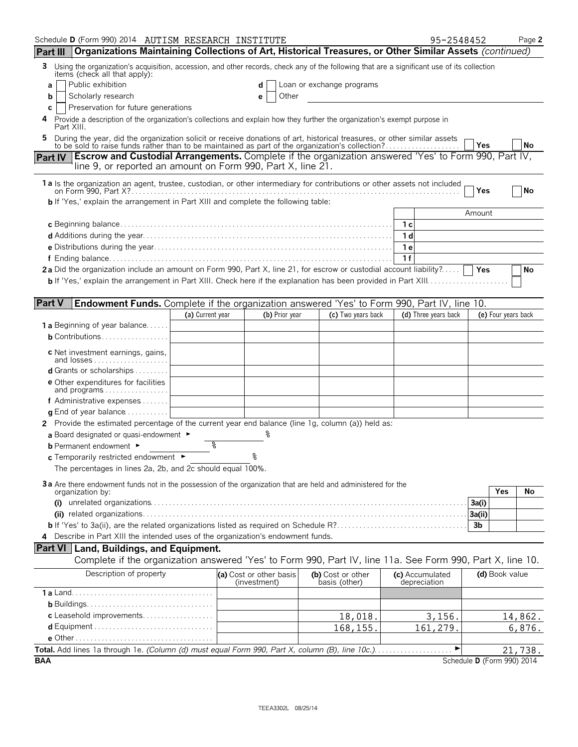| Schedule D (Form 990) 2014 AUTISM RESEARCH INSTITUTE                                                                                                                                                                           |                  |                                         |                |                                    | 95-2548452                      |                            | Page 2  |
|--------------------------------------------------------------------------------------------------------------------------------------------------------------------------------------------------------------------------------|------------------|-----------------------------------------|----------------|------------------------------------|---------------------------------|----------------------------|---------|
| Organizations Maintaining Collections of Art, Historical Treasures, or Other Similar Assets (continued)<br><b>Part III</b>                                                                                                     |                  |                                         |                |                                    |                                 |                            |         |
| Using the organization's acquisition, accession, and other records, check any of the following that are a significant use of its collection<br>3<br>items (check all that apply):                                              |                  |                                         |                |                                    |                                 |                            |         |
| Public exhibition<br>a                                                                                                                                                                                                         |                  | d                                       |                | Loan or exchange programs          |                                 |                            |         |
| Scholarly research<br>b                                                                                                                                                                                                        |                  | е                                       | Other          |                                    |                                 |                            |         |
| Preservation for future generations<br>С                                                                                                                                                                                       |                  |                                         |                |                                    |                                 |                            |         |
| Provide a description of the organization's collections and explain how they further the organization's exempt purpose in<br>4<br>Part XIII.                                                                                   |                  |                                         |                |                                    |                                 |                            |         |
| During the year, did the organization solicit or receive donations of art, historical treasures, or other similar assets to be sold to raise funds rather than to be maintained as part of the organization's collection?<br>5 |                  |                                         |                |                                    |                                 | <b>Yes</b>                 | No      |
| <b>Escrow and Custodial Arrangements.</b> Complete if the organization answered 'Yes' to Form 990, Part IV,<br><b>Part IV</b><br>line 9, or reported an amount on Form 990, Part X, line 21.                                   |                  |                                         |                |                                    |                                 |                            |         |
| 1a Is the organization an agent, trustee, custodian, or other intermediary for contributions or other assets not included                                                                                                      |                  |                                         |                |                                    |                                 | <b>Yes</b>                 | No      |
| <b>b</b> If 'Yes,' explain the arrangement in Part XIII and complete the following table:                                                                                                                                      |                  |                                         |                |                                    |                                 |                            |         |
|                                                                                                                                                                                                                                |                  |                                         |                |                                    |                                 | Amount                     |         |
|                                                                                                                                                                                                                                |                  |                                         |                |                                    | $\overline{\phantom{a}}$ 1 c    |                            |         |
|                                                                                                                                                                                                                                |                  |                                         |                |                                    | 1 d                             |                            |         |
|                                                                                                                                                                                                                                |                  |                                         |                |                                    | 1е                              |                            |         |
|                                                                                                                                                                                                                                |                  |                                         |                |                                    | 1f                              |                            |         |
| 2a Did the organization include an amount on Form 990, Part X, line 21, for escrow or custodial account liability?                                                                                                             |                  |                                         |                |                                    |                                 | Yes                        | No      |
|                                                                                                                                                                                                                                |                  |                                         |                |                                    |                                 |                            |         |
|                                                                                                                                                                                                                                |                  |                                         |                |                                    |                                 |                            |         |
| <b>Part V</b><br><b>Endowment Funds.</b> Complete if the organization answered 'Yes' to Form 990, Part IV, line 10.                                                                                                            |                  |                                         |                |                                    |                                 |                            |         |
|                                                                                                                                                                                                                                | (a) Current year |                                         | (b) Prior year | (c) Two years back                 | (d) Three years back            | (e) Four years back        |         |
| <b>1 a</b> Beginning of year balance<br><b>b</b> Contributions                                                                                                                                                                 |                  |                                         |                |                                    |                                 |                            |         |
|                                                                                                                                                                                                                                |                  |                                         |                |                                    |                                 |                            |         |
| c Net investment earnings, gains,<br>and losses                                                                                                                                                                                |                  |                                         |                |                                    |                                 |                            |         |
| d Grants or scholarships                                                                                                                                                                                                       |                  |                                         |                |                                    |                                 |                            |         |
| <b>e</b> Other expenditures for facilities<br>and programs                                                                                                                                                                     |                  |                                         |                |                                    |                                 |                            |         |
| f Administrative expenses $\ldots \ldots$                                                                                                                                                                                      |                  |                                         |                |                                    |                                 |                            |         |
| $\alpha$ End of year balance $\ldots \ldots \ldots$                                                                                                                                                                            |                  |                                         |                |                                    |                                 |                            |         |
| 2 Provide the estimated percentage of the current year end balance (line 1g, column (a)) held as:                                                                                                                              |                  |                                         |                |                                    |                                 |                            |         |
| a Board designated or quasi-endowment $\blacktriangleright$                                                                                                                                                                    |                  |                                         |                |                                    |                                 |                            |         |
| <b>b</b> Permanent endowment ►                                                                                                                                                                                                 | ଽ                |                                         |                |                                    |                                 |                            |         |
| $c$ Temporarily restricted endowment $\blacktriangleright$                                                                                                                                                                     |                  | ٥                                       |                |                                    |                                 |                            |         |
| The percentages in lines 2a, 2b, and 2c should equal 100%.                                                                                                                                                                     |                  |                                         |                |                                    |                                 |                            |         |
| 3a Are there endowment funds not in the possession of the organization that are held and administered for the                                                                                                                  |                  |                                         |                |                                    |                                 |                            |         |
| organization by:                                                                                                                                                                                                               |                  |                                         |                |                                    |                                 | Yes                        | No      |
|                                                                                                                                                                                                                                |                  |                                         |                |                                    |                                 | 3a(i)                      |         |
|                                                                                                                                                                                                                                |                  |                                         |                |                                    |                                 | 3a(ii)<br>3b               |         |
| Describe in Part XIII the intended uses of the organization's endowment funds.<br>4                                                                                                                                            |                  |                                         |                |                                    |                                 |                            |         |
| Part VI Land, Buildings, and Equipment.                                                                                                                                                                                        |                  |                                         |                |                                    |                                 |                            |         |
| Complete if the organization answered 'Yes' to Form 990, Part IV, line 11a. See Form 990, Part X, line 10.                                                                                                                     |                  |                                         |                |                                    |                                 |                            |         |
| Description of property                                                                                                                                                                                                        |                  |                                         |                |                                    |                                 | (d) Book value             |         |
|                                                                                                                                                                                                                                |                  | (a) Cost or other basis<br>(investment) |                | (b) Cost or other<br>basis (other) | (c) Accumulated<br>depreciation |                            |         |
|                                                                                                                                                                                                                                |                  |                                         |                |                                    |                                 |                            |         |
|                                                                                                                                                                                                                                |                  |                                         |                |                                    |                                 |                            |         |
| c Leasehold improvements                                                                                                                                                                                                       |                  |                                         |                | 18,018.                            | 3,156.                          |                            | 14,862. |
|                                                                                                                                                                                                                                |                  |                                         |                | 168, 155.                          | 161,279.                        |                            | 6,876.  |
|                                                                                                                                                                                                                                |                  |                                         |                |                                    | ▶                               |                            |         |
| Total. Add lines 1a through 1e. (Column (d) must equal Form 990, Part X, column (B), line 10c.)<br><b>BAA</b>                                                                                                                  |                  |                                         |                |                                    |                                 | Schedule D (Form 990) 2014 | 21,738. |
|                                                                                                                                                                                                                                |                  |                                         |                |                                    |                                 |                            |         |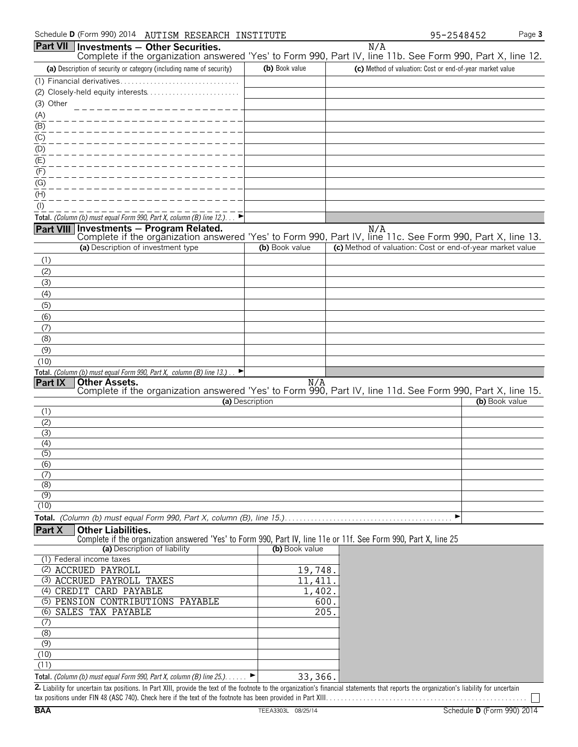| Schedule <b>D</b> (Form 990) 2014 AUTISM RESEARCH INSTITUTE                                                                                   |                 |                                                           | 95-2548452     | Page 3 |
|-----------------------------------------------------------------------------------------------------------------------------------------------|-----------------|-----------------------------------------------------------|----------------|--------|
| <b>Part VII</b><br><b>Investments - Other Securities.</b>                                                                                     |                 | N/A                                                       |                |        |
| Complete if the organization answered 'Yes' to Form 990, Part IV, line 11b. See Form 990, Part X, line 12.                                    |                 |                                                           |                |        |
| (a) Description of security or category (including name of security)                                                                          | (b) Book value  | (c) Method of valuation: Cost or end-of-year market value |                |        |
| (1) Financial derivatives                                                                                                                     |                 |                                                           |                |        |
|                                                                                                                                               |                 |                                                           |                |        |
| (3) Other                                                                                                                                     |                 |                                                           |                |        |
| (A)                                                                                                                                           |                 |                                                           |                |        |
| (B)                                                                                                                                           |                 |                                                           |                |        |
| (C)                                                                                                                                           |                 |                                                           |                |        |
| (D)                                                                                                                                           |                 |                                                           |                |        |
| (E)                                                                                                                                           |                 |                                                           |                |        |
| (F)                                                                                                                                           |                 |                                                           |                |        |
| (G)                                                                                                                                           |                 |                                                           |                |        |
| (H)                                                                                                                                           |                 |                                                           |                |        |
| $($ l $)$                                                                                                                                     |                 |                                                           |                |        |
| Total. (Column (b) must equal Form 990, Part X, column (B) line 12.)                                                                          |                 |                                                           |                |        |
| Part VIII Investments - Program Related.                                                                                                      |                 | N/A                                                       |                |        |
| Complete if the organization answered 'Yes' to Form 990, Part IV, line 11c. See Form 990, Part X, line 13.                                    |                 |                                                           |                |        |
| (a) Description of investment type                                                                                                            | (b) Book value  | (c) Method of valuation: Cost or end-of-year market value |                |        |
| (1)                                                                                                                                           |                 |                                                           |                |        |
| (2)                                                                                                                                           |                 |                                                           |                |        |
| (3)                                                                                                                                           |                 |                                                           |                |        |
|                                                                                                                                               |                 |                                                           |                |        |
| (4)                                                                                                                                           |                 |                                                           |                |        |
| (5)                                                                                                                                           |                 |                                                           |                |        |
| (6)                                                                                                                                           |                 |                                                           |                |        |
| (7)                                                                                                                                           |                 |                                                           |                |        |
| (8)                                                                                                                                           |                 |                                                           |                |        |
| (9)                                                                                                                                           |                 |                                                           |                |        |
| (10)                                                                                                                                          |                 |                                                           |                |        |
| Total. (Column (b) must equal Form 990, Part X, column (B) line 13.) $\blacktriangleright$                                                    |                 |                                                           |                |        |
| Part IX<br><b>Other Assets.</b><br>Complete if the organization answered 'Yes' to Form 990, Part IV, line 11d. See Form 990, Part X, line 15. | N/A             |                                                           |                |        |
|                                                                                                                                               | (a) Description |                                                           | (b) Book value |        |
| (1)                                                                                                                                           |                 |                                                           |                |        |
| (2)                                                                                                                                           |                 |                                                           |                |        |
| (3)                                                                                                                                           |                 |                                                           |                |        |
| (4)                                                                                                                                           |                 |                                                           |                |        |
| (5)                                                                                                                                           |                 |                                                           |                |        |
| (6)                                                                                                                                           |                 |                                                           |                |        |
| (7)                                                                                                                                           |                 |                                                           |                |        |
| (8)                                                                                                                                           |                 |                                                           |                |        |
| (9)                                                                                                                                           |                 |                                                           |                |        |
| (10)                                                                                                                                          |                 |                                                           |                |        |
|                                                                                                                                               |                 |                                                           | ▶              |        |
| Part X<br><b>Other Liabilities.</b>                                                                                                           |                 |                                                           |                |        |
| Complete if the organization answered 'Yes' to Form 990, Part IV, line 11e or 11f. See Form 990, Part X, line 25                              |                 |                                                           |                |        |
| (a) Description of liability                                                                                                                  | (b) Book value  |                                                           |                |        |
| (1) Federal income taxes                                                                                                                      |                 |                                                           |                |        |
| (2) ACCRUED PAYROLL                                                                                                                           | 19,748.         |                                                           |                |        |
| (3) ACCRUED PAYROLL TAXES                                                                                                                     | 11, 411.        |                                                           |                |        |
| (4) CREDIT CARD PAYABLE                                                                                                                       | 1,402.          |                                                           |                |        |
| (5) PENSION CONTRIBUTIONS PAYABLE                                                                                                             | 600.            |                                                           |                |        |
| (6) SALES TAX PAYABLE                                                                                                                         | 205.            |                                                           |                |        |
| (7)                                                                                                                                           |                 |                                                           |                |        |
| (8)                                                                                                                                           |                 |                                                           |                |        |
| (9)                                                                                                                                           |                 |                                                           |                |        |

**Total.** *(Column (b) must equal Form 990, Part X, column (B) line 25.)*. . . . . . G 2. Liability for uncertain tax positions. In Part XIII, provide the text of the footnote to the organization's financial statements that reports the organization's liability for uncertain tax positions under FIN 48 (ASC 740). Check here if the text of the footnote has been provided in Part XIII. . . . . . . . . . . . . . . . . . . . . . . . . . . . . . . . . . . . . . . . . . . . . . . . . . . . . . 33,366.

(10) (11)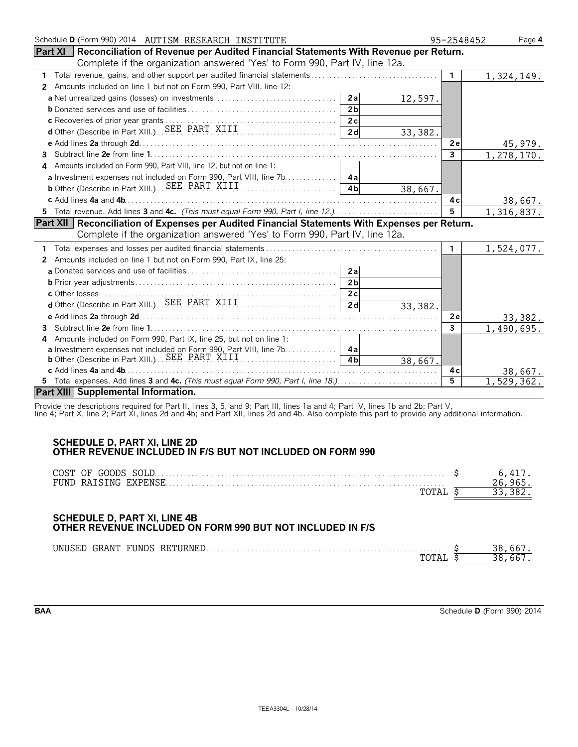| Schedule D (Form 990) 2014 AUTISM RESEARCH INSTITUTE                                             | 95-2548452                | Page 4       |              |
|--------------------------------------------------------------------------------------------------|---------------------------|--------------|--------------|
| Part XI   Reconciliation of Revenue per Audited Financial Statements With Revenue per Return.    |                           |              |              |
| Complete if the organization answered 'Yes' to Form 990, Part IV, line 12a.                      |                           |              |              |
|                                                                                                  |                           | $\mathbf{1}$ | 1,324,149.   |
| Amounts included on line 1 but not on Form 990, Part VIII, line 12:<br>$\mathbf{2}^{\prime}$     |                           |              |              |
|                                                                                                  | 12,597.                   |              |              |
|                                                                                                  | 2 <sub>b</sub>            |              |              |
|                                                                                                  |                           |              |              |
| d Other (Describe in Part XIII.) SEE PART XIII [1]                                               | 33,382.                   |              |              |
|                                                                                                  |                           | 2e           | 45,979.      |
| 3                                                                                                |                           | $\mathbf{3}$ | 1,278,170.   |
| Amounts included on Form 990, Part VIII, line 12, but not on line 1:<br>4                        |                           |              |              |
| <b>a</b> Investment expenses not included on Form 990, Part VIII, line 7b. 4a                    |                           |              |              |
|                                                                                                  | 4 <sub>b</sub><br>38,667. |              |              |
|                                                                                                  |                           | 4 c          | 38,667.      |
| 5 Total revenue. Add lines 3 and 4c. (This must equal Form 990, Part I, line 12.)                |                           | 5            | 1, 316, 837. |
| Part XII   Reconciliation of Expenses per Audited Financial Statements With Expenses per Return. |                           |              |              |
| Complete if the organization answered 'Yes' to Form 990, Part IV, line 12a.                      |                           |              |              |
|                                                                                                  |                           | $\mathbf{1}$ | 1,524,077.   |
| 2 Amounts included on line 1 but not on Form 990, Part IX, line 25:                              |                           |              |              |
|                                                                                                  | 2a                        |              |              |
|                                                                                                  | 2 <sub>b</sub>            |              |              |
|                                                                                                  |                           |              |              |
|                                                                                                  | 33, 382.                  |              |              |
|                                                                                                  |                           | 2e           | 33,382.      |
| 3                                                                                                |                           | $\mathbf{3}$ | 1,490,695.   |
| Amounts included on Form 990, Part IX, line 25, but not on line 1:<br>4                          |                           |              |              |
| a Investment expenses not included on Form 990, Part VIII, line 7b.   4a                         |                           |              |              |
|                                                                                                  | 4 bl<br>38,667.           |              |              |
|                                                                                                  |                           | 4 c          | 38,667.      |
|                                                                                                  |                           | 5            | 1,529,362.   |
| Part XIII Supplemental Information.                                                              |                           |              |              |

Provide the descriptions required for Part II, lines 3, 5, and 9; Part III, lines 1a and 4; Part IV, lines 1b and 2b; Part V,

#### line 4; Part X, line 2; Part XI, lines 2d and 4b; and Part XII, lines 2d and 4b. Also complete this part to provide any additional information.

#### **SCHEDULE D, PART XI, LINE 2D OTHER REVENUE INCLUDED IN F/S BUT NOT INCLUDED ON FORM 990**

| TOTAT.                                                                                            |                          |
|---------------------------------------------------------------------------------------------------|--------------------------|
| <b>SCHEDULE D, PART XI, LINE 4B</b><br>OTHER REVENUE INCLUDED ON FORM 990 BUT NOT INCLUDED IN F/S |                          |
| $m \wedge m \wedge n$                                                                             | $\overline{\phantom{a}}$ |

| UNUSED GRANT |  | FUNDS RETURNED | .  |
|--------------|--|----------------|----|
|              |  | ⊼ידי∩          | nn |
|              |  |                |    |

**BAA** Schedule **D** (Form 990) 2014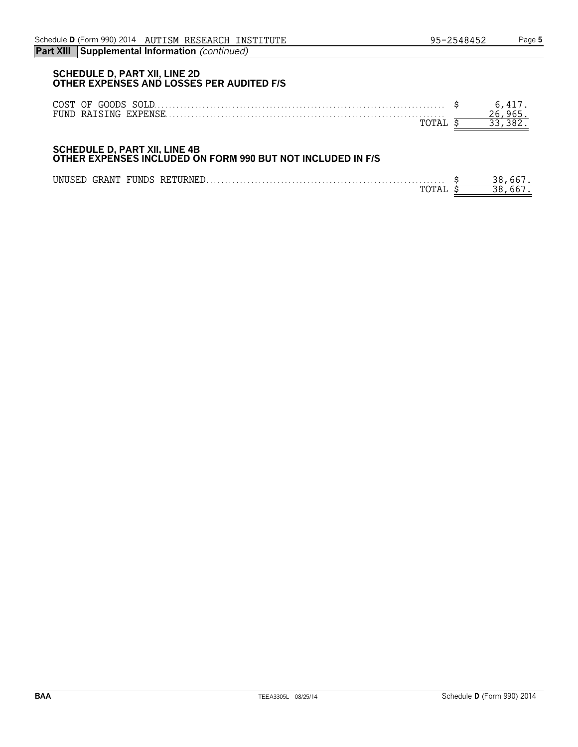#### **SCHEDULE D, PART XII, LINE 2D OTHER EXPENSES AND LOSSES PER AUDITED F/S**

| COST OF GOODS SOLD      | 4<br>. . |
|-------------------------|----------|
| FUND<br>RAISING EXPENSE |          |
| ͲႶͲϪ                    |          |
|                         |          |

#### **SCHEDULE D, PART XII, LINE 4B OTHER EXPENSES INCLUDED ON FORM 990 BUT NOT INCLUDED IN F/S**

|  | UNUSED GRANT FUNDS RETURNED. | . 667       |
|--|------------------------------|-------------|
|  | TOTAL.                       | 38<br>. 661 |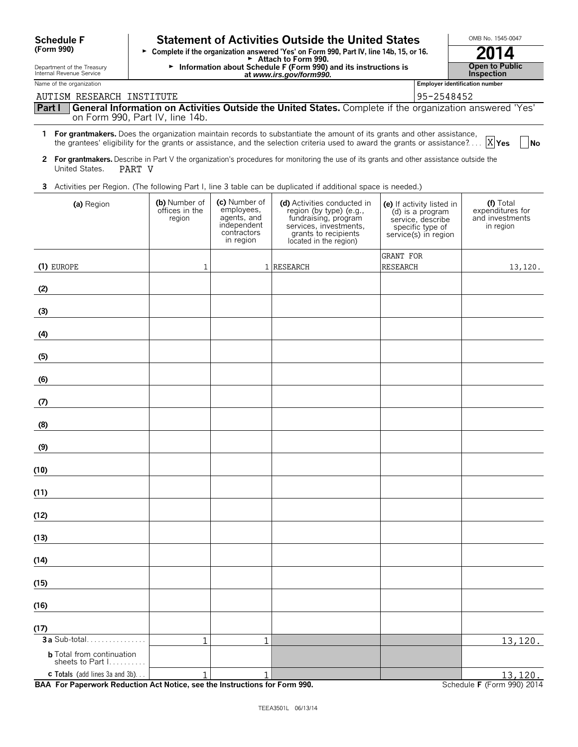| <b>Schedule F</b>                                                            |                                                                                          |                                                                                                                   | <b>Statement of Activities Outside the United States</b>                                                                                                                                                                                                   |                                                                                                                | OMB No. 1545-0047                                             |
|------------------------------------------------------------------------------|------------------------------------------------------------------------------------------|-------------------------------------------------------------------------------------------------------------------|------------------------------------------------------------------------------------------------------------------------------------------------------------------------------------------------------------------------------------------------------------|----------------------------------------------------------------------------------------------------------------|---------------------------------------------------------------|
| (Form 990)                                                                   | ► Complete if the organization answered 'Yes' on Form 990, Part IV, line 14b, 15, or 16. |                                                                                                                   |                                                                                                                                                                                                                                                            |                                                                                                                |                                                               |
| Department of the Treasury<br>Internal Revenue Service                       |                                                                                          | Attach to Form 990.<br>Information about Schedule F (Form 990) and its instructions is<br>at www.irs.gov/form990. |                                                                                                                                                                                                                                                            | <b>Open to Public</b><br><b>Inspection</b>                                                                     |                                                               |
| Name of the organization                                                     |                                                                                          |                                                                                                                   |                                                                                                                                                                                                                                                            |                                                                                                                | <b>Employer identification number</b>                         |
| AUTISM RESEARCH INSTITUTE                                                    |                                                                                          |                                                                                                                   | General Information on Activities Outside the United States. Complete if the organization answered 'Yes'                                                                                                                                                   | 95-2548452                                                                                                     |                                                               |
| Part I<br>on Form 990, Part IV, line 14b.                                    |                                                                                          |                                                                                                                   |                                                                                                                                                                                                                                                            |                                                                                                                |                                                               |
|                                                                              |                                                                                          |                                                                                                                   | 1 For grantmakers. Does the organization maintain records to substantiate the amount of its grants and other assistance,<br>the grantees' eligibility for the grants or assistance, and the selection criteria used to award the grants or assistance? $X$ |                                                                                                                | $\overline{\phantom{a}}$ No                                   |
| $\mathbf{2}$<br>United States.<br>PART V                                     |                                                                                          |                                                                                                                   | For grantmakers. Describe in Part V the organization's procedures for monitoring the use of its grants and other assistance outside the                                                                                                                    |                                                                                                                |                                                               |
|                                                                              |                                                                                          |                                                                                                                   | 3 Activities per Region. (The following Part I, line 3 table can be duplicated if additional space is needed.)                                                                                                                                             |                                                                                                                |                                                               |
| (a) Region                                                                   | (b) Number of<br>offices in the<br>region                                                | (c) Number of<br>employees,<br>agents, and<br>independent<br>contractors<br>in region                             | (d) Activities conducted in<br>region (by type) (e.g.,<br>fundraising, program<br>services, investments,<br>grants to recipients<br>located in the region)                                                                                                 | (e) If activity listed in<br>(d) is a program<br>service, describe<br>specific type of<br>service(s) in region | (f) Total<br>expenditures for<br>and investments<br>in region |
| (1) EUROPE                                                                   | 1                                                                                        |                                                                                                                   | 1 RESEARCH                                                                                                                                                                                                                                                 | <b>GRANT FOR</b><br><b>RESEARCH</b>                                                                            | 13, 120.                                                      |
| (2)                                                                          |                                                                                          |                                                                                                                   |                                                                                                                                                                                                                                                            |                                                                                                                |                                                               |
| (3)                                                                          |                                                                                          |                                                                                                                   |                                                                                                                                                                                                                                                            |                                                                                                                |                                                               |
| (4)                                                                          |                                                                                          |                                                                                                                   |                                                                                                                                                                                                                                                            |                                                                                                                |                                                               |
| (5)                                                                          |                                                                                          |                                                                                                                   |                                                                                                                                                                                                                                                            |                                                                                                                |                                                               |
| (6)                                                                          |                                                                                          |                                                                                                                   |                                                                                                                                                                                                                                                            |                                                                                                                |                                                               |
| (7)                                                                          |                                                                                          |                                                                                                                   |                                                                                                                                                                                                                                                            |                                                                                                                |                                                               |
| (8)                                                                          |                                                                                          |                                                                                                                   |                                                                                                                                                                                                                                                            |                                                                                                                |                                                               |
| (9)                                                                          |                                                                                          |                                                                                                                   |                                                                                                                                                                                                                                                            |                                                                                                                |                                                               |
| (10)                                                                         |                                                                                          |                                                                                                                   |                                                                                                                                                                                                                                                            |                                                                                                                |                                                               |
| (11)                                                                         |                                                                                          |                                                                                                                   |                                                                                                                                                                                                                                                            |                                                                                                                |                                                               |
| (12)                                                                         |                                                                                          |                                                                                                                   |                                                                                                                                                                                                                                                            |                                                                                                                |                                                               |
| (13)                                                                         |                                                                                          |                                                                                                                   |                                                                                                                                                                                                                                                            |                                                                                                                |                                                               |
| (14)                                                                         |                                                                                          |                                                                                                                   |                                                                                                                                                                                                                                                            |                                                                                                                |                                                               |
| (15)                                                                         |                                                                                          |                                                                                                                   |                                                                                                                                                                                                                                                            |                                                                                                                |                                                               |
| (16)                                                                         |                                                                                          |                                                                                                                   |                                                                                                                                                                                                                                                            |                                                                                                                |                                                               |
| (17)                                                                         |                                                                                          |                                                                                                                   |                                                                                                                                                                                                                                                            |                                                                                                                |                                                               |
| <b>3a</b> Sub-total.<br><b>b</b> Total from continuation<br>sheets to Part I | 1                                                                                        |                                                                                                                   |                                                                                                                                                                                                                                                            |                                                                                                                | 13, 120.                                                      |
| c Totals (add lines 3a and 3b)                                               | 1                                                                                        | 1                                                                                                                 |                                                                                                                                                                                                                                                            |                                                                                                                | 13,120.                                                       |

BAA For Paperwork Reduction Act Notice, see the Instructions for Form 990. Schedule F (Form 990) 2014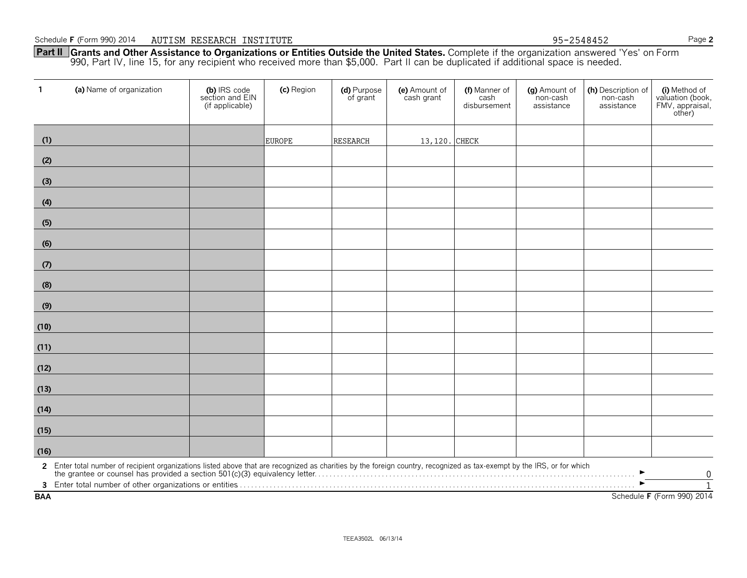#### Schedule **F** (Form 990) 2014 Page **2** AUTISM RESEARCH INSTITUTE 95-2548452

**Part II Grants and Other Assistance to Organizations or Entities Outside the United States.** Complete if the organization answered 'Yes' on Form 990, Part IV, line 15, for any recipient who received more than \$5,000. Part II can be duplicated if additional space is needed.

| $\mathbf{1}$ | (a) Name of organization                                                                                                                                                                                                          | (b) IRS code<br>section and EIN<br>(if applicable) | (c) Region | (d) Purpose<br>of grant | (e) Amount of<br>cash grant | (f) Manner of<br>cash<br>disbursement | (g) Amount of<br>non-cash<br>assistance | (h) Description of<br>non-cash<br>assistance | (i) Method of<br>valuation (book,<br>FMV, appraisal,<br>other) |
|--------------|-----------------------------------------------------------------------------------------------------------------------------------------------------------------------------------------------------------------------------------|----------------------------------------------------|------------|-------------------------|-----------------------------|---------------------------------------|-----------------------------------------|----------------------------------------------|----------------------------------------------------------------|
| (1)          |                                                                                                                                                                                                                                   |                                                    | EUROPE     | <b>RESEARCH</b>         | 13,120. CHECK               |                                       |                                         |                                              |                                                                |
| (2)          |                                                                                                                                                                                                                                   |                                                    |            |                         |                             |                                       |                                         |                                              |                                                                |
| (3)          |                                                                                                                                                                                                                                   |                                                    |            |                         |                             |                                       |                                         |                                              |                                                                |
| (4)          |                                                                                                                                                                                                                                   |                                                    |            |                         |                             |                                       |                                         |                                              |                                                                |
| (5)          |                                                                                                                                                                                                                                   |                                                    |            |                         |                             |                                       |                                         |                                              |                                                                |
| (6)          |                                                                                                                                                                                                                                   |                                                    |            |                         |                             |                                       |                                         |                                              |                                                                |
| (7)          |                                                                                                                                                                                                                                   |                                                    |            |                         |                             |                                       |                                         |                                              |                                                                |
| (8)          |                                                                                                                                                                                                                                   |                                                    |            |                         |                             |                                       |                                         |                                              |                                                                |
| (9)          |                                                                                                                                                                                                                                   |                                                    |            |                         |                             |                                       |                                         |                                              |                                                                |
| (10)         |                                                                                                                                                                                                                                   |                                                    |            |                         |                             |                                       |                                         |                                              |                                                                |
| (11)         |                                                                                                                                                                                                                                   |                                                    |            |                         |                             |                                       |                                         |                                              |                                                                |
| (12)         |                                                                                                                                                                                                                                   |                                                    |            |                         |                             |                                       |                                         |                                              |                                                                |
| (13)         |                                                                                                                                                                                                                                   |                                                    |            |                         |                             |                                       |                                         |                                              |                                                                |
| (14)         |                                                                                                                                                                                                                                   |                                                    |            |                         |                             |                                       |                                         |                                              |                                                                |
| (15)         |                                                                                                                                                                                                                                   |                                                    |            |                         |                             |                                       |                                         |                                              |                                                                |
| (16)         |                                                                                                                                                                                                                                   |                                                    |            |                         |                             |                                       |                                         |                                              |                                                                |
|              | 2 Enter total number of recipient organizations listed above that are recognized as charities by the foreign country, recognized as tax-exempt by the IRS, or for which<br>the grantee or counsel has provided a section 501(c)(3 |                                                    |            |                         |                             |                                       |                                         | $\blacktriangleright$                        | 0                                                              |
|              |                                                                                                                                                                                                                                   |                                                    |            |                         |                             |                                       |                                         |                                              | $\overline{1}$                                                 |
| <b>BAA</b>   |                                                                                                                                                                                                                                   |                                                    |            |                         |                             |                                       |                                         |                                              | Schedule F (Form 990) 2014                                     |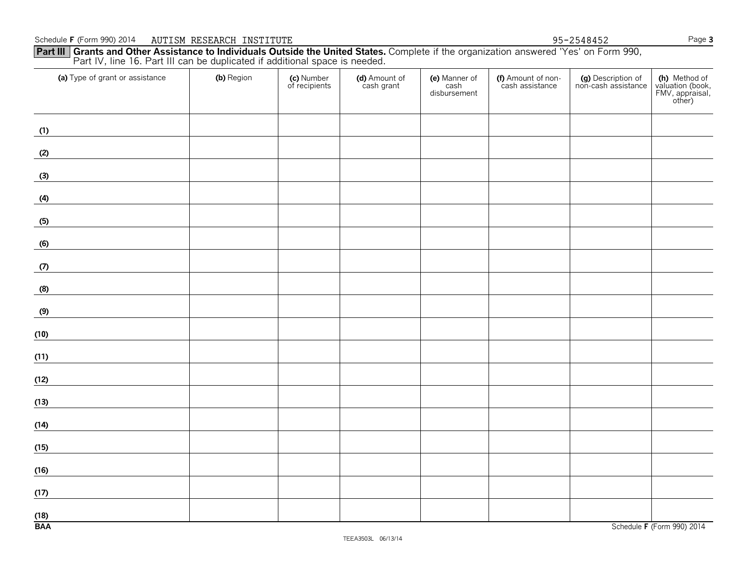#### Schedule **F** (Form 990) 2014 Page **3** AUTISM RESEARCH INSTITUTE 95-2548452

**Part III Grants and Other Assistance to Individuals Outside the United States.** Complete if the organization answered 'Yes' on Form 990, Part IV, line 16. Part III can be duplicated if additional space is needed.

| (a) Type of grant or assistance | (b) Region | (c) Number<br>of recipients | (d) Amount of<br>cash grant | (e) Manner of<br>cash<br>disbursement | (f) Amount of non-<br>cash assistance | (g) Description of<br>non-cash assistance | (h) Method of<br>valuation (book,<br>FMV, appraisal,<br>other) |
|---------------------------------|------------|-----------------------------|-----------------------------|---------------------------------------|---------------------------------------|-------------------------------------------|----------------------------------------------------------------|
| (1)                             |            |                             |                             |                                       |                                       |                                           |                                                                |
| (2)                             |            |                             |                             |                                       |                                       |                                           |                                                                |
| (3)                             |            |                             |                             |                                       |                                       |                                           |                                                                |
| (4)                             |            |                             |                             |                                       |                                       |                                           |                                                                |
| (5)                             |            |                             |                             |                                       |                                       |                                           |                                                                |
| (6)                             |            |                             |                             |                                       |                                       |                                           |                                                                |
| (7)                             |            |                             |                             |                                       |                                       |                                           |                                                                |
| (8)                             |            |                             |                             |                                       |                                       |                                           |                                                                |
| (9)                             |            |                             |                             |                                       |                                       |                                           |                                                                |
| (10)                            |            |                             |                             |                                       |                                       |                                           |                                                                |
| (11)                            |            |                             |                             |                                       |                                       |                                           |                                                                |
| (12)                            |            |                             |                             |                                       |                                       |                                           |                                                                |
| (13)                            |            |                             |                             |                                       |                                       |                                           |                                                                |
| (14)                            |            |                             |                             |                                       |                                       |                                           |                                                                |
| (15)                            |            |                             |                             |                                       |                                       |                                           |                                                                |
| (16)                            |            |                             |                             |                                       |                                       |                                           |                                                                |
| (17)                            |            |                             |                             |                                       |                                       |                                           |                                                                |
| (18)<br><b>BAA</b>              |            |                             |                             |                                       |                                       |                                           | Schedule F (Form 990) 2014                                     |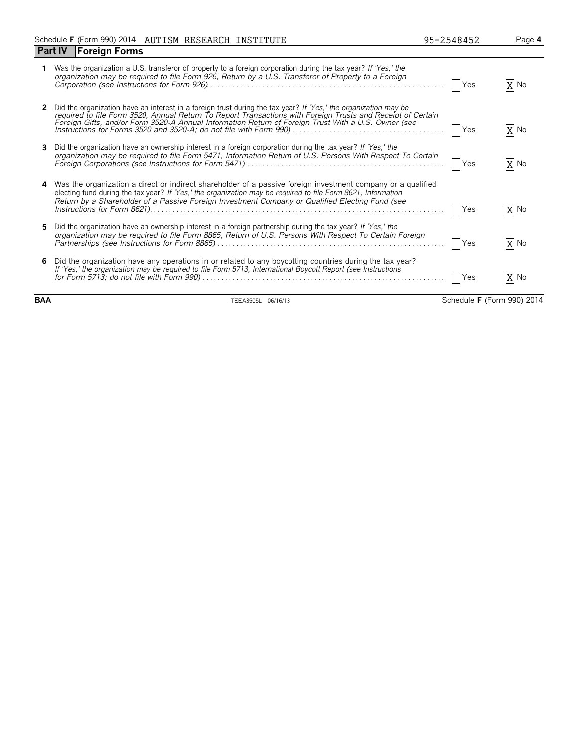|    | Part IV<br><b>Foreign Forms</b>                                                                                                                                                                                                                                                                                                       |            |       |
|----|---------------------------------------------------------------------------------------------------------------------------------------------------------------------------------------------------------------------------------------------------------------------------------------------------------------------------------------|------------|-------|
|    | Was the organization a U.S. transferor of property to a foreign corporation during the tax year? If 'Yes,' the<br>organization may be required to file Form 926, Return by a U.S. Transferor of Property to a Foreign                                                                                                                 | <b>Yes</b> | X No  |
| 2  | Did the organization have an interest in a foreign trust during the tax year? If 'Yes,' the organization may be<br>required to file Form 3520, Annual Return To Report Transactions with Foreign Trusts and Receipt of Certain<br>Foreign Gifts, and/or Form 3520-A Annual Information Return of Foreign Trust With a U.S. Owner (see | Yes        | X No  |
| 3. | Did the organization have an ownership interest in a foreign corporation during the tax year? If 'Yes,' the<br>organization may be required to file Form 5471, Information Return of U.S. Persons With Respect To Certain                                                                                                             | Yes        | X No  |
| 4  | Was the organization a direct or indirect shareholder of a passive foreign investment company or a qualified<br>electing fund during the tax year? If 'Yes,' the organization may be required to file Form 8621, Information<br>Return by a Shareholder of a Passive Foreign Investment Company or Qualified Electing Fund (see       | Yes        | X No  |
| 5. | Did the organization have an ownership interest in a foreign partnership during the tax year? If 'Yes,' the<br>organization may be required to file Form 8865, Return of U.S. Persons With Respect To Certain Foreign                                                                                                                 | <b>Yes</b> | X No  |
|    | 6 Did the organization have any operations in or related to any boycotting countries during the tax year?<br>If 'Yes,' the organization may be required to file Form 5713, International Boycott Report (see Instructions                                                                                                             | Yes        | XI No |

**BAA** TEEA3505L 06/16/13 Schedule **F** (Form 990) 2014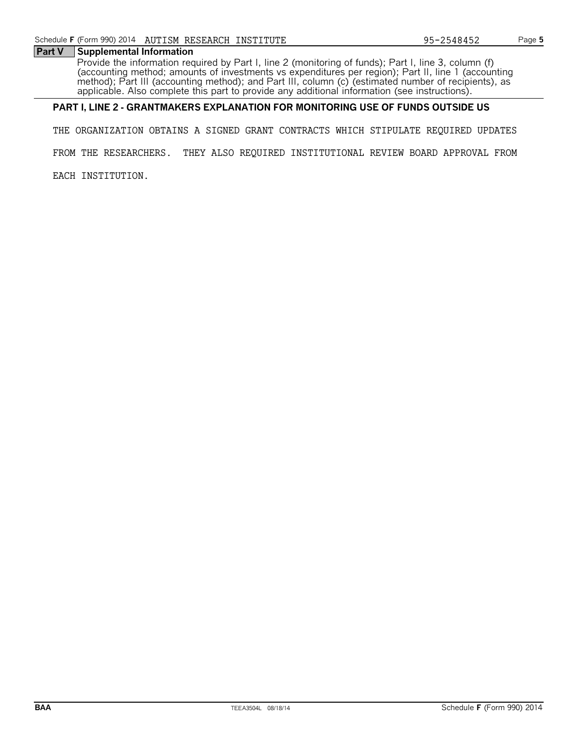Provide the information required by Part I, line 2 (monitoring of funds); Part I, line 3, column (f) (accounting method; amounts of investments vs expenditures per region); Part II, line 1 (accounting method); Part III (accounting method); and Part III, column (c) (estimated number of recipients), as applicable. Also complete this part to provide any additional information (see instructions).

#### **PART I, LINE 2 - GRANTMAKERS EXPLANATION FOR MONITORING USE OF FUNDS OUTSIDE US**

THE ORGANIZATION OBTAINS A SIGNED GRANT CONTRACTS WHICH STIPULATE REQUIRED UPDATES

FROM THE RESEARCHERS. THEY ALSO REQUIRED INSTITUTIONAL REVIEW BOARD APPROVAL FROM

EACH INSTITUTION.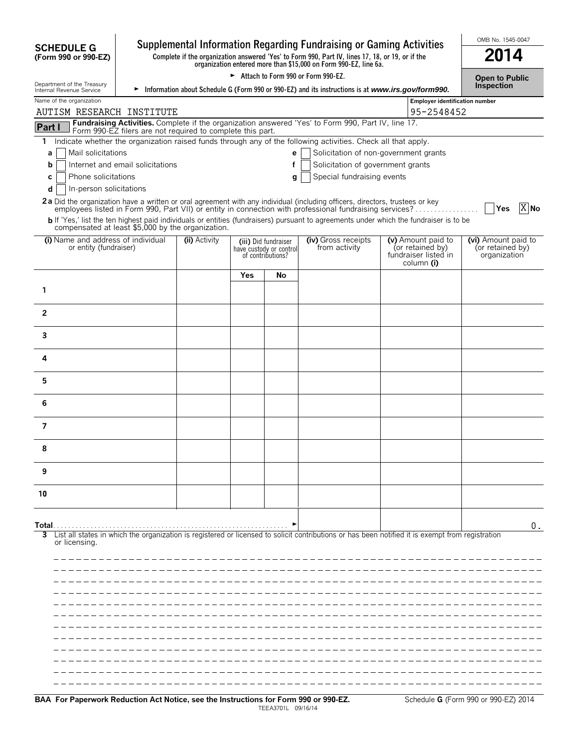|                                                        |                                                            |                                                                                                   |     |                                              | Supplemental Information Regarding Fundraising or Gaming Activities                                                                                                                                                                     |  |                                                        | OMB No. 1545-0047                          |  |
|--------------------------------------------------------|------------------------------------------------------------|---------------------------------------------------------------------------------------------------|-----|----------------------------------------------|-----------------------------------------------------------------------------------------------------------------------------------------------------------------------------------------------------------------------------------------|--|--------------------------------------------------------|--------------------------------------------|--|
| <b>SCHEDULE G</b><br>(Form 990 or 990-EZ)              |                                                            |                                                                                                   |     |                                              | Complete if the organization answered 'Yes' to Form 990, Part IV, lines 17, 18, or 19, or if the<br>organization entered more than \$15,000 on Form 990-EZ, line 6a.                                                                    |  |                                                        | 2014                                       |  |
|                                                        |                                                            |                                                                                                   |     |                                              | Attach to Form 990 or Form 990-EZ.                                                                                                                                                                                                      |  |                                                        | <b>Open to Public</b><br><b>Inspection</b> |  |
| Department of the Treasury<br>Internal Revenue Service |                                                            | Information about Schedule G (Form 990 or 990-EZ) and its instructions is at www.irs.gov/form990. |     |                                              |                                                                                                                                                                                                                                         |  |                                                        |                                            |  |
| Name of the organization<br>AUTISM RESEARCH INSTITUTE  |                                                            |                                                                                                   |     |                                              |                                                                                                                                                                                                                                         |  | <b>Employer identification number</b><br>95-2548452    |                                            |  |
| Part I                                                 | Form 990-EZ filers are not required to complete this part. |                                                                                                   |     |                                              | Fundraising Activities. Complete if the organization answered 'Yes' to Form 990, Part IV, line 17.                                                                                                                                      |  |                                                        |                                            |  |
| 1.                                                     |                                                            |                                                                                                   |     |                                              | Indicate whether the organization raised funds through any of the following activities. Check all that apply.                                                                                                                           |  |                                                        |                                            |  |
| Mail solicitations<br>a                                |                                                            |                                                                                                   |     | e                                            | Solicitation of non-government grants                                                                                                                                                                                                   |  |                                                        |                                            |  |
| b                                                      | Internet and email solicitations                           |                                                                                                   |     |                                              | Solicitation of government grants                                                                                                                                                                                                       |  |                                                        |                                            |  |
| C                                                      | Special fundraising events<br>Phone solicitations<br>g     |                                                                                                   |     |                                              |                                                                                                                                                                                                                                         |  |                                                        |                                            |  |
| d                                                      | In-person solicitations                                    |                                                                                                   |     |                                              |                                                                                                                                                                                                                                         |  |                                                        |                                            |  |
|                                                        |                                                            |                                                                                                   |     |                                              | 2a Did the organization have a written or oral agreement with any individual (including officers, directors, trustees or key<br>employees listed in Form 990, Part VII) or entity in connection with professional fundraising services? |  |                                                        | X No<br>Yes                                |  |
| compensated at least \$5,000 by the organization.      |                                                            |                                                                                                   |     |                                              | b If 'Yes,' list the ten highest paid individuals or entities (fundraisers) pursuant to agreements under which the fundraiser is to be                                                                                                  |  |                                                        |                                            |  |
| (i) Name and address of individual                     |                                                            | (ii) Activity                                                                                     |     | (iii) Did fundraiser                         | (iv) Gross receipts                                                                                                                                                                                                                     |  | (v) Amount paid to                                     | (vi) Amount paid to                        |  |
| or entity (fundraiser)                                 |                                                            |                                                                                                   |     | have custody or control<br>of contributions? | from activity                                                                                                                                                                                                                           |  | (or retained by)<br>fundraiser listed in<br>column (i) | (or retained by)<br>organization           |  |
|                                                        |                                                            |                                                                                                   | Yes | No                                           |                                                                                                                                                                                                                                         |  |                                                        |                                            |  |
| 1                                                      |                                                            |                                                                                                   |     |                                              |                                                                                                                                                                                                                                         |  |                                                        |                                            |  |
| $\mathbf{2}$                                           |                                                            |                                                                                                   |     |                                              |                                                                                                                                                                                                                                         |  |                                                        |                                            |  |
| 3                                                      |                                                            |                                                                                                   |     |                                              |                                                                                                                                                                                                                                         |  |                                                        |                                            |  |
| 4                                                      |                                                            |                                                                                                   |     |                                              |                                                                                                                                                                                                                                         |  |                                                        |                                            |  |
| 5                                                      |                                                            |                                                                                                   |     |                                              |                                                                                                                                                                                                                                         |  |                                                        |                                            |  |
| 6                                                      |                                                            |                                                                                                   |     |                                              |                                                                                                                                                                                                                                         |  |                                                        |                                            |  |
| 7                                                      |                                                            |                                                                                                   |     |                                              |                                                                                                                                                                                                                                         |  |                                                        |                                            |  |
|                                                        |                                                            |                                                                                                   |     |                                              |                                                                                                                                                                                                                                         |  |                                                        |                                            |  |
| 8                                                      |                                                            |                                                                                                   |     |                                              |                                                                                                                                                                                                                                         |  |                                                        |                                            |  |
| 9                                                      |                                                            |                                                                                                   |     |                                              |                                                                                                                                                                                                                                         |  |                                                        |                                            |  |
| 10                                                     |                                                            |                                                                                                   |     |                                              |                                                                                                                                                                                                                                         |  |                                                        |                                            |  |
| Total                                                  |                                                            |                                                                                                   |     |                                              |                                                                                                                                                                                                                                         |  |                                                        | 0.                                         |  |
| or licensing.                                          |                                                            |                                                                                                   |     |                                              | List all states in which the organization is registered or licensed to solicit contributions or has been notified it is exempt from registration                                                                                        |  |                                                        |                                            |  |
|                                                        |                                                            |                                                                                                   |     |                                              |                                                                                                                                                                                                                                         |  |                                                        |                                            |  |
|                                                        |                                                            |                                                                                                   |     |                                              |                                                                                                                                                                                                                                         |  |                                                        |                                            |  |
|                                                        |                                                            |                                                                                                   |     |                                              |                                                                                                                                                                                                                                         |  |                                                        |                                            |  |
|                                                        |                                                            |                                                                                                   |     |                                              |                                                                                                                                                                                                                                         |  |                                                        |                                            |  |
|                                                        |                                                            |                                                                                                   |     |                                              |                                                                                                                                                                                                                                         |  |                                                        |                                            |  |
|                                                        |                                                            |                                                                                                   |     |                                              |                                                                                                                                                                                                                                         |  |                                                        |                                            |  |
|                                                        |                                                            |                                                                                                   |     |                                              |                                                                                                                                                                                                                                         |  |                                                        |                                            |  |
|                                                        |                                                            |                                                                                                   |     |                                              |                                                                                                                                                                                                                                         |  |                                                        |                                            |  |
|                                                        |                                                            |                                                                                                   |     |                                              |                                                                                                                                                                                                                                         |  |                                                        |                                            |  |
|                                                        |                                                            |                                                                                                   |     |                                              |                                                                                                                                                                                                                                         |  |                                                        |                                            |  |
|                                                        |                                                            |                                                                                                   |     |                                              |                                                                                                                                                                                                                                         |  |                                                        |                                            |  |
|                                                        |                                                            |                                                                                                   |     |                                              |                                                                                                                                                                                                                                         |  |                                                        |                                            |  |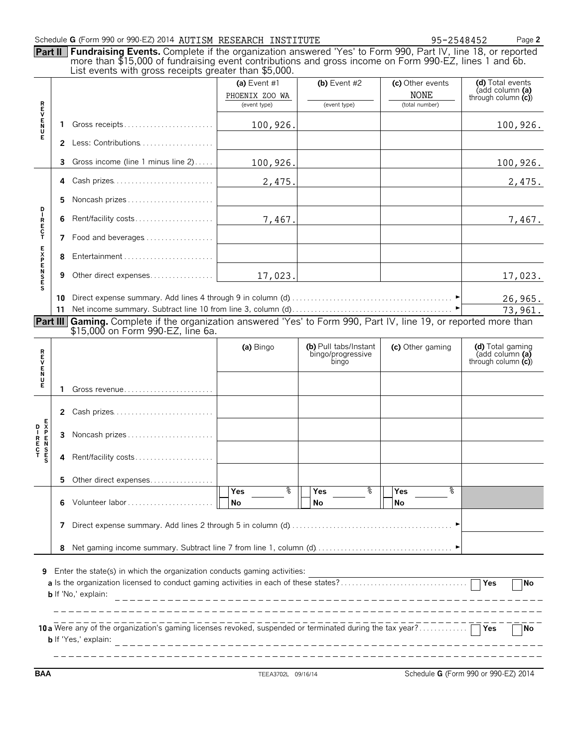| Part II         |          | Schedule G (Form 990 or 990-EZ) 2014 AUTISM RESEARCH INSTITUTE<br>Fundraising Events. Complete if the organization answered 'Yes' to Form 990, Part IV, line 18, or reported |                                  |                                                     | 95-2548452                      | Page 2                                                      |
|-----------------|----------|------------------------------------------------------------------------------------------------------------------------------------------------------------------------------|----------------------------------|-----------------------------------------------------|---------------------------------|-------------------------------------------------------------|
|                 |          | more than \$15,000 of fundraising event contributions and gross income on Form 990-EZ, lines 1 and 6b.<br>List events with gross receipts greater than \$5,000.              | (a) Event $#1$<br>PHOENIX ZOO WA | (b) Event $#2$                                      | (c) Other events<br><b>NONE</b> | (d) Total events<br>(add column (a)<br>through column $(c)$ |
| トロンドルス          | 1.       | Gross receipts                                                                                                                                                               | (event type)<br>100,926.         | (event type)                                        | (total number)                  | 100,926.                                                    |
|                 |          | 2 Less: Contributions                                                                                                                                                        |                                  |                                                     |                                 |                                                             |
|                 | 3        | Gross income (line 1 minus line 2)                                                                                                                                           | 100,926.                         |                                                     |                                 | 100,926.                                                    |
|                 |          | 4 Cash prizes                                                                                                                                                                | 2,475.                           |                                                     |                                 | 2,475.                                                      |
|                 | 5        | Noncash prizes                                                                                                                                                               |                                  |                                                     |                                 |                                                             |
| <b>DIRECT</b>   | 6        | Rent/facility costs                                                                                                                                                          | 7,467.                           |                                                     |                                 | 7,467.                                                      |
|                 |          | 7 Food and beverages                                                                                                                                                         |                                  |                                                     |                                 |                                                             |
| <b>EXPENSES</b> | 8        |                                                                                                                                                                              |                                  |                                                     |                                 |                                                             |
|                 | 9        | Other direct expenses                                                                                                                                                        | 17,023.                          |                                                     |                                 | 17,023.                                                     |
|                 | 10<br>11 |                                                                                                                                                                              |                                  |                                                     |                                 | 26,965.<br>73,961.                                          |
| Part III        |          | Gaming. Complete if the organization answered 'Yes' to Form 990, Part IV, line 19, or reported more than<br>\$15,000 on Form 990-EZ, line 6a.                                |                                  |                                                     |                                 |                                                             |
| <b>REVENDE</b>  |          |                                                                                                                                                                              | (a) Bingo                        | (b) Pull tabs/Instant<br>bingo/progressive<br>bingo | (c) Other gaming                | (d) Total gaming<br>(add column (a)<br>through column $(c)$ |
|                 | 1.       | Gross revenue                                                                                                                                                                |                                  |                                                     |                                 |                                                             |
|                 |          |                                                                                                                                                                              |                                  |                                                     |                                 |                                                             |
|                 |          | 2 Cash prizes                                                                                                                                                                |                                  |                                                     |                                 |                                                             |
|                 | 3        | Noncash prizes                                                                                                                                                               |                                  |                                                     |                                 |                                                             |
|                 | 4        | Rent/facility costs                                                                                                                                                          |                                  |                                                     |                                 |                                                             |
|                 | 5        | Other direct expenses                                                                                                                                                        |                                  |                                                     |                                 |                                                             |
|                 | 6        |                                                                                                                                                                              | နွ<br>Yes<br>No                  | ႜ<br>Yes<br>No                                      | ႜ<br>Yes<br>No                  |                                                             |
|                 | 7        |                                                                                                                                                                              |                                  |                                                     |                                 |                                                             |
|                 | 8        |                                                                                                                                                                              |                                  |                                                     |                                 |                                                             |
| 9               |          | Enter the state(s) in which the organization conducts gaming activities:<br><b>b</b> If 'No,' explain:                                                                       |                                  |                                                     |                                 | Yes<br><b>No</b>                                            |
|                 |          | 10 a Were any of the organization's gaming licenses revoked, suspended or terminated during the tax year?<br><b>b</b> If 'Yes,' explain:                                     |                                  |                                                     |                                 | <b>Yes</b><br><b>No</b>                                     |

 $- - \sim$ 

**BAA** TEEA3702L 09/16/14 Schedule **G** (Form 990 or 990-EZ) 2014

--------------

\_\_\_\_\_\_\_\_\_\_\_\_\_\_\_\_\_\_\_\_\_\_\_\_\_\_\_\_\_\_\_\_\_\_\_

 $-1$ 

-----------------------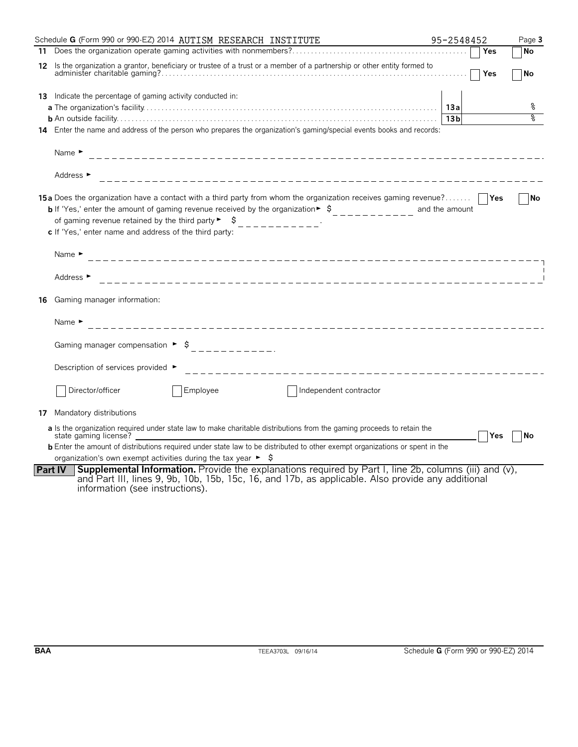|    | Schedule G (Form 990 or 990-EZ) 2014 AUTISM RESEARCH INSTITUTE                                                                                                                                                                                                                                                                                                                        | 95-2548452      | Page 3           |           |
|----|---------------------------------------------------------------------------------------------------------------------------------------------------------------------------------------------------------------------------------------------------------------------------------------------------------------------------------------------------------------------------------------|-----------------|------------------|-----------|
|    |                                                                                                                                                                                                                                                                                                                                                                                       |                 | Yes<br>No        |           |
|    | 12 Is the organization a grantor, beneficiary or trustee of a trust or a member of a partnership or other entity formed to                                                                                                                                                                                                                                                            |                 | Yes<br>No        |           |
|    | <b>13</b> Indicate the percentage of gaming activity conducted in:                                                                                                                                                                                                                                                                                                                    | 13a             |                  | ိဝ        |
|    |                                                                                                                                                                                                                                                                                                                                                                                       | 13 <sub>b</sub> |                  | ०१०       |
|    | 14 Enter the name and address of the person who prepares the organization's gaming/special events books and records:                                                                                                                                                                                                                                                                  |                 |                  |           |
|    | Name $\blacktriangleright$                                                                                                                                                                                                                                                                                                                                                            |                 |                  |           |
|    | Address ►                                                                                                                                                                                                                                                                                                                                                                             |                 |                  |           |
|    | <b>15a</b> Does the organization have a contact with a third party from whom the organization receives gaming revenue?<br><b>b</b> If 'Yes,' enter the amount of gaming revenue received by the organization $\ast$ $\uparrow$<br>of gaming revenue retained by the third party $\blacktriangleright$ $\blacktriangleright$<br>c If 'Yes,' enter name and address of the third party: | and the amount  |                  | <b>No</b> |
|    | Name $\blacktriangleright$                                                                                                                                                                                                                                                                                                                                                            |                 |                  |           |
|    | Address ►                                                                                                                                                                                                                                                                                                                                                                             |                 |                  |           |
| 16 | Gaming manager information:                                                                                                                                                                                                                                                                                                                                                           |                 |                  |           |
|    | Name $\blacktriangleright$                                                                                                                                                                                                                                                                                                                                                            |                 |                  |           |
|    | Gaming manager compensation ► $\oint$<br>____________                                                                                                                                                                                                                                                                                                                                 |                 |                  |           |
|    | Description of services provided ►<br>___________________________________                                                                                                                                                                                                                                                                                                             |                 |                  |           |
|    | Director/officer<br>Employee<br>Independent contractor                                                                                                                                                                                                                                                                                                                                |                 |                  |           |
|    | 17 Mandatory distributions                                                                                                                                                                                                                                                                                                                                                            |                 |                  |           |
|    | a Is the organization required under state law to make charitable distributions from the gaming proceeds to retain the<br>state gaming license?                                                                                                                                                                                                                                       |                 | Yes<br><b>No</b> |           |
|    | <b>b</b> Enter the amount of distributions required under state law to be distributed to other exempt organizations or spent in the                                                                                                                                                                                                                                                   |                 |                  |           |
|    | organization's own exempt activities during the tax year $\blacktriangleright$ $\blacklozenge$                                                                                                                                                                                                                                                                                        |                 |                  |           |
|    | <b>Supplemental Information.</b> Provide the explanations required by Part I, line 2b, columns (iii) and (v),<br><b>Part IV</b><br>and Part III, lines 9, 9b, 10b, 15b, 15c, 16, and 17b, as applicable. Also provide any additional<br>information (see instructions).                                                                                                               |                 |                  |           |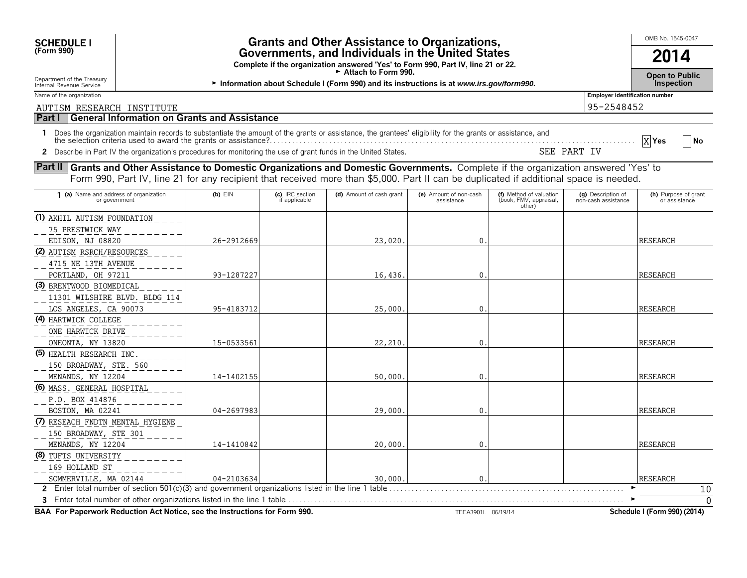| <b>SCHEDULE I</b>                                                                                                                                                                                                                                                                |                                                                                                                                       |                                  | <b>Grants and Other Assistance to Organizations,</b> |                                      |                                                             |                                           | OMB No. 1545-0047                     |  |  |  |  |
|----------------------------------------------------------------------------------------------------------------------------------------------------------------------------------------------------------------------------------------------------------------------------------|---------------------------------------------------------------------------------------------------------------------------------------|----------------------------------|------------------------------------------------------|--------------------------------------|-------------------------------------------------------------|-------------------------------------------|---------------------------------------|--|--|--|--|
| (Form 990)                                                                                                                                                                                                                                                                       | Governments, and Individuals in the United States<br>Complete if the organization answered 'Yes' to Form 990, Part IV, line 21 or 22. |                                  |                                                      |                                      |                                                             |                                           |                                       |  |  |  |  |
| Department of the Treasury<br>Internal Revenue Service                                                                                                                                                                                                                           | Attach to Form 990.<br>Information about Schedule I (Form 990) and its instructions is at www.irs.gov/form990.                        |                                  |                                                      |                                      |                                                             |                                           |                                       |  |  |  |  |
| Name of the organization                                                                                                                                                                                                                                                         |                                                                                                                                       |                                  |                                                      |                                      |                                                             | <b>Employer identification number</b>     |                                       |  |  |  |  |
| AUTISM RESEARCH INSTITUTE                                                                                                                                                                                                                                                        |                                                                                                                                       |                                  |                                                      |                                      |                                                             | 95-2548452                                |                                       |  |  |  |  |
| <b>Part I General Information on Grants and Assistance</b>                                                                                                                                                                                                                       |                                                                                                                                       |                                  |                                                      |                                      |                                                             |                                           |                                       |  |  |  |  |
| 1 Does the organization maintain records to substantiate the amount of the grants or assistance, the grantees' eligibility for the grants or assistance, and<br>2 Describe in Part IV the organization's procedures for monitoring the use of grant funds in the United States.  |                                                                                                                                       |                                  |                                                      |                                      |                                                             | SEE PART IV                               | X Yes<br><b>No</b>                    |  |  |  |  |
| Part II Grants and Other Assistance to Domestic Organizations and Domestic Governments. Complete if the organization answered 'Yes' to<br>Form 990, Part IV, line 21 for any recipient that received more than \$5,000. Part II can be duplicated if additional space is needed. |                                                                                                                                       |                                  |                                                      |                                      |                                                             |                                           |                                       |  |  |  |  |
| 1 (a) Name and address of organization<br>or government                                                                                                                                                                                                                          | $(b)$ $EIN$                                                                                                                           | (c) IRC section<br>if applicable | (d) Amount of cash grant                             | (e) Amount of non-cash<br>assistance | (f) Method of valuation<br>(book, FMV, appraisal,<br>other) | (g) Description of<br>non-cash assistance | (h) Purpose of grant<br>or assistance |  |  |  |  |
| (1) AKHIL AUTISM FOUNDATION<br>75 PRESTWICK WAY                                                                                                                                                                                                                                  | 26-2912669                                                                                                                            |                                  |                                                      | $\mathbf{0}$                         |                                                             |                                           | <b>RESEARCH</b>                       |  |  |  |  |
| EDISON, NJ 08820                                                                                                                                                                                                                                                                 |                                                                                                                                       |                                  | 23,020                                               |                                      |                                                             |                                           |                                       |  |  |  |  |
| (2) AUTISM RSRCH/RESOURCES                                                                                                                                                                                                                                                       |                                                                                                                                       |                                  |                                                      |                                      |                                                             |                                           |                                       |  |  |  |  |
| 4715 NE 13TH AVENUE                                                                                                                                                                                                                                                              |                                                                                                                                       |                                  |                                                      |                                      |                                                             |                                           |                                       |  |  |  |  |
| PORTLAND, OH 97211                                                                                                                                                                                                                                                               | 93-1287227                                                                                                                            |                                  | 16,436.                                              | $\mathbf{0}$                         |                                                             |                                           | <b>RESEARCH</b>                       |  |  |  |  |
| (3) BRENTWOOD BIOMEDICAL                                                                                                                                                                                                                                                         |                                                                                                                                       |                                  |                                                      |                                      |                                                             |                                           |                                       |  |  |  |  |
| 11301 WILSHIRE BLVD. BLDG 114                                                                                                                                                                                                                                                    |                                                                                                                                       |                                  |                                                      |                                      |                                                             |                                           |                                       |  |  |  |  |
| LOS ANGELES, CA 90073                                                                                                                                                                                                                                                            | 95-4183712                                                                                                                            |                                  | 25,000                                               | $\mathbf{0}$ .                       |                                                             |                                           | <b>RESEARCH</b>                       |  |  |  |  |
| (4) HARTWICK COLLEGE                                                                                                                                                                                                                                                             |                                                                                                                                       |                                  |                                                      |                                      |                                                             |                                           |                                       |  |  |  |  |
| ONE HARWICK DRIVE                                                                                                                                                                                                                                                                |                                                                                                                                       |                                  |                                                      |                                      |                                                             |                                           |                                       |  |  |  |  |
| ONEONTA, NY 13820                                                                                                                                                                                                                                                                | 15-0533561                                                                                                                            |                                  | 22,210                                               | $\mathbf{0}$                         |                                                             |                                           | RESEARCH                              |  |  |  |  |
| (5) HEALTH RESEARCH INC.                                                                                                                                                                                                                                                         |                                                                                                                                       |                                  |                                                      |                                      |                                                             |                                           |                                       |  |  |  |  |
| 150 BROADWAY, STE. 560                                                                                                                                                                                                                                                           |                                                                                                                                       |                                  |                                                      |                                      |                                                             |                                           |                                       |  |  |  |  |
| MENANDS, NY 12204                                                                                                                                                                                                                                                                | 14-1402155                                                                                                                            |                                  | 50,000                                               | 0                                    |                                                             |                                           | <b>RESEARCH</b>                       |  |  |  |  |
| (6) MASS. GENERAL HOSPITAL                                                                                                                                                                                                                                                       |                                                                                                                                       |                                  |                                                      |                                      |                                                             |                                           |                                       |  |  |  |  |
| P.O. BOX 414876                                                                                                                                                                                                                                                                  |                                                                                                                                       |                                  |                                                      |                                      |                                                             |                                           |                                       |  |  |  |  |
| BOSTON, MA 02241                                                                                                                                                                                                                                                                 | 04-2697983                                                                                                                            |                                  | 29,000                                               | $\mathbf{0}$ .                       |                                                             |                                           | <b>RESEARCH</b>                       |  |  |  |  |
| (7) RESEACH FNDTN MENTAL HYGIENE                                                                                                                                                                                                                                                 |                                                                                                                                       |                                  |                                                      |                                      |                                                             |                                           |                                       |  |  |  |  |
| 150 BROADWAY, STE 301                                                                                                                                                                                                                                                            |                                                                                                                                       |                                  |                                                      |                                      |                                                             |                                           |                                       |  |  |  |  |
| MENANDS, NY 12204                                                                                                                                                                                                                                                                | 14-1410842                                                                                                                            |                                  | 20,000                                               | $\mathbf{0}$                         |                                                             |                                           | <b>RESEARCH</b>                       |  |  |  |  |
| (8) TUFTS UNIVERSITY                                                                                                                                                                                                                                                             |                                                                                                                                       |                                  |                                                      |                                      |                                                             |                                           |                                       |  |  |  |  |
| 169 HOLLAND ST                                                                                                                                                                                                                                                                   |                                                                                                                                       |                                  |                                                      |                                      |                                                             |                                           |                                       |  |  |  |  |
| SOMMERVILLE, MA 02144                                                                                                                                                                                                                                                            | 04-2103634                                                                                                                            |                                  | 30,000                                               | $\mathbf{0}$                         |                                                             |                                           | <b>RESEARCH</b>                       |  |  |  |  |
|                                                                                                                                                                                                                                                                                  |                                                                                                                                       |                                  |                                                      |                                      |                                                             |                                           | 10                                    |  |  |  |  |
|                                                                                                                                                                                                                                                                                  |                                                                                                                                       |                                  |                                                      |                                      |                                                             |                                           | $\theta$                              |  |  |  |  |

**BAA For Paperwork Reduction Act Notice, see the Instructions for Form 990.** TEEA3901L 06/19/14 Schedule I (Form 990) (2014)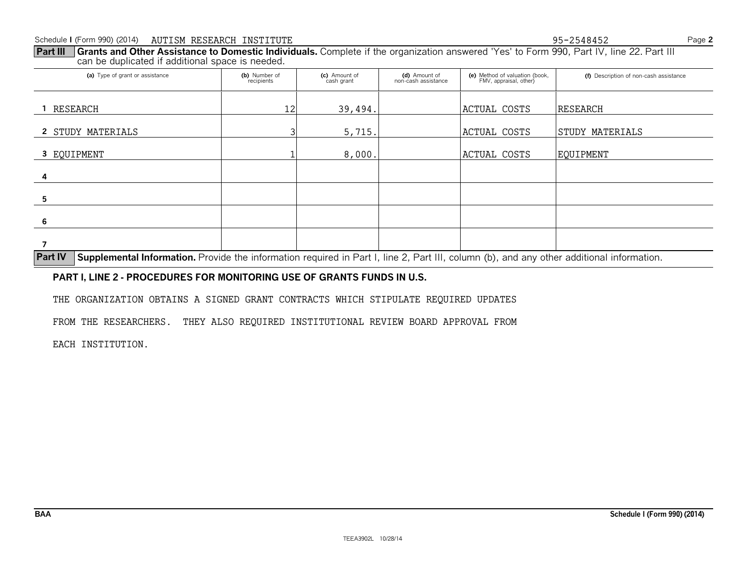**Part III** Grants and Other Assistance to Domestic Individuals. Complete if the organization answered 'Yes' to Form 990, Part IV, line 22. Part III can be duplicated if additional space is needed.

| (a) Type of grant or assistance | (b) Number of<br>recipients | (c) Amount of<br>cash grant | (d) Amount of<br>non-cash assistance | (e) Method of valuation (book,<br>FMV, appraisal, other) | (f) Description of non-cash assistance |
|---------------------------------|-----------------------------|-----------------------------|--------------------------------------|----------------------------------------------------------|----------------------------------------|
| RESEARCH                        | 12                          | 39,494.                     |                                      | ACTUAL COSTS                                             | RESEARCH                               |
| 2 STUDY MATERIALS               | ર                           | 5,715.                      |                                      | ACTUAL COSTS                                             | STUDY MATERIALS                        |
| 3 EQUIPMENT                     |                             | 8,000.                      |                                      | ACTUAL COSTS                                             | EQUIPMENT                              |
|                                 |                             |                             |                                      |                                                          |                                        |
| 5                               |                             |                             |                                      |                                                          |                                        |
| 6                               |                             |                             |                                      |                                                          |                                        |
|                                 |                             |                             |                                      |                                                          |                                        |

**Part IV** Supplemental Information. Provide the information required in Part I, line 2, Part III, column (b), and any other additional information.

## **PART I, LINE 2 - PROCEDURES FOR MONITORING USE OF GRANTS FUNDS IN U.S.**

THE ORGANIZATION OBTAINS A SIGNED GRANT CONTRACTS WHICH STIPULATE REQUIRED UPDATES

FROM THE RESEARCHERS. THEY ALSO REQUIRED INSTITUTIONAL REVIEW BOARD APPROVAL FROM

EACH INSTITUTION.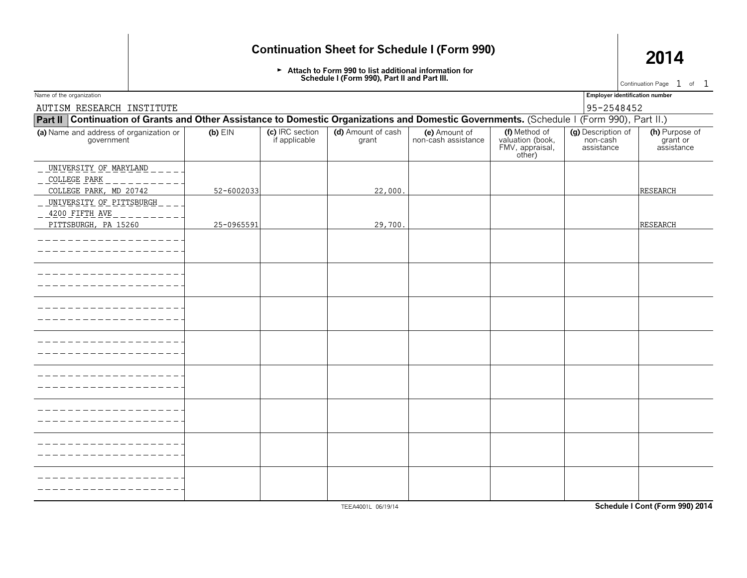## **Continuation Sheet for Schedule I (Form 990) 2014**

Attach to Form 990 to list additional information for **Schedule I (Form 990), Part II and Part III.**

Continuation Page  $\begin{array}{ccc} 1 & \text{of} & 1 \end{array}$ 

| Name of the organization                                                                                                                    |            |                                  |                             |                                      |                                                                | <b>Employer identification number</b>        |                                          |  |  |  |
|---------------------------------------------------------------------------------------------------------------------------------------------|------------|----------------------------------|-----------------------------|--------------------------------------|----------------------------------------------------------------|----------------------------------------------|------------------------------------------|--|--|--|
| AUTISM RESEARCH INSTITUTE                                                                                                                   | 95-2548452 |                                  |                             |                                      |                                                                |                                              |                                          |  |  |  |
| Part II   Continuation of Grants and Other Assistance to Domestic Organizations and Domestic Governments. (Schedule I (Form 990), Part II.) |            |                                  |                             |                                      |                                                                |                                              |                                          |  |  |  |
| (a) Name and address of organization or<br>government                                                                                       | $(b)$ EIN  | (c) IRC section<br>if applicable | (d) Amount of cash<br>grant | (e) Amount of<br>non-cash assistance | (f) Method of<br>valuation (book,<br>FMV, appraisal,<br>other) | (g) Description of<br>non-cash<br>assistance | (h) Purpose of<br>grant or<br>assistance |  |  |  |
| UNIVERSITY OF MARYLAND<br>COLLEGE PARK<br>COLLEGE PARK, MD 20742                                                                            | 52-6002033 |                                  | 22,000.                     |                                      |                                                                |                                              | <b>RESEARCH</b>                          |  |  |  |
| UNIVERSITY OF PITTSBURGH<br>4200 FIFTH AVE<br>PITTSBURGH, PA 15260                                                                          | 25-0965591 |                                  | 29,700.                     |                                      |                                                                |                                              | <b>RESEARCH</b>                          |  |  |  |
|                                                                                                                                             |            |                                  |                             |                                      |                                                                |                                              |                                          |  |  |  |
|                                                                                                                                             |            |                                  |                             |                                      |                                                                |                                              |                                          |  |  |  |
|                                                                                                                                             |            |                                  |                             |                                      |                                                                |                                              |                                          |  |  |  |
|                                                                                                                                             |            |                                  |                             |                                      |                                                                |                                              |                                          |  |  |  |
|                                                                                                                                             |            |                                  |                             |                                      |                                                                |                                              |                                          |  |  |  |
|                                                                                                                                             |            |                                  |                             |                                      |                                                                |                                              |                                          |  |  |  |
|                                                                                                                                             |            |                                  |                             |                                      |                                                                |                                              |                                          |  |  |  |
|                                                                                                                                             |            |                                  |                             |                                      |                                                                |                                              |                                          |  |  |  |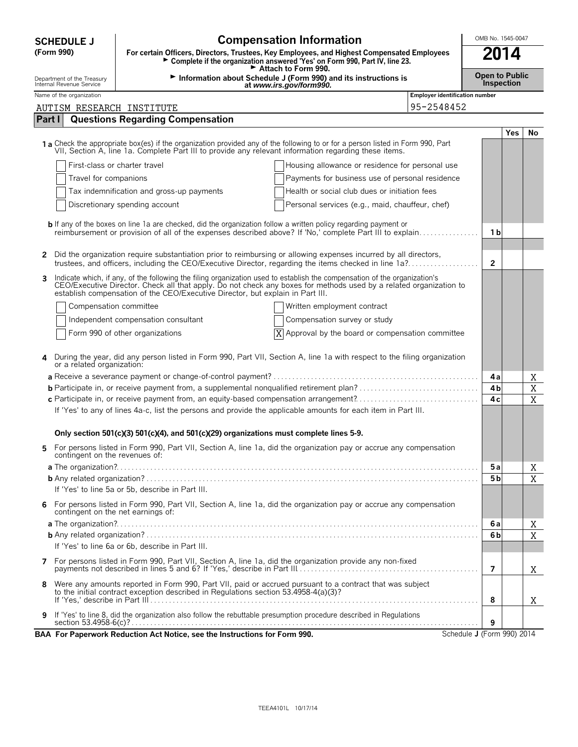| <b>SCHEDULE J</b>                                      | OMB No. 1545-0047<br><b>Compensation Information</b>                                                                                                                                                                                                                                                                              |                                       |                            |     |             |  |
|--------------------------------------------------------|-----------------------------------------------------------------------------------------------------------------------------------------------------------------------------------------------------------------------------------------------------------------------------------------------------------------------------------|---------------------------------------|----------------------------|-----|-------------|--|
| (Form 990)                                             | 2014<br>For certain Officers, Directors, Trustees, Key Employees, and Highest Compensated Employees<br>> Complete if the organization answered 'Yes' on Form 990, Part IV, line 23.<br>Attach to Form 990.                                                                                                                        |                                       |                            |     |             |  |
| Department of the Treasury<br>Internal Revenue Service | <b>Open to Public</b><br>Information about Schedule J (Form 990) and its instructions is<br>at www.irs.gov/form990.<br><b>Inspection</b>                                                                                                                                                                                          |                                       |                            |     |             |  |
| Name of the organization                               |                                                                                                                                                                                                                                                                                                                                   | <b>Employer identification number</b> |                            |     |             |  |
| AUTISM RESEARCH INSTITUTE                              |                                                                                                                                                                                                                                                                                                                                   | 95-2548452                            |                            |     |             |  |
| Part I                                                 | <b>Questions Regarding Compensation</b>                                                                                                                                                                                                                                                                                           |                                       |                            |     |             |  |
|                                                        | 1a Check the appropriate box(es) if the organization provided any of the following to or for a person listed in Form 990, Part<br>VII, Section A, line 1a. Complete Part III to provide any relevant information regarding these items.                                                                                           |                                       |                            | Yes | No          |  |
|                                                        | First-class or charter travel<br>Housing allowance or residence for personal use                                                                                                                                                                                                                                                  |                                       |                            |     |             |  |
| Travel for companions                                  | Payments for business use of personal residence                                                                                                                                                                                                                                                                                   |                                       |                            |     |             |  |
|                                                        | Tax indemnification and gross-up payments<br>Health or social club dues or initiation fees                                                                                                                                                                                                                                        |                                       |                            |     |             |  |
|                                                        | Discretionary spending account<br>Personal services (e.g., maid, chauffeur, chef)                                                                                                                                                                                                                                                 |                                       |                            |     |             |  |
|                                                        |                                                                                                                                                                                                                                                                                                                                   |                                       |                            |     |             |  |
|                                                        | <b>b</b> If any of the boxes on line 1a are checked, did the organization follow a written policy regarding payment or<br>reimbursement or provision of all of the expenses described above? If 'No,' complete Part III to explain                                                                                                |                                       |                            |     |             |  |
|                                                        |                                                                                                                                                                                                                                                                                                                                   |                                       | 1 b                        |     |             |  |
| 2                                                      | Did the organization require substantiation prior to reimbursing or allowing expenses incurred by all directors,<br>trustees, and officers, including the CEO/Executive Director, regarding the items checked in line 1a?                                                                                                         |                                       | $\overline{2}$             |     |             |  |
| 3                                                      | Indicate which, if any, of the following the filing organization used to establish the compensation of the organization's<br>CEO/Executive Director. Check all that apply. Do not check any boxes for methods used by a related organization to<br>establish compensation of the CEO/Executive Director, but explain in Part III. |                                       |                            |     |             |  |
|                                                        | Compensation committee<br>Written employment contract                                                                                                                                                                                                                                                                             |                                       |                            |     |             |  |
|                                                        | Independent compensation consultant<br>Compensation survey or study                                                                                                                                                                                                                                                               |                                       |                            |     |             |  |
|                                                        | Form 990 of other organizations<br>Approval by the board or compensation committee<br>X                                                                                                                                                                                                                                           |                                       |                            |     |             |  |
|                                                        |                                                                                                                                                                                                                                                                                                                                   |                                       |                            |     |             |  |
| or a related organization:                             | During the year, did any person listed in Form 990, Part VII, Section A, line 1a with respect to the filing organization                                                                                                                                                                                                          |                                       |                            |     |             |  |
|                                                        |                                                                                                                                                                                                                                                                                                                                   |                                       | 4а                         |     | X           |  |
|                                                        | <b>b</b> Participate in, or receive payment from, a supplemental nonqualified retirement plan?                                                                                                                                                                                                                                    |                                       | 4 <sub>b</sub>             |     | $\mathbf X$ |  |
|                                                        |                                                                                                                                                                                                                                                                                                                                   |                                       | 4 c                        |     | X           |  |
|                                                        | If 'Yes' to any of lines 4a-c, list the persons and provide the applicable amounts for each item in Part III.                                                                                                                                                                                                                     |                                       |                            |     |             |  |
|                                                        | Only section 501(c)(3) 501(c)(4), and 501(c)(29) organizations must complete lines 5-9.                                                                                                                                                                                                                                           |                                       |                            |     |             |  |
| contingent on the revenues of:                         | For persons listed in Form 990, Part VII, Section A, line 1a, did the organization pay or accrue any compensation                                                                                                                                                                                                                 |                                       |                            |     |             |  |
|                                                        |                                                                                                                                                                                                                                                                                                                                   |                                       | 5 a                        |     | Χ           |  |
|                                                        |                                                                                                                                                                                                                                                                                                                                   |                                       | 5 b                        |     | X           |  |
|                                                        | If 'Yes' to line 5a or 5b, describe in Part III.                                                                                                                                                                                                                                                                                  |                                       |                            |     |             |  |
| 6                                                      | For persons listed in Form 990, Part VII, Section A, line 1a, did the organization pay or accrue any compensation<br>contingent on the net earnings of:                                                                                                                                                                           |                                       |                            |     |             |  |
|                                                        |                                                                                                                                                                                                                                                                                                                                   |                                       | 6а                         |     | Χ           |  |
|                                                        |                                                                                                                                                                                                                                                                                                                                   |                                       | 6b                         |     | X           |  |
|                                                        | If 'Yes' to line 6a or 6b, describe in Part III.                                                                                                                                                                                                                                                                                  |                                       |                            |     |             |  |
| 7                                                      | For persons listed in Form 990, Part VII, Section A, line 1a, did the organization provide any non-fixed                                                                                                                                                                                                                          |                                       | 7                          |     | X           |  |
| 8                                                      | Were any amounts reported in Form 990, Part VII, paid or accrued pursuant to a contract that was subject<br>to the initial contract exception described in Regulations section 53.4958-4(a)(3)?                                                                                                                                   |                                       |                            |     |             |  |
|                                                        |                                                                                                                                                                                                                                                                                                                                   |                                       | 8                          |     | X           |  |
| 9                                                      | If 'Yes' to line 8, did the organization also follow the rebuttable presumption procedure described in Regulations                                                                                                                                                                                                                |                                       | 9                          |     |             |  |
|                                                        | BAA For Paperwork Reduction Act Notice, see the Instructions for Form 990.                                                                                                                                                                                                                                                        |                                       | Schedule J (Form 990) 2014 |     |             |  |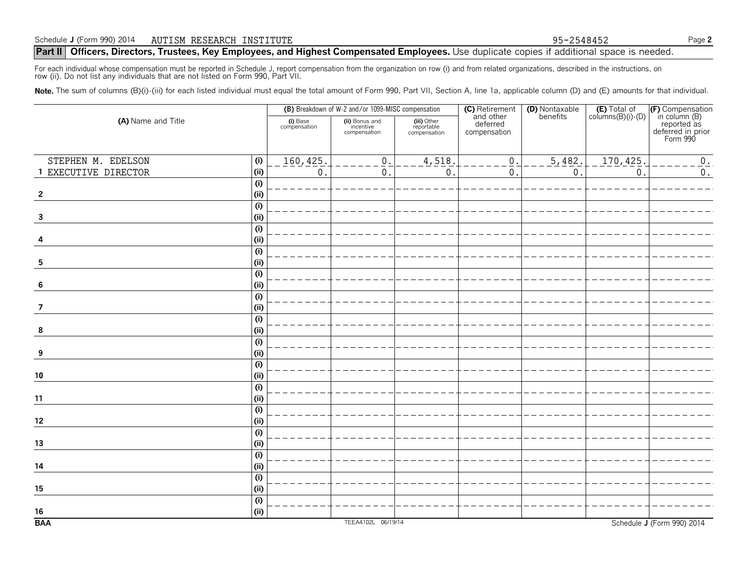For each individual whose compensation must be reported in Schedule J, report compensation from the organization on row (i) and from related organizations, described in the instructions, on<br>row (ii). Do not list any indivi

Note. The sum of columns (B)(i)-(iii) for each listed individual must equal the total amount of Form 990, Part VII, Section A, line 1a, applicable column (D) and (E) amounts for that individual.

| (A) Name and Title      |             |                          | (B) Breakdown of W-2 and/or 1099-MISC compensation |                                           |                                                         | (D) Nontaxable<br>benefits | $(E)$ Total of<br>columns $(B)(i)$ - $(D)$ |                                                                                   |
|-------------------------|-------------|--------------------------|----------------------------------------------------|-------------------------------------------|---------------------------------------------------------|----------------------------|--------------------------------------------|-----------------------------------------------------------------------------------|
|                         |             | (i) Base<br>compensation | (ii) Bonus and<br>incentive<br>compensation        | (iii) Other<br>reportable<br>compensation | (C) Retirement<br>and other<br>deferred<br>compensation |                            |                                            | (F) Compensation<br>in column (B)<br>reported as<br>deferred in prior<br>Form 990 |
| STEPHEN M. EDELSON      | (i)         | 160, 425.                | $\mathbf 0$                                        | 4,518.                                    | $\overline{0}$ .                                        | 5,482.                     | 170, 425.                                  | 0.                                                                                |
| 1 EXECUTIVE DIRECTOR    | (i)         | $\mathbf 0$              | $\mathbf 0$                                        | $\mathbf{0}$                              | $\mathbf{0}$ .                                          | $\mathsf 0$ .              | $\boldsymbol{0}$                           | $\mathbf 0$ .                                                                     |
|                         | (i)         |                          |                                                    |                                           |                                                         |                            |                                            |                                                                                   |
| $\overline{2}$          | (ii)        |                          |                                                    |                                           |                                                         |                            |                                            |                                                                                   |
|                         | (i)         |                          |                                                    |                                           |                                                         |                            |                                            |                                                                                   |
| $\overline{\mathbf{3}}$ | (i)         |                          |                                                    |                                           |                                                         |                            |                                            |                                                                                   |
|                         | (i)         |                          |                                                    |                                           |                                                         |                            |                                            |                                                                                   |
| 4                       | (i)         |                          |                                                    |                                           |                                                         |                            |                                            |                                                                                   |
|                         | (i)         |                          |                                                    |                                           |                                                         |                            |                                            |                                                                                   |
| 5                       | (i)         |                          |                                                    |                                           |                                                         |                            |                                            |                                                                                   |
|                         | (i)         |                          |                                                    |                                           |                                                         |                            |                                            |                                                                                   |
| 6                       | (i)         |                          |                                                    |                                           |                                                         |                            |                                            |                                                                                   |
| $\overline{7}$          | (i)<br>(ii) |                          |                                                    |                                           |                                                         |                            |                                            |                                                                                   |
|                         | (i)         |                          |                                                    |                                           |                                                         |                            |                                            |                                                                                   |
| 8                       | (i)         |                          |                                                    |                                           |                                                         |                            |                                            |                                                                                   |
|                         | (i)         |                          |                                                    |                                           |                                                         |                            |                                            |                                                                                   |
| 9                       | (i)         |                          |                                                    |                                           |                                                         |                            |                                            |                                                                                   |
|                         | (i)         |                          |                                                    |                                           |                                                         |                            |                                            |                                                                                   |
| 10                      | (i)         |                          |                                                    |                                           |                                                         |                            |                                            |                                                                                   |
|                         | (i)         |                          |                                                    |                                           |                                                         |                            |                                            |                                                                                   |
| 11                      | (i)         |                          |                                                    |                                           |                                                         |                            |                                            |                                                                                   |
|                         | (i)         |                          |                                                    |                                           |                                                         |                            |                                            |                                                                                   |
| 12                      | (i)         |                          |                                                    |                                           |                                                         |                            |                                            |                                                                                   |
|                         | (i)         |                          |                                                    |                                           |                                                         |                            |                                            |                                                                                   |
| 13                      | (i)         |                          |                                                    |                                           |                                                         |                            |                                            |                                                                                   |
|                         | (i)         |                          |                                                    |                                           |                                                         |                            |                                            |                                                                                   |
| 14                      | (i)         |                          |                                                    |                                           |                                                         |                            |                                            |                                                                                   |
|                         | (i)         |                          |                                                    |                                           |                                                         |                            |                                            |                                                                                   |
| 15                      | (i)         |                          |                                                    |                                           |                                                         |                            |                                            |                                                                                   |
|                         | (i)         |                          |                                                    |                                           |                                                         |                            |                                            |                                                                                   |
| $16\,$<br><b>BAA</b>    | (i)         |                          | TEEA4102L 06/19/14                                 |                                           |                                                         |                            |                                            |                                                                                   |
|                         |             |                          |                                                    |                                           |                                                         |                            |                                            | Schedule J (Form 990) 2014                                                        |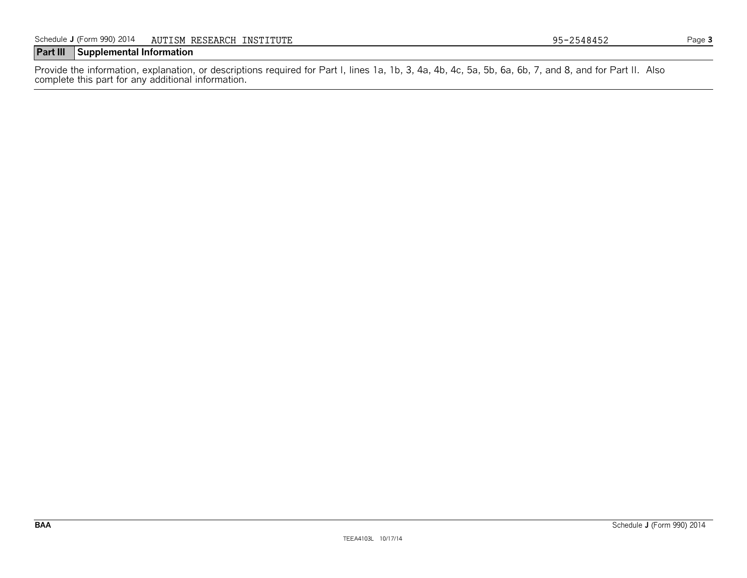## **Part III Supplemental Information**

Provide the information, explanation, or descriptions required for Part I, lines 1a, 1b, 3, 4a, 4b, 4c, 5a, 5b, 6a, 6b, 7, and 8, and for Part II. Also complete this part for any additional information.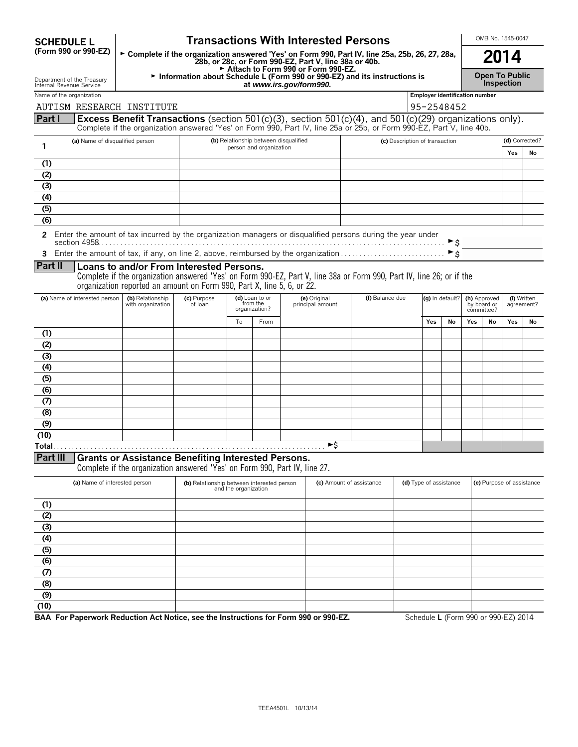| <b>SCHEDULE L</b>                                                                                             |                                                                                                                                                                                                                                       |                                                                                                                                                          |                                                                                                                                            |                         |                                  | <b>Transactions With Interested Persons</b> |  |  |     |                                           |                                     |                           | OMB No. 1545-0047         |                |
|---------------------------------------------------------------------------------------------------------------|---------------------------------------------------------------------------------------------------------------------------------------------------------------------------------------------------------------------------------------|----------------------------------------------------------------------------------------------------------------------------------------------------------|--------------------------------------------------------------------------------------------------------------------------------------------|-------------------------|----------------------------------|---------------------------------------------|--|--|-----|-------------------------------------------|-------------------------------------|---------------------------|---------------------------|----------------|
| (Form 990 or 990-EZ)                                                                                          |                                                                                                                                                                                                                                       | ► Complete if the organization answered 'Yes' on Form 990, Part IV, line 25a, 25b, 26, 27, 28a,<br>28b, or 28c, or Form 990-EZ, Part V, line 38a or 40b. |                                                                                                                                            |                         |                                  |                                             |  |  |     |                                           |                                     | 2014                      |                           |                |
| Department of the Treasury<br>Internal Revenue Service                                                        |                                                                                                                                                                                                                                       |                                                                                                                                                          | Attach to Form 990 or Form 990-EZ.<br>Information about Schedule L (Form 990 or 990-EZ) and its instructions is<br>at www.irs.gov/form990. |                         |                                  |                                             |  |  |     |                                           | <b>Open To Public</b><br>Inspection |                           |                           |                |
| Name of the organization                                                                                      |                                                                                                                                                                                                                                       |                                                                                                                                                          |                                                                                                                                            |                         |                                  |                                             |  |  |     |                                           | Employer identification number      |                           |                           |                |
| AUTISM RESEARCH INSTITUTE                                                                                     |                                                                                                                                                                                                                                       |                                                                                                                                                          |                                                                                                                                            |                         |                                  |                                             |  |  |     | 95-2548452                                |                                     |                           |                           |                |
| Part I                                                                                                        | <b>Excess Benefit Transactions</b> (section 501(c)(3), section 501(c)(4), and 501(c)(29) organizations only).<br>Complete if the organization answered 'Yes' on Form 990, Part IV, line 25a or 25b, or Form 990-EZ, Part V, line 40b. |                                                                                                                                                          |                                                                                                                                            |                         |                                  |                                             |  |  |     |                                           |                                     |                           |                           |                |
| 1                                                                                                             | (a) Name of disqualified person                                                                                                                                                                                                       |                                                                                                                                                          | (b) Relationship between disqualified                                                                                                      | person and organization |                                  |                                             |  |  |     | (c) Description of transaction            |                                     |                           |                           | (d) Corrected? |
|                                                                                                               |                                                                                                                                                                                                                                       |                                                                                                                                                          |                                                                                                                                            |                         |                                  |                                             |  |  |     |                                           |                                     |                           | Yes                       | No             |
| (1)                                                                                                           |                                                                                                                                                                                                                                       |                                                                                                                                                          |                                                                                                                                            |                         |                                  |                                             |  |  |     |                                           |                                     |                           |                           |                |
| (2)<br>(3)                                                                                                    |                                                                                                                                                                                                                                       |                                                                                                                                                          |                                                                                                                                            |                         |                                  |                                             |  |  |     |                                           |                                     |                           |                           |                |
| (4)                                                                                                           |                                                                                                                                                                                                                                       |                                                                                                                                                          |                                                                                                                                            |                         |                                  |                                             |  |  |     |                                           |                                     |                           |                           |                |
| (5)                                                                                                           |                                                                                                                                                                                                                                       |                                                                                                                                                          |                                                                                                                                            |                         |                                  |                                             |  |  |     |                                           |                                     |                           |                           |                |
| (6)                                                                                                           |                                                                                                                                                                                                                                       |                                                                                                                                                          |                                                                                                                                            |                         |                                  |                                             |  |  |     |                                           |                                     |                           |                           |                |
| 2 Enter the amount of tax incurred by the organization managers or disqualified persons during the year under |                                                                                                                                                                                                                                       |                                                                                                                                                          |                                                                                                                                            |                         |                                  |                                             |  |  |     | $\blacktriangleright$ \$                  |                                     |                           |                           |                |
| 3 Enter the amount of tax, if any, on line 2, above, reimbursed by the organization                           |                                                                                                                                                                                                                                       |                                                                                                                                                          |                                                                                                                                            |                         |                                  |                                             |  |  |     | $\blacktriangleright$ \$                  |                                     |                           |                           |                |
| Part II                                                                                                       | Loans to and/or From Interested Persons.                                                                                                                                                                                              |                                                                                                                                                          |                                                                                                                                            |                         |                                  |                                             |  |  |     |                                           |                                     |                           |                           |                |
|                                                                                                               | Complete if the organization answered 'Yes' on Form 990-EZ, Part V, line 38a or Form 990, Part IV, line 26; or if the<br>organization reported an amount on Form 990, Part X, line 5, 6, or 22.                                       |                                                                                                                                                          |                                                                                                                                            |                         |                                  |                                             |  |  |     |                                           |                                     |                           |                           |                |
| (a) Name of interested person                                                                                 | (b) Relationship<br>with organization                                                                                                                                                                                                 | (c) Purpose<br>of loan                                                                                                                                   | (d) Loan to or<br>from the<br>organization?                                                                                                |                         | (e) Original<br>principal amount | (f) Balance due<br>(g) In default?          |  |  |     | (h) Approved<br>by board or<br>committee? |                                     | (i) Written<br>agreement? |                           |                |
|                                                                                                               |                                                                                                                                                                                                                                       |                                                                                                                                                          | To                                                                                                                                         | From                    |                                  |                                             |  |  | Yes | No                                        | Yes                                 | No                        | Yes                       | No             |
| (1)                                                                                                           |                                                                                                                                                                                                                                       |                                                                                                                                                          |                                                                                                                                            |                         |                                  |                                             |  |  |     |                                           |                                     |                           |                           |                |
| (2)                                                                                                           |                                                                                                                                                                                                                                       |                                                                                                                                                          |                                                                                                                                            |                         |                                  |                                             |  |  |     |                                           |                                     |                           |                           |                |
| (3)                                                                                                           |                                                                                                                                                                                                                                       |                                                                                                                                                          |                                                                                                                                            |                         |                                  |                                             |  |  |     |                                           |                                     |                           |                           |                |
| (4)                                                                                                           |                                                                                                                                                                                                                                       |                                                                                                                                                          |                                                                                                                                            |                         |                                  |                                             |  |  |     |                                           |                                     |                           |                           |                |
| (5)                                                                                                           |                                                                                                                                                                                                                                       |                                                                                                                                                          |                                                                                                                                            |                         |                                  |                                             |  |  |     |                                           |                                     |                           |                           |                |
| (6)                                                                                                           |                                                                                                                                                                                                                                       |                                                                                                                                                          |                                                                                                                                            |                         |                                  |                                             |  |  |     |                                           |                                     |                           |                           |                |
| (7)                                                                                                           |                                                                                                                                                                                                                                       |                                                                                                                                                          |                                                                                                                                            |                         |                                  |                                             |  |  |     |                                           |                                     |                           |                           |                |
| (8)                                                                                                           |                                                                                                                                                                                                                                       |                                                                                                                                                          |                                                                                                                                            |                         |                                  |                                             |  |  |     |                                           |                                     |                           |                           |                |
| (9)                                                                                                           |                                                                                                                                                                                                                                       |                                                                                                                                                          |                                                                                                                                            |                         |                                  |                                             |  |  |     |                                           |                                     |                           |                           |                |
| (10)                                                                                                          |                                                                                                                                                                                                                                       |                                                                                                                                                          |                                                                                                                                            |                         |                                  | ►\$                                         |  |  |     |                                           |                                     |                           |                           |                |
| Total.<br>Part III                                                                                            | <b>Grants or Assistance Benefiting Interested Persons.</b>                                                                                                                                                                            |                                                                                                                                                          |                                                                                                                                            |                         |                                  |                                             |  |  |     |                                           |                                     |                           |                           |                |
|                                                                                                               | Complete if the organization answered 'Yes' on Form 990, Part IV, line 27.<br>(a) Name of interested person                                                                                                                           | (b) Relationship between interested person                                                                                                               |                                                                                                                                            |                         |                                  | (c) Amount of assistance                    |  |  |     | (d) Type of assistance                    |                                     |                           | (e) Purpose of assistance |                |
|                                                                                                               |                                                                                                                                                                                                                                       |                                                                                                                                                          | and the organization                                                                                                                       |                         |                                  |                                             |  |  |     |                                           |                                     |                           |                           |                |
| (1)                                                                                                           |                                                                                                                                                                                                                                       |                                                                                                                                                          |                                                                                                                                            |                         |                                  |                                             |  |  |     |                                           |                                     |                           |                           |                |
| (2)                                                                                                           |                                                                                                                                                                                                                                       |                                                                                                                                                          |                                                                                                                                            |                         |                                  |                                             |  |  |     |                                           |                                     |                           |                           |                |
| (3)<br>(4)                                                                                                    |                                                                                                                                                                                                                                       |                                                                                                                                                          |                                                                                                                                            |                         |                                  |                                             |  |  |     |                                           |                                     |                           |                           |                |
| (5)                                                                                                           |                                                                                                                                                                                                                                       |                                                                                                                                                          |                                                                                                                                            |                         |                                  |                                             |  |  |     |                                           |                                     |                           |                           |                |
| (6)                                                                                                           |                                                                                                                                                                                                                                       |                                                                                                                                                          |                                                                                                                                            |                         |                                  |                                             |  |  |     |                                           |                                     |                           |                           |                |
| (7)                                                                                                           |                                                                                                                                                                                                                                       |                                                                                                                                                          |                                                                                                                                            |                         |                                  |                                             |  |  |     |                                           |                                     |                           |                           |                |
| (8)                                                                                                           |                                                                                                                                                                                                                                       |                                                                                                                                                          |                                                                                                                                            |                         |                                  |                                             |  |  |     |                                           |                                     |                           |                           |                |
| (9)                                                                                                           |                                                                                                                                                                                                                                       |                                                                                                                                                          |                                                                                                                                            |                         |                                  |                                             |  |  |     |                                           |                                     |                           |                           |                |
| (10)                                                                                                          |                                                                                                                                                                                                                                       |                                                                                                                                                          |                                                                                                                                            |                         |                                  |                                             |  |  |     |                                           |                                     |                           |                           |                |

**BAA For Paperwork Reduction Act Notice, see the Instructions for Form 990 or 990-EZ.** Schedule L (Form 990 or 990-EZ) 2014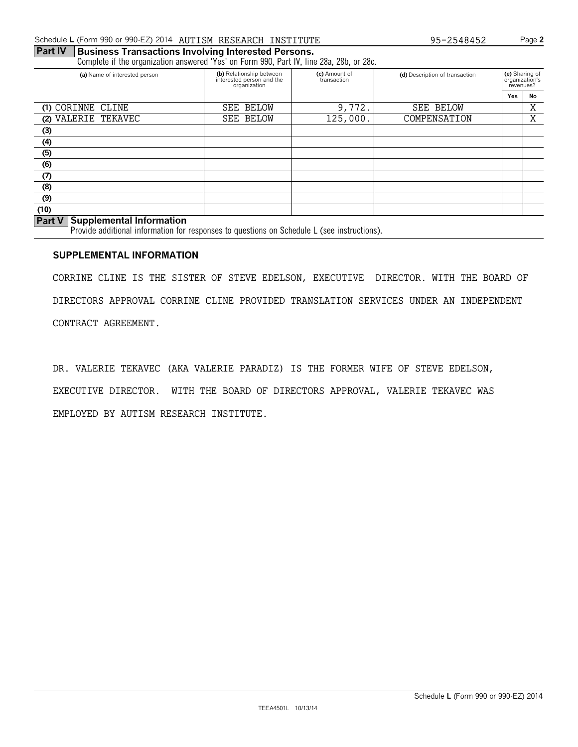#### Schedule L (Form 990 or 990-EZ) 2014 AUTISM RESEARCH INSTITUTE  $95-2548452$  Page 2

## **Part IV** Business Transactions Involving Interested Persons.

Complete if the organization answered 'Yes' on Form 990, Part IV, line 28a, 28b, or 28c.

| (a) Name of interested person          | (b) Relationship between<br>interested person and the<br>organization | (c) Amount of<br>transaction | (d) Description of transaction |     | (e) Sharing of<br>organization's<br>revenues? |
|----------------------------------------|-----------------------------------------------------------------------|------------------------------|--------------------------------|-----|-----------------------------------------------|
|                                        |                                                                       |                              |                                | Yes | No                                            |
| (1) CORINNE CLINE                      | SEE BELOW                                                             | 9,772.                       | SEE BELOW                      |     | Χ                                             |
| VALERIE TEKAVEC<br>(2)                 | SEE BELOW                                                             | 125,000.                     | COMPENSATION                   |     | Χ                                             |
| (3)                                    |                                                                       |                              |                                |     |                                               |
| (4)                                    |                                                                       |                              |                                |     |                                               |
| (5)                                    |                                                                       |                              |                                |     |                                               |
| (6)                                    |                                                                       |                              |                                |     |                                               |
| (7)                                    |                                                                       |                              |                                |     |                                               |
| (8)                                    |                                                                       |                              |                                |     |                                               |
| (9)                                    |                                                                       |                              |                                |     |                                               |
| (10)                                   |                                                                       |                              |                                |     |                                               |
| <b>Part V Supplemental Information</b> |                                                                       |                              |                                |     |                                               |

#### **Part V Supplemental Information**

Provide additional information for responses to questions on Schedule L (see instructions).

### **SUPPLEMENTAL INFORMATION**

CORRINE CLINE IS THE SISTER OF STEVE EDELSON, EXECUTIVE DIRECTOR. WITH THE BOARD OF DIRECTORS APPROVAL CORRINE CLINE PROVIDED TRANSLATION SERVICES UNDER AN INDEPENDENT CONTRACT AGREEMENT.

DR. VALERIE TEKAVEC (AKA VALERIE PARADIZ) IS THE FORMER WIFE OF STEVE EDELSON, EXECUTIVE DIRECTOR. WITH THE BOARD OF DIRECTORS APPROVAL, VALERIE TEKAVEC WAS EMPLOYED BY AUTISM RESEARCH INSTITUTE.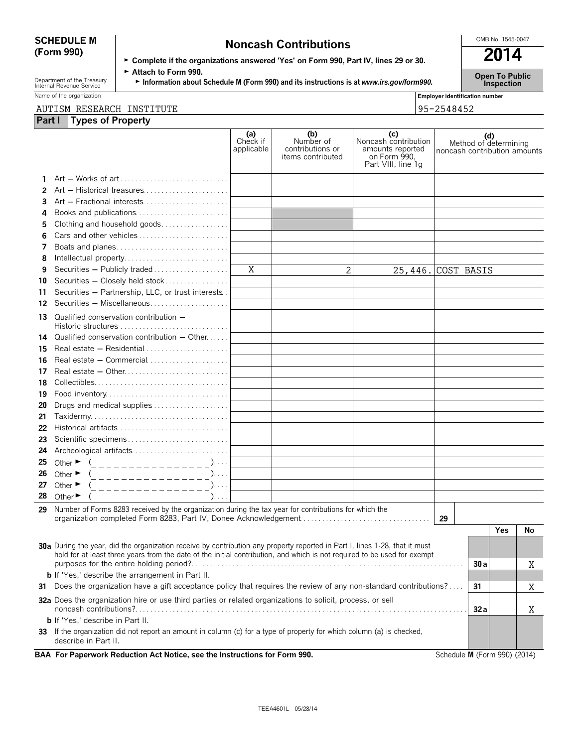# **SCHEDULE M Noncash Contributions Contributions Contributions Contributions Comb** No. 1545-0047

► Complete if the organizations answered 'Yes' on Form 990, Part IV, lines 29 or 30. ■ Attach to Form 990.<br>■ Information about Schedule M (Form 990) and its instructions is at *www.irs.gov/form990.* Inspection

Name of the organization **Employer identification number Employer identification number** 

## AUTISM RESEARCH INSTITUTE 30 35-2548452

| Part I | <b>Types of Property</b>                                                                                                    |                               |                                                           |                                                                                       |                              |      |                       |    |
|--------|-----------------------------------------------------------------------------------------------------------------------------|-------------------------------|-----------------------------------------------------------|---------------------------------------------------------------------------------------|------------------------------|------|-----------------------|----|
|        |                                                                                                                             | (a)<br>Check if<br>applicable | (b)<br>Number of<br>contributions or<br>items contributed | (c)<br>Noncash contribution<br>amounts reported<br>on Form 990,<br>Part VIII, line 1q | noncash contribution amounts | (d)  | Method of determining |    |
|        |                                                                                                                             |                               |                                                           |                                                                                       |                              |      |                       |    |
| 2      | Art - Historical treasures                                                                                                  |                               |                                                           |                                                                                       |                              |      |                       |    |
| 3      | Art - Fractional interests                                                                                                  |                               |                                                           |                                                                                       |                              |      |                       |    |
| 4      |                                                                                                                             |                               |                                                           |                                                                                       |                              |      |                       |    |
| 5      | Clothing and household goods                                                                                                |                               |                                                           |                                                                                       |                              |      |                       |    |
| 6      |                                                                                                                             |                               |                                                           |                                                                                       |                              |      |                       |    |
| 7      | Boats and planes                                                                                                            |                               |                                                           |                                                                                       |                              |      |                       |    |
| 8      |                                                                                                                             |                               |                                                           |                                                                                       |                              |      |                       |    |
| 9      | Securities - Publicly traded                                                                                                | Χ                             | 2                                                         | 25,446. COST BASIS                                                                    |                              |      |                       |    |
| 10     | Securities - Closely held stock                                                                                             |                               |                                                           |                                                                                       |                              |      |                       |    |
| 11     | Securities - Partnership, LLC, or trust interests.                                                                          |                               |                                                           |                                                                                       |                              |      |                       |    |
| 12     | Securities - Miscellaneous                                                                                                  |                               |                                                           |                                                                                       |                              |      |                       |    |
| 13     | Qualified conservation contribution -<br>Historic structures $\ldots, \ldots, \ldots, \ldots, \ldots, \ldots, \ldots$       |                               |                                                           |                                                                                       |                              |      |                       |    |
| 14     | Qualified conservation contribution $-$ Other $\dots$                                                                       |                               |                                                           |                                                                                       |                              |      |                       |    |
| 15     | Real estate $-$ Residential $\ldots$ , $\ldots$ , $\ldots$ , $\ldots$                                                       |                               |                                                           |                                                                                       |                              |      |                       |    |
| 16     | Real estate - Commercial                                                                                                    |                               |                                                           |                                                                                       |                              |      |                       |    |
| 17     |                                                                                                                             |                               |                                                           |                                                                                       |                              |      |                       |    |
| 18     |                                                                                                                             |                               |                                                           |                                                                                       |                              |      |                       |    |
| 19     |                                                                                                                             |                               |                                                           |                                                                                       |                              |      |                       |    |
| 20     |                                                                                                                             |                               |                                                           |                                                                                       |                              |      |                       |    |
| 21     |                                                                                                                             |                               |                                                           |                                                                                       |                              |      |                       |    |
| 22     |                                                                                                                             |                               |                                                           |                                                                                       |                              |      |                       |    |
| 23     |                                                                                                                             |                               |                                                           |                                                                                       |                              |      |                       |    |
| 24     |                                                                                                                             |                               |                                                           |                                                                                       |                              |      |                       |    |
| 25     | Other $\blacktriangleright$<br>(_________________)                                                                          |                               |                                                           |                                                                                       |                              |      |                       |    |
| 26     | Other $\blacktriangleright$<br>(_________________)                                                                          |                               |                                                           |                                                                                       |                              |      |                       |    |
| 27     | Other $\blacktriangleright$<br>).<br>______________                                                                         |                               |                                                           |                                                                                       |                              |      |                       |    |
| 28     | Other $\blacktriangleright$                                                                                                 |                               |                                                           |                                                                                       |                              |      |                       |    |
| 29     | Number of Forms 8283 received by the organization during the tax year for contributions for which the                       |                               |                                                           |                                                                                       |                              |      |                       |    |
|        | organization completed Form 8283, Part IV, Donee Acknowledgement                                                            |                               |                                                           |                                                                                       | 29                           |      |                       |    |
|        |                                                                                                                             |                               |                                                           |                                                                                       |                              |      | <b>Yes</b>            | No |
|        | 30a During the year, did the organization receive by contribution any property reported in Part I, lines 1-28, that it must |                               |                                                           |                                                                                       |                              |      |                       |    |
|        | hold for at least three years from the date of the initial contribution, and which is not required to be used for exempt    |                               |                                                           |                                                                                       |                              |      |                       |    |
|        |                                                                                                                             |                               |                                                           |                                                                                       |                              | 30a  |                       | X  |
|        | <b>b</b> If 'Yes,' describe the arrangement in Part II.                                                                     |                               |                                                           |                                                                                       |                              |      |                       |    |
|        | 31 Does the organization have a gift acceptance policy that requires the review of any non-standard contributions?          |                               |                                                           |                                                                                       |                              | 31   |                       | Χ  |
|        | 32a Does the organization hire or use third parties or related organizations to solicit, process, or sell                   |                               |                                                           |                                                                                       |                              | 32 a |                       | X  |
|        | <b>b</b> If 'Yes,' describe in Part II.                                                                                     |                               |                                                           |                                                                                       |                              |      |                       |    |
|        | 33 If the organization did not report an amount in column (c) for a type of property for which column (a) is checked,       |                               |                                                           |                                                                                       |                              |      |                       |    |
|        | describe in Part II.                                                                                                        |                               |                                                           |                                                                                       |                              |      |                       |    |
|        | BAA For Paperwork Reduction Act Notice, see the Instructions for Form 990.                                                  |                               |                                                           |                                                                                       | Schedule M (Form 990) (2014) |      |                       |    |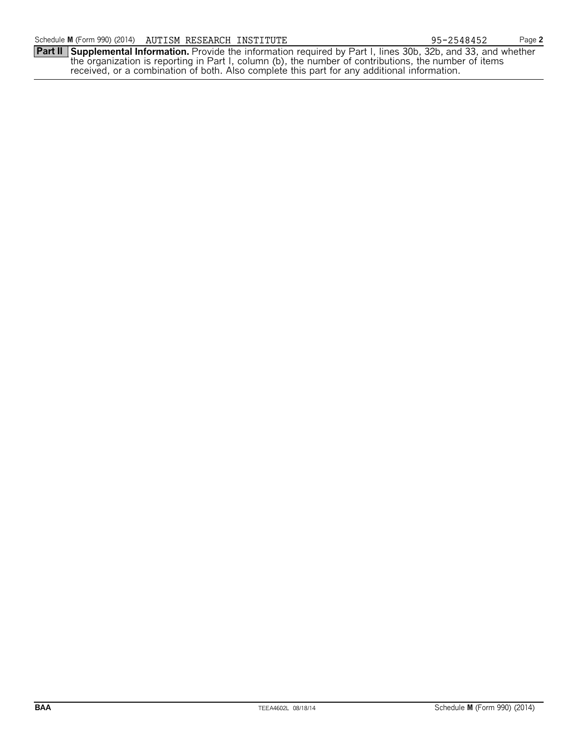**Part II Supplemental Information.** Provide the information required by Part I, lines 30b, 32b, and 33, and whether the organization is reporting in Part I, column (b), the number of contributions, the number of items received, or a combination of both. Also complete this part for any additional information.